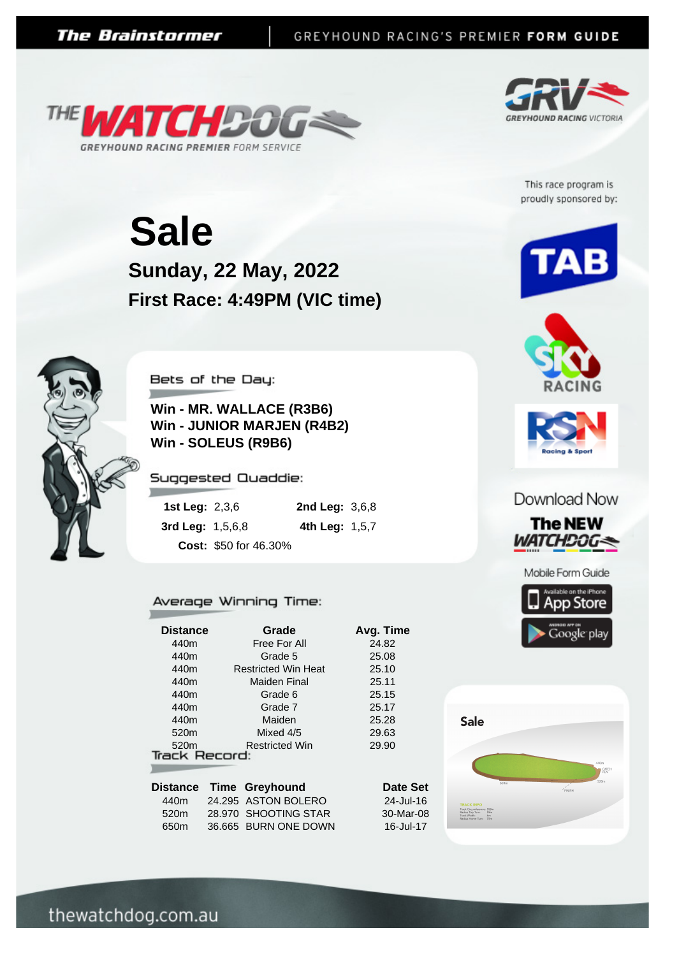



This race program is proudly sponsored by:

**Sunday, 22 May, 2022 Sale First Race: 4:49PM (VIC time)**



Bets of the Day:

**Win - MR. WALLACE (R3B6) Win - JUNIOR MARJEN (R4B2) Win - SOLEUS (R9B6)**

Suggested Quaddie:

| <b>1st Leg: 2,3,6</b> |                       | <b>2nd Leg: 3,6,8</b> |  |
|-----------------------|-----------------------|-----------------------|--|
| 3rd Leg: $1,5,6,8$    |                       | 4th Leg: $1,5,7$      |  |
|                       | Cost: \$50 for 46.30% |                       |  |

## Average Winning Time:

| <b>Distance</b>      | Grade                      | Avg. Time       |  |  |  |  |  |
|----------------------|----------------------------|-----------------|--|--|--|--|--|
| 440m                 | Free For All               | 24.82           |  |  |  |  |  |
| 440m                 | Grade 5                    | 25.08           |  |  |  |  |  |
| 440m                 | <b>Restricted Win Heat</b> | 25.10           |  |  |  |  |  |
| 440m                 | Maiden Final               | 25.11           |  |  |  |  |  |
| 440m                 | Grade 6                    | 25.15           |  |  |  |  |  |
| 440m                 | Grade 7                    | 25.17           |  |  |  |  |  |
| 440m                 | Maiden                     | 25.28           |  |  |  |  |  |
| 520 <sub>m</sub>     | Mixed 4/5                  | 29.63           |  |  |  |  |  |
| 520 <sub>m</sub>     | <b>Restricted Win</b>      | 29.90           |  |  |  |  |  |
| <b>Track Record:</b> |                            |                 |  |  |  |  |  |
|                      |                            |                 |  |  |  |  |  |
|                      | Distance Time Greyhound    | <b>Date Set</b> |  |  |  |  |  |
| 440m                 | 24.295 ASTON BOLERO        | 24-Jul-16       |  |  |  |  |  |

|      | THIR ORYHOMIN        |
|------|----------------------|
| 440m | 24.295 ASTON BOLERO  |
| 520m | 28.970 SHOOTING STAR |
| 650m | 36.665 BURN ONE DOWN |
|      |                      |







## Download Now









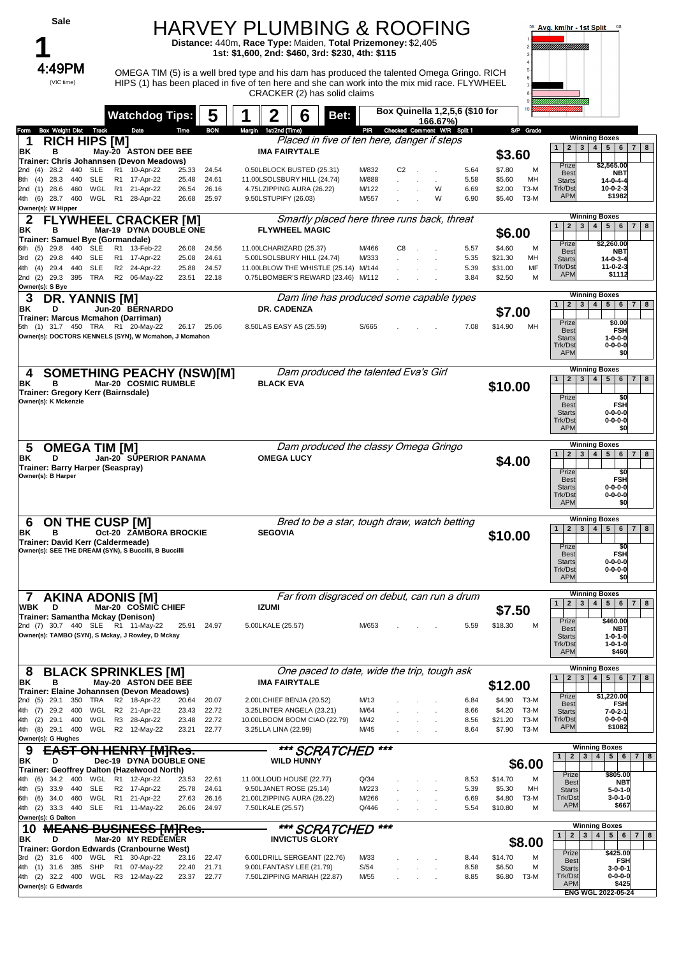| Sale                                                                                                                                                                                                      |                                                                                                                                                                                                          | <b>HARVEY PLUMBING &amp; ROOFING</b><br>Distance: 440m, Race Type: Maiden, Total Prizemoney: \$2,405<br>1st: \$1,600, 2nd: \$460, 3rd: \$230, 4th: \$115                                                                    |                                  |                                            |                              |                                                                              | 58 Avg. km/hr - 1st Split<br>-68                                                                                                                                                                |
|-----------------------------------------------------------------------------------------------------------------------------------------------------------------------------------------------------------|----------------------------------------------------------------------------------------------------------------------------------------------------------------------------------------------------------|-----------------------------------------------------------------------------------------------------------------------------------------------------------------------------------------------------------------------------|----------------------------------|--------------------------------------------|------------------------------|------------------------------------------------------------------------------|-------------------------------------------------------------------------------------------------------------------------------------------------------------------------------------------------|
| 4:49PM<br>(VIC time)                                                                                                                                                                                      |                                                                                                                                                                                                          | OMEGA TIM (5) is a well bred type and his dam has produced the talented Omega Gringo. RICH<br>HIPS (1) has been placed in five of ten here and she can work into the mix mid race. FLYWHEEL<br>CRACKER (2) has solid claims |                                  |                                            |                              |                                                                              |                                                                                                                                                                                                 |
|                                                                                                                                                                                                           | 5<br><b>Watchdog Tips:</b>                                                                                                                                                                               | 6<br>Bet:                                                                                                                                                                                                                   |                                  | Box Quinella 1,2,5,6 (\$10 for<br>166.67%) |                              |                                                                              |                                                                                                                                                                                                 |
| Box Weight Dist Track<br>Form<br><b>RICH HIPS [M]</b><br>ΒK<br>в                                                                                                                                          | Date<br><b>BON</b><br>Time<br>May-20 ASTON DEE BEE                                                                                                                                                       | Margin 1st/2nd (Time)<br>Placed in five of ten here, danger if steps<br><b>IMA FAIRYTALE</b>                                                                                                                                | PR                               | Checked Comment W/R Split 1                |                              | S/P Grade<br>\$3.60                                                          | <b>Winning Boxes</b><br>2 <sup>1</sup><br>3   4   5   6   7   8<br>$\mathbf{1}$                                                                                                                 |
| Trainer: Chris Johannsen (Devon Meadows)<br>2nd (4) 28.2 440<br>SLE<br><b>SLE</b><br>(4)<br>28.3<br>440<br>8th<br>2nd (1) 28.6<br>460<br>$(6)$ 28.7 460<br>WGL<br>4th<br>Owner(s): W Hipper               | R1 10-Apr-22<br>25.33<br>24.54<br>R1 17-Apr-22<br>24.61<br>25.48<br>WGL R1 21-Apr-22<br>26.54<br>26.16<br>R <sub>1</sub><br>28-Apr-22<br>25.97<br>26.68                                                  | 0.50LBLOCK BUSTED (25.31)<br>11.00LSOLSBURY HILL (24.74)<br>4.75LZIPPING AURA (26.22)<br>9.50LSTUPIFY (26.03)                                                                                                               | M/832<br>M/888<br>M/122<br>M/557 | C <sub>2</sub><br>W<br>W                   | 5.64<br>5.58<br>6.69<br>6.90 | \$7.80<br>м<br>\$5.60<br>MH<br>\$2.00<br><b>T3-M</b><br>$T3-M$<br>\$5.40     | Prize<br>\$2,565.00<br>Best<br><b>NBT</b><br><b>Starts</b><br>$14 - 0 - 4 - 4$<br>Trk/Dst<br>$10-0-2-3$<br><b>APM</b><br>\$1982                                                                 |
| 2<br>ΒK<br>в                                                                                                                                                                                              | <b>FLYWHEEL CRACKER [M]</b><br>Mar-19 DYNA DOUBLE ONE                                                                                                                                                    | Smartly placed here three runs back, threat<br><b>FLYWHEEL MAGIC</b>                                                                                                                                                        |                                  |                                            |                              | \$6.00                                                                       | <b>Winning Boxes</b><br>2 3 4 5 6 7 8<br>$\mathbf{1}$                                                                                                                                           |
| Trainer: Samuel Bve (Gormandale)<br>440<br><b>SLE</b><br>6th (5) 29.8<br>440<br><b>SLE</b><br>(2)<br>29.8<br>3rd<br><b>SLE</b><br>29.4<br>440<br>4th<br>(4)<br>395 TRA<br>2nd (2) 29.3<br>Owner(s): S Bye | R1 13-Feb-22<br>26.08<br>24.56<br>R1 17-Apr-22<br>25.08<br>24.61<br>R2 24-Apr-22<br>24.57<br>25.88<br>R2 06-May-22<br>22.18<br>23.51                                                                     | 11.00LCHARIZARD (25.37)<br>5.00LSOLSBURY HILL (24.74)<br>11.00LBLOW THE WHISTLE (25.14) M/144<br>0.75LBOMBER'S REWARD (23.46) M/112                                                                                         | M/466<br>M/333                   | C8<br>$\overline{\phantom{a}}$             | 5.57<br>5.35<br>5.39<br>3.84 | \$4.60<br>м<br>\$21.30<br>MH<br>\$31.00<br>MF<br>\$2.50<br>M                 | Prize<br>\$2,260.00<br>Best<br><b>NBT</b><br>$14 - 0 - 3 - 4$<br><b>Starts</b><br>Trk/Dst<br>$11 - 0 - 2 - 3$<br><b>APM</b><br>\$1112                                                           |
| <b>DR. YANNIS [M]</b><br>3<br>ΒK<br>D                                                                                                                                                                     | Jun-20 BERNARDO                                                                                                                                                                                          | Dam line has produced some capable types<br>DR. CADENZA                                                                                                                                                                     |                                  |                                            |                              | \$7.00                                                                       | <b>Winning Boxes</b><br>2 <sup>1</sup><br>3   4   5   6   7   8<br>1 <sup>1</sup>                                                                                                               |
| Trainer: Marcus Mcmahon (Darriman)<br>5th (1) 31.7 450 TRA R1 20-May-22                                                                                                                                   | 26.17 25.06<br>Owner(s): DOCTORS KENNELS (SYN), W Mcmahon, J Mcmahon                                                                                                                                     | 8.50LAS EASY AS (25.59)                                                                                                                                                                                                     | S/665                            |                                            | 7.08                         | \$14.90<br>MН                                                                | Prize<br>\$0.00<br><b>Best</b><br><b>FSH</b><br>$1 - 0 - 0 - 0$<br><b>Starts</b><br>Trk/Dst<br>$0 - 0 - 0 - 0$<br><b>APM</b><br>\$0                                                             |
| 4<br>ΒK<br>в<br>Trainer: Gregory Kerr (Bairnsdale)<br>Owner(s): K Mckenzie                                                                                                                                | <b>SOMETHING PEACHY (NSW)[M]</b><br>Mar-20 COSMIC RUMBLE                                                                                                                                                 | Dam produced the talented Eva's Girl<br><b>BLACK EVA</b>                                                                                                                                                                    |                                  |                                            |                              | \$10.00                                                                      | <b>Winning Boxes</b><br>2 3 4 5 6 7 8<br>1<br>Prize<br>\$0<br><b>FSH</b><br><b>Best</b><br>$0 - 0 - 0 - 0$<br><b>Starts</b><br>Trk/Dst<br>$0 - 0 - 0 - 0$<br><b>APM</b><br>\$O                  |
| <b>OMEGA TIM [M]</b><br>5<br>BK<br>D<br>Trainer: Barry Harper (Seaspray)<br>Owner(s): B Harper                                                                                                            | Jan-20 SUPERIOR PANAMA                                                                                                                                                                                   | Dam produced the classy Omega Gringo<br><b>OMEGA LUCY</b>                                                                                                                                                                   |                                  |                                            |                              | \$4.00                                                                       | <b>Winning Boxes</b><br>2 3 4 5 6 7 <br>8<br>1 <sup>1</sup><br>Prize<br>\$O<br><b>FSH</b><br><b>Best</b><br><b>Starts</b><br>$0 - 0 - 0 - 0$<br>Trk/Dst<br>$0 - 0 - 0 - 0$<br><b>APM</b><br>\$0 |
| <b>ON THE CUSP [M]</b><br>6<br>ΒK<br>в<br>Trainer: David Kerr (Caldermeade)<br>Owner(s): SEE THE DREAM (SYN), S Buccilli, B Buccilli                                                                      | Oct-20 ZAMBORA BROCKIE                                                                                                                                                                                   | Bred to be a star, tough draw, watch betting<br><b>SEGOVIA</b>                                                                                                                                                              |                                  |                                            |                              | \$10.00                                                                      | <b>Winning Boxes</b><br>2 3 4 5 6 7 <br>$\mathbf{1}$<br>8<br>Prize<br>\$0<br><b>FSH</b><br>Best<br><b>Starts</b><br>$0 - 0 - 0 - 0$<br>Trk/Dst<br>$0 - 0 - 0 - 0$<br><b>APM</b><br>\$0          |
| <b>AKINA ADONIS [M]</b><br>$\mathcal I$<br>WBK<br>D                                                                                                                                                       | Mar-20 COSMIC CHIEF                                                                                                                                                                                      | Far from disgraced on debut, can run a drum<br><b>IZUMI</b>                                                                                                                                                                 |                                  |                                            |                              | \$7.50                                                                       | <b>Winning Boxes</b><br>$2 \mid 3$<br>5 <sup>1</sup><br>1<br>$\overline{4}$<br>$6 \mid 7$<br>8                                                                                                  |
| Trainer: Samantha Mckay (Denison)<br>2nd (7) 30.7 440 SLE R1 11-May-22<br>Owner(s): TAMBO (SYN), S Mckay, J Rowley, D Mckay                                                                               | 24.97<br>25.91                                                                                                                                                                                           | 5.00LKALE (25.57)                                                                                                                                                                                                           | M/653                            |                                            | 5.59                         | \$18.30<br>M                                                                 | Prize<br>\$460.00<br>Best<br><b>NBT</b><br><b>Starts</b><br>$1 - 0 - 1 - 0$<br>Trk/Dst<br>$1 - 0 - 1 - 0$<br><b>APM</b><br>\$460                                                                |
| 8<br>в<br>ΒK                                                                                                                                                                                              | <b>BLACK SPRINKLES [M]</b><br>May-20 ASTON DEE BEE                                                                                                                                                       | One paced to date, wide the trip, tough ask<br><b>IMA FAIRYTALE</b>                                                                                                                                                         |                                  |                                            |                              | \$12.00                                                                      | <b>Winning Boxes</b><br>$\overline{2}$<br>$\mathbf{3}$<br>$\overline{\mathbf{4}}$<br>5 <sub>5</sub><br>6<br>$\overline{7}$<br>$\mathbf{1}$<br>8                                                 |
| 29.1<br>350<br>TRA<br>2nd (5)<br>4th (7)<br>29.2 400<br>4th (2)<br>29.1<br>400<br>WGL<br>4th (8) 29.1 400                                                                                                 | Trainer: Elaine Johannsen (Devon Meadows)<br>R2 18-Apr-22<br>20.64<br>20.07<br>WGL R2 21-Apr-22<br>23.43<br>22.72<br>R <sub>3</sub><br>28-Apr-22<br>23.48<br>22.72<br>WGL R2 12-May-22<br>22.77<br>23.21 | 2.00LCHIEF BENJA (20.52)<br>3.25LINTER ANGELA (23.21)<br>10.00LBOOM BOOM CIAO (22.79)<br>3.25LLA LINA (22.99)                                                                                                               | M/13<br>M/64<br>M/42<br>M/45     |                                            | 6.84<br>8.66<br>8.56<br>8.64 | \$4.90<br>T3-M<br><b>T3-M</b><br>\$4.20<br>\$21.20<br>T3-M<br>\$7.90<br>T3-M | \$1,220.00<br>Prize<br>Best<br>FSH<br><b>Starts</b><br>$7 - 0 - 2 - 1$<br>Trk/Dst<br>$0 - 0 - 0 - 0$<br><b>APM</b><br>\$1082                                                                    |
| Owner(s): G Hughes<br>9<br>ΒK<br>D                                                                                                                                                                        | <del>ON HENRY IMIRes.</del><br>Dec-19 DYNA DOUBLE ONE                                                                                                                                                    | *** SCRATCHED<br><b>WILD HUNNY</b>                                                                                                                                                                                          | ***                              |                                            |                              | \$6.00                                                                       | <b>Winning Boxes</b><br>$\overline{2}$<br>3 <br>4 <br>5 <br>1<br>6<br>$\overline{7}$<br>8                                                                                                       |
| Trainer: Geoffrey Dalton (Hazelwood North)<br>(6)<br>34.2<br>400<br>4th<br>WGL<br>4th (5)<br>33.9<br>440<br><b>SLE</b><br>(6)<br>34.0<br>460<br>WGL<br>6th                                                | R1 12-Apr-22<br>22.61<br>23.53<br>R2 17-Apr-22<br>25.78<br>24.61<br>R1 21-Apr-22<br>27.63<br>26.16                                                                                                       | 11.00LLOUD HOUSE (22.77)<br>9.50LJANET ROSE (25.14)<br>21.00LZIPPING AURA (26.22)                                                                                                                                           | Q/34<br>M/223<br>M/266           |                                            | 8.53<br>5.39<br>6.69         | \$14.70<br>м<br>\$5.30<br>MН<br>\$4.80<br>T3-M                               | Prize<br>\$805.00<br><b>Best</b><br><b>NBT</b><br>$5 - 0 - 1 - 0$<br><b>Starts</b><br>Trk/Dst<br>$3 - 0 - 1 - 0$                                                                                |
| 4th (2)<br>33.3<br>440<br><b>SLE</b><br>Owner(s): G Dalton                                                                                                                                                | R1 11-May-22<br>26.06<br>24.97                                                                                                                                                                           | 7.50LKALE (25.57)                                                                                                                                                                                                           | Q/446                            |                                            | 5.54                         | \$10.80<br>м                                                                 | <b>APM</b><br>\$667                                                                                                                                                                             |
| 10<br>ΒK<br>D<br>3rd (2) 31.6<br>400                                                                                                                                                                      | <b>MEANS BUSINESS [M]Res.</b><br>Mar-20 MY REDEEMER<br>Trainer: Gordon Edwards (Cranbourne West)<br>WGL R1 30-Apr-22<br>22.47<br>23.16                                                                   | *** SCRATCHED<br><b>INVICTUS GLORY</b><br>6.00LDRILL SERGEANT (22.76)                                                                                                                                                       | ***<br>M/33                      |                                            | 8.44                         | \$8.00<br>\$14.70<br>M                                                       | <b>Winning Boxes</b><br>$\mathbf{1}$<br>2 <sup>1</sup><br>3 <br>4 <br>5 <sup>1</sup><br>$6\phantom{.0}$<br>8<br>$\overline{7}$<br>\$425.00<br>Prize<br><b>Best</b><br>FSH                       |
| 4th (1) 31.6 385<br>SHP<br>4th (2) 32.2 400<br>Owner(s): G Edwards                                                                                                                                        | R1 07-May-22<br>22.40<br>21.71<br>WGL R3 12-May-22<br>23.37<br>22.77                                                                                                                                     | 9.00LFANTASY LEE (21.79)<br>7.50LZIPPING MARIAH (22.87)                                                                                                                                                                     | S/54<br>M/55                     |                                            | 8.58<br>8.85                 | \$6.50<br>м<br>\$6.80<br>ТЗ-М                                                | <b>Starts</b><br>$3 - 0 - 0 - 1$<br>Trk/Dst<br>$0 - 0 - 0 - 0$<br><b>APM</b><br>\$425<br>ENG WGL 2022-05-24                                                                                     |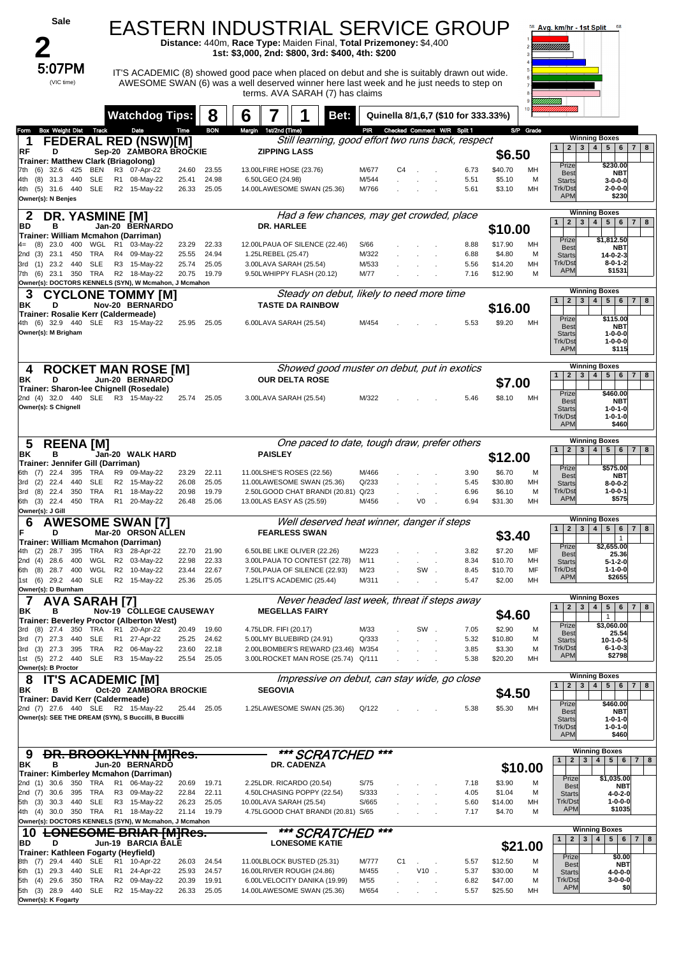| Sale                                                                                            |                                                |                                  | EASTERN INDUSTRIAL SERVICE GROUP<br>Distance: 440m, Race Type: Maiden Final, Total Prizemoney: \$4,400<br>1st: \$3,000, 2nd: \$800, 3rd: \$400, 4th: \$200                                                                |                |                                     |                                                                      |                               | 58 Avg. km/hr - 1st Split<br>68                                                                                                         |
|-------------------------------------------------------------------------------------------------|------------------------------------------------|----------------------------------|---------------------------------------------------------------------------------------------------------------------------------------------------------------------------------------------------------------------------|----------------|-------------------------------------|----------------------------------------------------------------------|-------------------------------|-----------------------------------------------------------------------------------------------------------------------------------------|
| 5:07PM<br>(VIC time)                                                                            |                                                |                                  | IT'S ACADEMIC (8) showed good pace when placed on debut and she is suitably drawn out wide.<br>AWESOME SWAN (6) was a well deserved winner here last week and he just needs to step on<br>terms. AVA SARAH (7) has claims |                |                                     |                                                                      |                               | 'IIIIIIIIII                                                                                                                             |
|                                                                                                 | <b>Watchdog Tips:</b>                          | 8                                | 6<br>Bet:                                                                                                                                                                                                                 |                | Quinella 8/1,6,7 (\$10 for 333.33%) |                                                                      |                               |                                                                                                                                         |
| <b>Box Weight Dist</b><br>Track<br>Form<br>1                                                    | Date<br><b>FEDERAL RED (NSW)[M]</b>            | <b>BON</b><br>Time               | Margin<br>1st/2nd (Time)<br>Still learning, good effort two runs back, respect                                                                                                                                            | PIR            | Checked Comment W/R Split 1         |                                                                      | S/P Grade                     | <b>Winning Boxes</b><br>3   4   5   6   7<br>1<br>2 <sub>1</sub><br>8                                                                   |
| RF<br>D<br>Trainer: Matthew Clark (Briagolong)<br>$(6)$ 32.6<br><b>BEN</b><br>7th<br>425        | Sep-20 ZAMBORA BROCKIE<br>R3<br>07-Apr-22      | 24.60<br>23.55                   | <b>ZIPPING LASS</b><br>13.00LFIRE HOSE (23.76)                                                                                                                                                                            | M/677          | C4                                  | 6.73                                                                 | \$6.50<br>\$40.70<br>МH       | \$230.00<br>Prize                                                                                                                       |
| <b>SLE</b><br>(8)<br>31.3 440<br>4th<br>4th (5) 31.6<br>440<br><b>SLE</b><br>Owner(s): N Benjes | R <sub>1</sub><br>08-May-22<br>R2 15-May-22    | 24.98<br>25.41<br>25.05<br>26.33 | 6.50LGEO (24.98)<br>14.00LAWESOME SWAN (25.36)                                                                                                                                                                            | M/544<br>M/766 |                                     | 5.51<br>5.61                                                         | \$5.10<br>M<br>\$3.10<br>MH   | <b>Best</b><br><b>NBT</b><br><b>Starts</b><br>$3 - 0 - 0 - 0$<br>Trk/Dst<br>$2 - 0 - 0 - 0$<br><b>APM</b><br>\$230                      |
| <b>DR. YASMINE [M]</b><br>2<br>BD<br>в                                                          | Jan-20 BERNARDO                                |                                  | Had a few chances, may get crowded, place<br>DR. HARLEE                                                                                                                                                                   |                |                                     |                                                                      |                               | <b>Winning Boxes</b><br>1<br>$\overline{2}$<br>$\mathbf{3}$<br>4<br>5 <sub>5</sub><br>6<br>$\overline{7}$                               |
| Trainer: William Mcmahon (Darriman)<br>WGL<br>(8)<br>23.0<br>400<br>4=                          | R1 03-May-22                                   | 23.29<br>22.33                   | 12.00LPAUA OF SILENCE (22.46)                                                                                                                                                                                             | S/66           |                                     | 8.88                                                                 | \$10.00<br>\$17.90<br>МH      | Prize<br>\$1,812.50                                                                                                                     |
| 23.1<br>450<br>TRA<br>2nd (3)                                                                   | R4 09-May-22                                   | 24.94<br>25.55                   | 1.25LREBEL (25.47)                                                                                                                                                                                                        | M/322          |                                     | 6.88                                                                 | \$4.80<br>M                   | <b>Best</b><br>NBT<br><b>Starts</b><br>$14 - 0 - 2 - 3$                                                                                 |
| $(1)$ 23.2 440 SLE<br>3rd<br>350 TRA<br>7th (6) 23.1                                            | R3 15-May-22<br>R2 18-May-22                   | 25.05<br>25.74<br>19.79<br>20.75 | 3.00LAVA SARAH (25.54)<br>9.50LWHIPPY FLASH (20.12)                                                                                                                                                                       | M/533<br>M/77  |                                     | 5.56<br>7.16                                                         | \$14.20<br>MH<br>\$12.90<br>M | Trk/Dst<br>$8 - 0 - 1 - 2$<br><b>APM</b><br>\$1531                                                                                      |
| Owner(s): DOCTORS KENNELS (SYN), W Mcmahon, J Mcmahon                                           |                                                |                                  |                                                                                                                                                                                                                           |                |                                     |                                                                      |                               |                                                                                                                                         |
| З<br><b>CYCLONE TOMMY IMI</b><br>D<br>ΒK                                                        | Nov-20 BERNARDO                                |                                  | Steady on debut, likely to need more time<br><b>TASTE DA RAINBOW</b>                                                                                                                                                      |                |                                     |                                                                      |                               | <b>Winning Boxes</b><br>$1 \mid 2 \mid 3$<br>4   5   6   7  <br>8                                                                       |
| Trainer: Rosalie Kerr (Caldermeade)                                                             |                                                |                                  |                                                                                                                                                                                                                           |                |                                     |                                                                      | \$16.00                       | Prize<br>\$115.00                                                                                                                       |
| 4th (6) 32.9 440 SLE<br>Owner(s): M Brigham                                                     | R3 15-May-22                                   | 25.95<br>25.05                   | 6.00LAVA SARAH (25.54)                                                                                                                                                                                                    | M/454          |                                     | 5.53                                                                 | \$9.20<br>MH                  | <b>Best</b><br>NBT<br><b>Starts</b><br>1-0-0-0<br>Trk/Dst<br>1-0-0-0<br><b>APM</b><br>\$115                                             |
| <b>ROCKET MAN ROSE [M]</b><br>4                                                                 |                                                |                                  | Showed good muster on debut, put in exotics                                                                                                                                                                               |                |                                     |                                                                      |                               | <b>Winning Boxes</b><br>5 6 <br>$\mathbf{1}$<br>2 <sup>1</sup><br>$\overline{7}$<br>8                                                   |
| ΒK<br>D<br>Trainer: Sharon-lee Chignell (Rosedale)                                              | Jun-20 BERNARDO                                |                                  | <b>OUR DELTA ROSE</b>                                                                                                                                                                                                     |                |                                     |                                                                      | \$7.00                        | $\mathbf{3}$<br>4                                                                                                                       |
| 2nd (4) 32.0 440 SLE R3 15-May-22<br>Owner(s): S Chignell                                       |                                                | 25.74<br>25.05                   | 3.00LAVA SARAH (25.54)                                                                                                                                                                                                    | M/322          |                                     | 5.46                                                                 | \$8.10<br>MH                  | \$460.00<br>Prize<br><b>Best</b><br><b>NBT</b><br><b>Starts</b><br>$1 - 0 - 1 - 0$<br>Trk/Dst<br>$1 - 0 - 1 - 0$<br><b>APM</b><br>\$460 |
| 5<br><b>REENA [M]</b>                                                                           |                                                |                                  | One paced to date, tough draw, prefer others                                                                                                                                                                              |                |                                     | <b>Winning Boxes</b><br>$\overline{2}$<br>3   4   5   6   7   8<br>1 |                               |                                                                                                                                         |
| ΒK<br>в<br>Trainer: Jennifer Gill (Darriman)                                                    | Jan-20 WALK HARD                               |                                  | <b>PAISLEY</b>                                                                                                                                                                                                            |                |                                     |                                                                      | \$12.00                       | Prize<br>\$575.00                                                                                                                       |
| $(7)$ 22.4<br>395 TRA<br>6th<br>(2)<br>22.4<br>440<br><b>SLE</b><br>3rd                         | R9<br>09-May-22<br>R2 15-May-22                | 23.29<br>22.11<br>25.05<br>26.08 | 11.00LSHE'S ROSES (22.56)<br>11.00LAWESOME SWAN (25.36)                                                                                                                                                                   | M/466<br>Q/233 |                                     | 3.90<br>5.45                                                         | \$6.70<br>м<br>\$30.80<br>MH  | <b>Best</b><br>NBT<br><b>Starts</b><br>$8 - 0 - 0 - 2$                                                                                  |
| TRA<br>(8)<br>22.4<br>3rd<br>350                                                                | R <sub>1</sub><br>18-May-22                    | 19.79<br>20.98                   | 2.50LGOOD CHAT BRANDI (20.81)                                                                                                                                                                                             | Q/23           |                                     | 6.96                                                                 | \$6.10<br>M                   | Trk/Dst<br>$1 - 0 - 0 - 1$<br><b>APM</b><br>\$575                                                                                       |
| 6th (3) 22.4<br>450 TRA<br>Owner(s): J Gill                                                     | R1 20-May-22                                   | 25.06<br>26.48                   | 13.00LAS EASY AS (25.59)                                                                                                                                                                                                  | M/456          | V0                                  | 6.94                                                                 | \$31.30<br>MH                 |                                                                                                                                         |
| 6<br>F<br>D<br>Trainer: William Mcmahon (Darriman)                                              | <b>AWESOME SWAN [7]</b><br>Mar-20 ORSON ALLEN  |                                  | Well deserved heat winner, danger if steps<br><b>FEARLESS SWAN</b>                                                                                                                                                        |                |                                     |                                                                      | \$3.40                        | <b>Winning Boxes</b><br>2 <br>$3 \mid 4 \mid 5 \mid 6$<br>$\mathbf{1}$<br>7   8<br>$\mathbf{1}$<br>Prize<br>\$2,655.00                  |
| (2) 28.7 395 TRA<br>4th<br>2nd (4)<br>28.6<br>400<br>WGL                                        | R3 28-Apr-22<br>R <sub>2</sub><br>03-May-22    | 22.70<br>21.90<br>22.98<br>22.33 | 6.50LBE LIKE OLIVER (22.26)<br>3.00LPAUA TO CONTEST (22.78)                                                                                                                                                               | M/223<br>M/11  |                                     | 3.82<br>8.34                                                         | \$7.20<br>MF<br>\$10.70<br>MH | <b>Best</b><br>25.36<br>$5 - 1 - 2 - 0$<br><b>Starts</b>                                                                                |
| (8)<br>28.7 400<br>6th                                                                          | WGL R2 10-May-22                               | 22.67<br>23.44                   | 7.50LPAUA OF SILENCE (22.93)                                                                                                                                                                                              | M/23           | SW                                  | 8.45                                                                 | MF<br>\$10.70                 | Trk/Dst<br>$1 - 1 - 0 - 0$<br><b>APM</b><br>\$2655                                                                                      |
| 1st (6) 29.2 440<br><b>SLE</b><br>Owner(s): D Burnham                                           | R2 15-May-22                                   | 25.36<br>25.05                   | 1.25LIT'S ACADEMIC (25.44)                                                                                                                                                                                                | M/311          |                                     | 5.47                                                                 | MH<br>\$2.00                  |                                                                                                                                         |
| 7<br><b>AVA SARAH [7]</b><br>в                                                                  |                                                |                                  | Never headed last week, threat if steps away<br><b>MEGELLAS FAIRY</b>                                                                                                                                                     |                |                                     |                                                                      |                               | <b>Winning Boxes</b><br>$5 \mid 6$<br>$\mathbf{2}$<br>$\mathbf{3}$<br>$\overline{4}$<br>7 8<br>$\mathbf{1}$                             |
| ΒK<br>Trainer: Beverley Proctor (Alberton West)                                                 | Nov-19 COLLEGE CAUSEWAY                        |                                  |                                                                                                                                                                                                                           |                |                                     |                                                                      | \$4.60                        | $\mathbf{1}$<br>Prize<br>\$3,060.00                                                                                                     |
| 3rd (8) 27.4 350<br>TRA<br><b>SLE</b><br>3rd (7) 27.3<br>440                                    | R1 20-Apr-22<br>R1 27-Apr-22                   | 20.49<br>19.60<br>25.25<br>24.62 | 4.75LDR. FIFI (20.17)<br>5.00LMY BLUEBIRD (24.91)                                                                                                                                                                         | M/33<br>Q/333  | SW.                                 | 7.05<br>5.32                                                         | \$2.90<br>M<br>\$10.80<br>M   | <b>Best</b><br>25.54<br><b>Starts</b><br>10-1-0-5                                                                                       |
| TRA<br>3rd (3) 27.3<br>395                                                                      | R2 06-May-22                                   | 22.18<br>23.60                   | 2.00LBOMBER'S REWARD (23.46) M/354                                                                                                                                                                                        |                |                                     | 3.85                                                                 | \$3.30<br>M                   | Trk/Dst<br>$6 - 1 - 0 - 3$<br>\$2798<br><b>APM</b>                                                                                      |
| 1st (5) 27.2 440<br>SLE<br>Owner(s): B Proctor                                                  | R3 15-May-22                                   | 25.54<br>25.05                   | 3.00LROCKET MAN ROSE (25.74) Q/111                                                                                                                                                                                        |                |                                     | 5.38                                                                 | \$20.20<br>MH                 |                                                                                                                                         |
| 8<br>IT'S ACADEMIC [M]                                                                          |                                                |                                  | Impressive on debut, can stay wide, go close                                                                                                                                                                              |                |                                     |                                                                      |                               | <b>Winning Boxes</b><br>$2^{\circ}$<br>3 <sup>1</sup><br>4 <sup>1</sup><br>$5\overline{ }$<br>$6\phantom{.}6$<br>7 8<br>$\mathbf{1}$    |
| ΒK<br>в<br>Trainer: David Kerr (Caldermeade)                                                    | Oct-20 ZAMBORA BROCKIE                         |                                  | <b>SEGOVIA</b>                                                                                                                                                                                                            |                |                                     |                                                                      | \$4.50                        |                                                                                                                                         |
| 2nd (7) 27.6 440 SLE R2 15-May-22<br>Owner(s): SEE THE DREAM (SYN), S Buccilli, B Buccilli      |                                                | 25.44 25.05                      | 1.25LAWESOME SWAN (25.36)                                                                                                                                                                                                 | Q/122          |                                     | 5.38                                                                 | \$5.30<br>МH                  | Prize<br>\$460.00<br><b>Best</b><br><b>NBT</b><br>$1 - 0 - 1 - 0$<br><b>Starts</b><br>Trk/Dst<br>$1 - 0 - 1 - 0$<br><b>APM</b><br>\$460 |
| <b>DR. BROOKLYNN [M]Res.</b><br>9<br>в<br>BK<br>Trainer: Kimberley Mcmahon (Darriman)           | Jun-20 BERNARDO                                |                                  | *** SCRATCHED<br>DR. CADENZA                                                                                                                                                                                              | ***            |                                     |                                                                      | \$10.00                       | <b>Winning Boxes</b><br>$3 \mid 4 \mid 5 \mid 6$<br>1<br>2 <br>7 <sup>1</sup><br>8                                                      |
| 30.6<br>350<br>TRA<br>2nd (1)                                                                   | R1 06-May-22                                   | 20.69<br>19.71                   | 2.25LDR. RICARDO (20.54)                                                                                                                                                                                                  | S/75           |                                     | 7.18                                                                 | \$3.90<br>M                   | Prize<br>\$1,035.00<br><b>Best</b><br><b>NBT</b>                                                                                        |
| 2nd (7)<br>30.6<br>395<br>TRA<br><b>SLE</b><br>(3)<br>30.3<br>440<br>5th                        | 09-May-22<br>R3<br>R <sub>3</sub><br>15-May-22 | 22.11<br>22.84<br>26.23<br>25.05 | 4.50LCHASING POPPY (22.54)<br>10.00LAVA SARAH (25.54)                                                                                                                                                                     | S/333<br>S/665 |                                     | 4.05<br>5.60                                                         | \$1.04<br>M<br>\$14.00<br>MH  | <b>Starts</b><br>4-0-2-0<br>Trk/Dst<br>$1 - 0 - 0 - 0$                                                                                  |
| 350 TRA<br>4th (4)<br>30.0<br>Owner(s): DOCTORS KENNELS (SYN), W Mcmahon, J Mcmahon             | R1 18-May-22                                   | 21.14<br>19.79                   | 4.75LGOOD CHAT BRANDI (20.81) S/65                                                                                                                                                                                        |                |                                     | 7.17                                                                 | \$4.70<br>M                   | \$1035<br><b>APM</b>                                                                                                                    |
| <b>LONESOME BRIAR [M]Res.</b><br>10                                                             |                                                |                                  | *** SCRATCHED                                                                                                                                                                                                             | ***            |                                     |                                                                      |                               | <b>Winning Boxes</b><br>4<br>5   6  <br>2 <sub>1</sub><br>3 <br>1<br>7 <br>8                                                            |
| D<br>BD<br>Trainer: Kathleen Fogarty (Heyfield)                                                 | Jun-19 BARCIA BALE                             |                                  | <b>LONESOME KATIE</b>                                                                                                                                                                                                     |                |                                     |                                                                      | \$21.00                       |                                                                                                                                         |
| 29.4<br>440<br>SLE<br>8th (7)                                                                   | R1 10-Apr-22                                   | 26.03<br>24.54                   | 11.00LBLOCK BUSTED (25.31)                                                                                                                                                                                                | M/777          | C <sub>1</sub>                      | 5.57                                                                 | \$12.50<br>M                  | Prize<br>\$0.00<br><b>Best</b><br><b>NBT</b>                                                                                            |
| 6th (1)<br>29.3<br>440<br>SLE<br>TRA<br>(4)<br>29.6<br>350<br>5th                               | R1 24-Apr-22<br>R <sub>2</sub><br>09-May-22    | 25.93<br>24.57<br>20.39<br>19.91 | 16.00LRIVER ROUGH (24.86)<br>6.00LVELOCITY DANIKA (19.99)                                                                                                                                                                 | M/455<br>M/55  | $V10$ .                             | 5.37<br>6.82                                                         | \$30.00<br>M<br>\$47.00<br>M  | <b>Starts</b><br>4-0-0-0<br>Trk/Dst<br>$3 - 0 - 0 - 0$                                                                                  |
| <b>SLE</b><br>5th (3) 28.9<br>440<br>Owner(s): K Fogarty                                        | R2 15-May-22                                   | 25.05<br>26.33                   | 14.00LAWESOME SWAN (25.36)                                                                                                                                                                                                | M/654          |                                     | 5.57                                                                 | \$25.50<br>MH                 | <b>APM</b><br>\$0                                                                                                                       |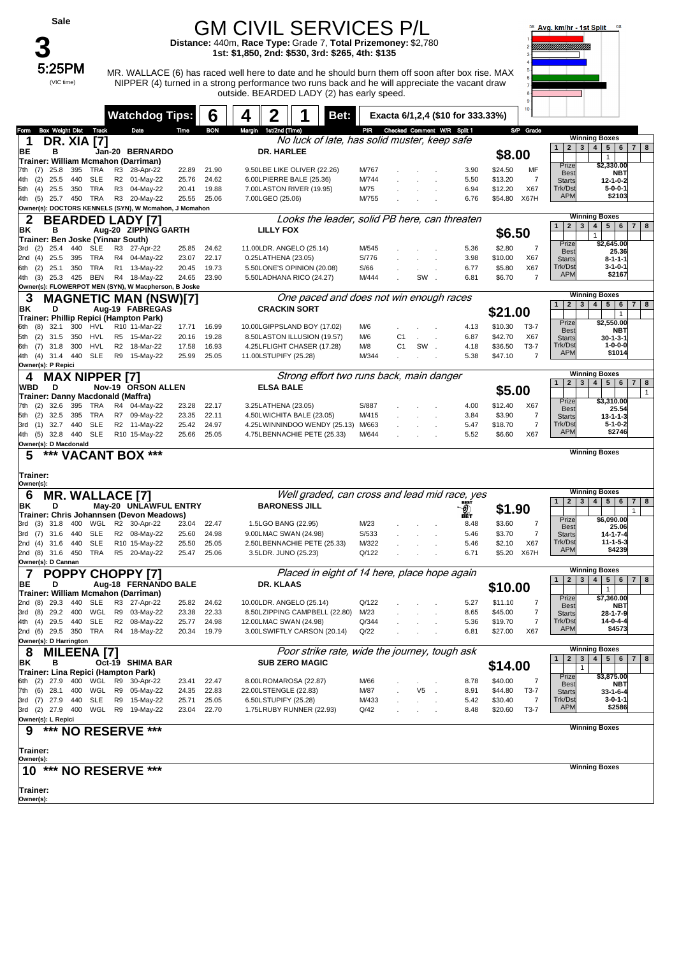| Sale                                                                                  |                                                |                |                | <b>GM CIVIL SERVICES P/L</b><br>Distance: 440m, Race Type: Grade 7, Total Prizemoney: \$2,780<br>1st: \$1,850, 2nd: \$530, 3rd: \$265, 4th: \$135                                                                                                |                |                                   |              |                                            | Avg. km/hr - 1st Split                                                                         |
|---------------------------------------------------------------------------------------|------------------------------------------------|----------------|----------------|--------------------------------------------------------------------------------------------------------------------------------------------------------------------------------------------------------------------------------------------------|----------------|-----------------------------------|--------------|--------------------------------------------|------------------------------------------------------------------------------------------------|
| 5:25PM<br>(VIC time)                                                                  |                                                |                |                | MR. WALLACE (6) has raced well here to date and he should burn them off soon after box rise. MAX<br>NIPPER (4) turned in a strong performance two runs back and he will appreciate the vacant draw<br>outside. BEARDED LADY (2) has early speed. |                |                                   |              |                                            |                                                                                                |
|                                                                                       | <b>Watchdog Tips:</b>                          |                | 6              | 2<br>Bet:<br>4                                                                                                                                                                                                                                   |                | Exacta 6/1,2,4 (\$10 for 333.33%) |              |                                            |                                                                                                |
| Track<br><b>Box Weight Dist</b><br>Form                                               | Date                                           | Time           | <b>BON</b>     | Margin 1st/2nd (Time)                                                                                                                                                                                                                            |                | PIR Checked Comment W/R Split 1   |              | S/P Grade                                  |                                                                                                |
| <b>DR. XIA [7]</b><br>1                                                               |                                                |                |                | No luck of late, has solid muster, keep safe                                                                                                                                                                                                     |                |                                   |              |                                            | <b>Winning Boxes</b><br>3 <sup>1</sup><br>5   6   7   8<br>1 <br>2                             |
| ВE<br>в                                                                               | Jan-20 BERNARDO                                |                |                | <b>DR. HARLEE</b>                                                                                                                                                                                                                                |                |                                   |              | \$8.00                                     | 4 <br>$\mathbf{1}$                                                                             |
| Trainer: William Mcmahon (Darriman)<br>TRA<br>25.8<br>395<br>7th (7)                  | R3 28-Apr-22                                   | 22.89          | 21.90          | 9.50LBE LIKE OLIVER (22.26)                                                                                                                                                                                                                      | M/767          |                                   | 3.90         | \$24.50<br>MF                              | Prize<br>\$2,330.00<br><b>Best</b><br><b>NBT</b>                                               |
| (2)<br>25.5<br>440<br>SLE<br>4th                                                      | R2 01-May-22                                   | 25.76          | 24.62          | 6.00LPIERRE BALE (25.36)                                                                                                                                                                                                                         | M/744          |                                   | 5.50         | \$13.20<br>7                               | <b>Starts</b><br>12-1-0-2                                                                      |
| TRA<br>25.5<br>350<br>5th<br>(4)<br>25.7 450 TRA<br>4th (5)                           | R3 04-May-22<br>R3 20-May-22                   | 20.41<br>25.55 | 19.88<br>25.06 | 7.00LASTON RIVER (19.95)<br>7.00LGEO (25.06)                                                                                                                                                                                                     | M/75<br>M/755  |                                   | 6.94<br>6.76 | X67<br>\$12.20<br>\$54.80<br>X67H          | Trk/Dst<br>$5 - 0 - 0 - 1$<br><b>APM</b><br>\$2103                                             |
| Owner(s): DOCTORS KENNELS (SYN), W Mcmahon, J Mcmahon                                 |                                                |                |                |                                                                                                                                                                                                                                                  |                |                                   |              |                                            |                                                                                                |
| 2<br><b>BEARDED LADY [7]</b>                                                          |                                                |                |                | Looks the leader, solid PB here, can threaten                                                                                                                                                                                                    |                |                                   |              |                                            | <b>Winning Boxes</b><br>$\mathbf{2}$<br>3<br>4<br>5 6 <br>1<br>7 <sup>1</sup><br>8             |
| ΒK<br>в                                                                               | Aug-20 ZIPPING GARTH                           |                |                | <b>LILLY FOX</b>                                                                                                                                                                                                                                 |                |                                   |              | \$6.50                                     | $\mathbf{1}$                                                                                   |
| Trainer: Ben Joske (Yinnar South)<br><b>SLE</b><br>$(2)$ 25.4<br>440<br>3rd           | R3 27-Apr-22                                   | 25.85          | 24.62          | 11.00LDR. ANGELO (25.14)                                                                                                                                                                                                                         | M/545          |                                   | 5.36         | \$2.80<br>7                                | \$2,645.00<br>Prize                                                                            |
| 25.5<br>395<br>TRA<br>2nd (4)                                                         | R4 04-May-22                                   | 23.07          | 22.17          | 0.25LATHENA (23.05)                                                                                                                                                                                                                              | S/776          |                                   | 3.98         | \$10.00<br>X67                             | <b>Best</b><br>25.36<br><b>Starts</b><br>8-1-1-1                                               |
| TRA<br>25.1<br>350<br>6th<br>(2)                                                      | R <sub>1</sub><br>13-May-22                    | 20.45          | 19.73          | 5.50LONE'S OPINION (20.08)                                                                                                                                                                                                                       | S/66           |                                   | 6.77         | X67<br>\$5.80<br>$\overline{7}$            | Trk/Dst<br>$3 - 1 - 0 - 1$<br><b>APM</b><br>\$2167                                             |
| 425 BEN<br>(3)<br>25.3<br>4th<br>Owner(s): FLOWERPOT MEN (SYN), W Macpherson, B Joske | R4 18-May-22                                   | 24.65          | 23.90          | 5.50LADHANA RICO (24.27)                                                                                                                                                                                                                         | M/444          | SW                                | 6.81         | \$6.70                                     |                                                                                                |
| З                                                                                     | <b>MAGNETIC MAN (NSW)[7]</b>                   |                |                | One paced and does not win enough races                                                                                                                                                                                                          |                |                                   |              |                                            | <b>Winning Boxes</b>                                                                           |
| ΒK<br>D                                                                               | Aug-19 FABREGAS                                |                |                | <b>CRACKIN SORT</b>                                                                                                                                                                                                                              |                |                                   |              | \$21.00                                    | 1<br>$\mathbf{2}$<br>3 <sup>1</sup><br>4 <br>5 <sup>5</sup><br>6<br>$7 \mid 8$<br>$\mathbf{1}$ |
| Trainer: Phillip Repici (Hampton Park)<br>32.1<br>300<br>HVL<br>(8)<br>6th            | R10 11-Mar-22                                  | 17.71          | 16.99          | 10.00LGIPPSLAND BOY (17.02)                                                                                                                                                                                                                      | M/6            |                                   | 4.13         | \$10.30<br>T3-7                            | \$2,550.00<br>Prize                                                                            |
| (2)<br>31.5<br>350<br>HVL<br>5th                                                      | R5 15-Mar-22                                   | 20.16          | 19.28          | 8.50LASTON ILLUSION (19.57)                                                                                                                                                                                                                      | M/6            | C <sub>1</sub>                    | 6.87         | \$42.70<br>X67                             | <b>NBT</b><br><b>Best</b><br><b>Starts</b><br>30-1-3-1                                         |
| (7)<br>31.8<br>300<br>HVL<br>6th                                                      | R <sub>2</sub><br>18-Mar-22                    | 17.58          | 16.93          | 4.25LFLIGHT CHASER (17.28)                                                                                                                                                                                                                       | M/8            | SW.<br>C <sub>1</sub>             | 4.18         | \$36.50<br>T3-7                            | Trk/Dst<br>$1 - 0 - 0 - 0$<br><b>APM</b><br>\$1014                                             |
| <b>SLE</b><br>4th (4) 31.4 440<br>Owner(s): P Repici                                  | R9 15-May-22                                   | 25.99          | 25.05          | 11.00LSTUPIFY (25.28)                                                                                                                                                                                                                            | M/344          |                                   | 5.38         | \$47.10<br>7                               |                                                                                                |
| <b>MAX NIPPER [7]</b>                                                                 |                                                |                |                | Strong effort two runs back, main danger                                                                                                                                                                                                         |                |                                   |              |                                            | <b>Winning Boxes</b>                                                                           |
| WBD<br>D                                                                              | Nov-19 ORSON ALLEN                             |                |                | <b>ELSA BALE</b>                                                                                                                                                                                                                                 |                |                                   |              | \$5.00                                     | 3 <sup>1</sup><br>4   5   6<br>1<br>2 <sub>1</sub><br>$7 \mid 8$<br>$\mathbf{1}$               |
| Trainer: Danny Macdonald (Maffra)<br>32.6<br>395<br>TRA<br>7th (2)                    | R4 04-May-22                                   | 23.28          | 22.17          | 3.25LATHENA (23.05)                                                                                                                                                                                                                              | S/887          |                                   | 4.00         | \$12.40<br>X67                             | Prize<br>\$3,310.00                                                                            |
| (2)<br>32.5<br>395<br>TRA<br>5th                                                      | R7 09-May-22                                   | 23.35          | 22.11          | 4.50LWICHITA BALE (23.05)                                                                                                                                                                                                                        | M/415          |                                   | 3.84         | \$3.90<br>7                                | <b>Best</b><br>25.54<br><b>Starts</b><br>13-1-1-3                                              |
| <b>SLE</b><br>32.7<br>440<br>3rd<br>(1)                                               | R2 11-May-22                                   | 25.42          | 24.97          | 4.25LWINNINDOO WENDY (25.13)                                                                                                                                                                                                                     | M/663          |                                   | 5.47         | $\overline{7}$<br>\$18.70                  | Trk/Dst<br>$5 - 1 - 0 - 2$                                                                     |
| <b>SLE</b><br>4th (5) 32.8<br>440<br>Owner(s): D Macdonald                            | R10 15-May-22                                  | 25.66          | 25.05          | 4.75LBENNACHIE PETE (25.33)                                                                                                                                                                                                                      | M/644          |                                   | 5.52         | \$6.60<br>X67                              | <b>APM</b><br>\$2746                                                                           |
| ***<br>5                                                                              | <b>VACANT BOX ***</b>                          |                |                |                                                                                                                                                                                                                                                  |                |                                   |              |                                            | <b>Winning Boxes</b>                                                                           |
| Trainer:                                                                              |                                                |                |                |                                                                                                                                                                                                                                                  |                |                                   |              |                                            |                                                                                                |
| Owner(s):<br><b>MR. WALLACE [7]</b>                                                   |                                                |                |                | Well graded, can cross and lead mid race, yes                                                                                                                                                                                                    |                |                                   |              |                                            | <b>Winning Boxes</b>                                                                           |
| 6<br>ΒK<br>D                                                                          | May-20 UNLAWFUL ENTRY                          |                |                | <b>BARONESS JILL</b>                                                                                                                                                                                                                             |                |                                   | O            |                                            | 2 <br>3   4   5  <br>$6\phantom{.}6$<br>8<br>1<br>7 <sup>1</sup>                               |
| Trainer: Chris Johannsen (Devon Meadows)                                              |                                                |                |                |                                                                                                                                                                                                                                                  |                |                                   |              | \$1.90                                     | $\mathbf{1}$<br>Prize<br>\$6,090.00                                                            |
| WGL<br>(3)<br>31.8<br>400<br>3rd<br><b>SLE</b>                                        | R2 30-Apr-22<br>R2 08-May-22                   | 23.04          | 22.47          | 1.5LGO BANG (22.95)                                                                                                                                                                                                                              | M/23           |                                   | 8.48         | $\overline{7}$<br>\$3.60<br>$\overline{7}$ | 25.06<br><b>Best</b>                                                                           |
| (7)<br>31.6 440<br>3rd<br><b>SLE</b><br>2nd (4) 31.6 440                              | R10 15-May-22                                  | 25.60<br>25.50 | 24.98<br>25.05 | 9.00LMAC SWAN (24.98)<br>2.50LBENNACHIE PETE (25.33)                                                                                                                                                                                             | S/533<br>M/322 |                                   | 5.46<br>5.46 | \$3.70<br>\$2.10<br>X67                    | $14 - 1 - 7 - 4$<br><b>Starts</b><br>Trk/Dst<br>$11 - 1 - 5 - 3$                               |
| TRA<br>2nd (8) 31.6 450                                                               | R5 20-May-22                                   | 25.47          | 25.06          | 3.5LDR. JUNO (25.23)                                                                                                                                                                                                                             | Q/122          |                                   | 6.71         | \$5.20 X67H                                | <b>APM</b><br>\$4239                                                                           |
| Owner(s): D Cannan                                                                    |                                                |                |                | Placed in eight of 14 here, place hope again                                                                                                                                                                                                     |                |                                   |              |                                            | <b>Winning Boxes</b>                                                                           |
| 7<br><b>POPPY CHOPPY [7]</b><br>BЕ<br>D                                               | Aug-18 FERNANDO BALE                           |                |                | DR. KLAAS                                                                                                                                                                                                                                        |                |                                   |              |                                            | $2 \mid 3 \mid$<br>4   5   6   7   8<br>1                                                      |
| Trainer: William Mcmahon (Darriman)                                                   |                                                |                |                |                                                                                                                                                                                                                                                  |                |                                   |              | \$10.00                                    | $\mathbf{1}$<br>\$7,360.00<br>Prize                                                            |
| 29.3<br>440<br>SLE<br>2nd (8)                                                         | R3 27-Apr-22                                   | 25.82          | 24.62<br>22.33 | 10.00LDR. ANGELO (25.14)                                                                                                                                                                                                                         | Q/122          |                                   | 5.27         | \$11.10<br>7                               | NBT<br><b>Best</b>                                                                             |
| (8)<br>29.2 400<br>WGL<br>3rd<br>4th (4) 29.5 440<br>SLE                              | R9 03-May-22<br>R2 08-May-22                   | 23.38<br>25.77 | 24.98          | 8.50LZIPPING CAMPBELL (22.80)<br>12.00LMAC SWAN (24.98)                                                                                                                                                                                          | M/23<br>Q/344  |                                   | 8.65<br>5.36 | \$45.00<br>7<br>$\overline{7}$<br>\$19.70  | 28-1-7-9<br><b>Starts</b><br>$14 - 0 - 4 - 4$<br>Trk/Dst                                       |
| 2nd (6) 29.5 350 TRA                                                                  | R4 18-May-22                                   | 20.34          | 19.79          | 3.00LSWIFTLY CARSON (20.14)                                                                                                                                                                                                                      | Q/22           |                                   | 6.81         | \$27.00<br>X67                             | <b>APM</b><br>\$4573                                                                           |
| Owner(s): D Harrington                                                                |                                                |                |                |                                                                                                                                                                                                                                                  |                |                                   |              |                                            | <b>Winning Boxes</b>                                                                           |
| <b>MILEENA [7]</b><br>8<br>в<br>ΒK                                                    | Oct-19 SHIMA BAR                               |                |                | Poor strike rate, wide the journey, tough ask<br><b>SUB ZERO MAGIC</b>                                                                                                                                                                           |                |                                   |              |                                            | 3 <br>4   5   6   7   8<br>1 <sup>1</sup><br>2 <sup>1</sup>                                    |
| Trainer: Lina Repici (Hampton Park)                                                   |                                                |                |                |                                                                                                                                                                                                                                                  |                |                                   |              | \$14.00                                    | Prize<br>\$3,875.00                                                                            |
| 6th (2) 27.9<br>400                                                                   | WGL R9<br>30-Apr-22                            | 23.41          | 22.47          | 8.00LROMAROSA (22.87)                                                                                                                                                                                                                            | M/66           |                                   | 8.78         | \$40.00<br>$\overline{7}$                  | <b>Best</b><br>NBT                                                                             |
| 28.1<br>400<br>WGL<br>7th (6)<br>$(7)$ 27.9<br>SLE<br>- 440<br>3rd                    | R9<br>05-May-22<br>R <sub>9</sub><br>15-May-22 | 24.35<br>25.71 | 22.83<br>25.05 | 22.00LSTENGLE (22.83)<br>6.50LSTUPIFY (25.28)                                                                                                                                                                                                    | M/87<br>M/433  | V5                                | 8.91<br>5.42 | \$44.80<br>T3-7<br>\$30.40<br>7            | <b>Starts</b><br>$33 - 1 - 6 - 4$<br>Trk/Dst<br>$3 - 0 - 1 - 1$                                |
| 3rd (2) 27.9 400                                                                      | WGL R9 19-May-22                               | 23.04          | 22.70          | 1.75LRUBY RUNNER (22.93)                                                                                                                                                                                                                         | Q/42           |                                   | 8.48         | \$20.60<br>T3-7                            | \$2586<br><b>APM</b>                                                                           |
| Owner(s): L Repici                                                                    |                                                |                |                |                                                                                                                                                                                                                                                  |                |                                   |              |                                            | <b>Winning Boxes</b>                                                                           |
| *** NO RESERVE ***<br>9                                                               |                                                |                |                |                                                                                                                                                                                                                                                  |                |                                   |              |                                            |                                                                                                |
| Trainer:                                                                              |                                                |                |                |                                                                                                                                                                                                                                                  |                |                                   |              |                                            |                                                                                                |
| Owner(s):                                                                             | ***                                            |                |                |                                                                                                                                                                                                                                                  |                |                                   |              |                                            | <b>Winning Boxes</b>                                                                           |
| 10 *** NO RESERVE                                                                     |                                                |                |                |                                                                                                                                                                                                                                                  |                |                                   |              |                                            |                                                                                                |
| Trainer:                                                                              |                                                |                |                |                                                                                                                                                                                                                                                  |                |                                   |              |                                            |                                                                                                |
| Owner(s):                                                                             |                                                |                |                |                                                                                                                                                                                                                                                  |                |                                   |              |                                            |                                                                                                |
|                                                                                       |                                                |                |                |                                                                                                                                                                                                                                                  |                |                                   |              |                                            |                                                                                                |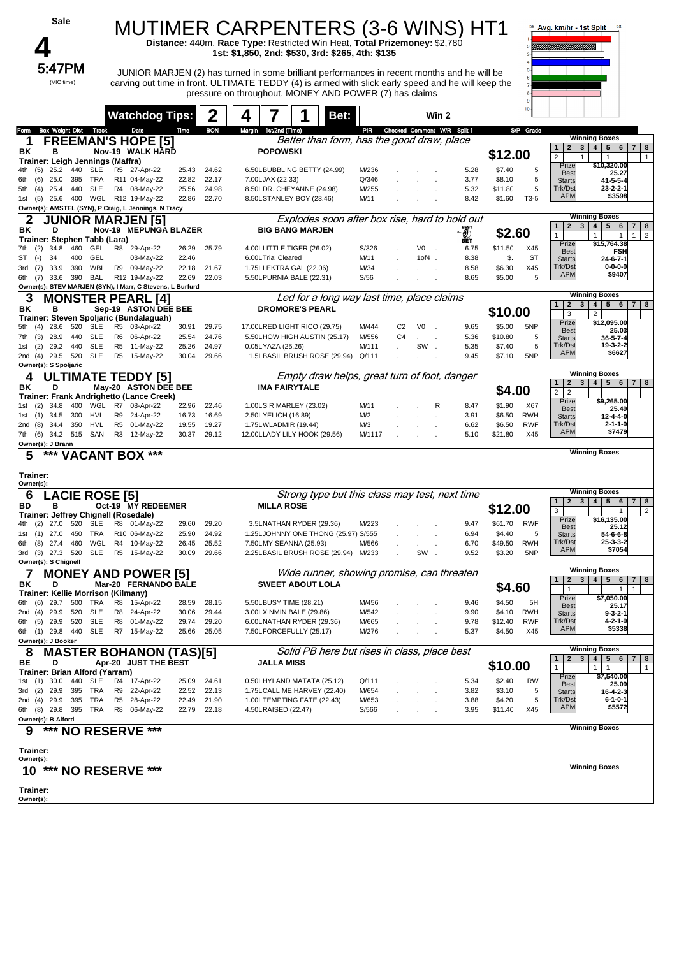| Sale                                                                                                                                                                                                                         |                                                        |                |                | <b>MUTIMER CARPENTERS (3-6 WINS) HT1</b>                                                                                                                                                                                                                    |                |                |                             |                            |                   |                   | Avg. km/hr - 1st Split                                       |                                                                                                       |
|------------------------------------------------------------------------------------------------------------------------------------------------------------------------------------------------------------------------------|--------------------------------------------------------|----------------|----------------|-------------------------------------------------------------------------------------------------------------------------------------------------------------------------------------------------------------------------------------------------------------|----------------|----------------|-----------------------------|----------------------------|-------------------|-------------------|--------------------------------------------------------------|-------------------------------------------------------------------------------------------------------|
|                                                                                                                                                                                                                              |                                                        |                |                | Distance: 440m, Race Type: Restricted Win Heat, Total Prizemoney: \$2,780<br>1st: \$1,850, 2nd: \$530, 3rd: \$265, 4th: \$135                                                                                                                               |                |                |                             |                            |                   |                   |                                                              |                                                                                                       |
| 5:47PM<br>(VIC time)                                                                                                                                                                                                         |                                                        |                |                | JUNIOR MARJEN (2) has turned in some brilliant performances in recent months and he will be<br>carving out time in front. ULTIMATE TEDDY (4) is armed with slick early speed and he will keep the<br>pressure on throughout. MONEY AND POWER (7) has claims |                |                |                             |                            |                   |                   |                                                              |                                                                                                       |
|                                                                                                                                                                                                                              | <b>Watchdog Tips:</b>                                  |                | 2              | 4<br>Bet:                                                                                                                                                                                                                                                   |                |                | Win 2                       |                            |                   |                   |                                                              |                                                                                                       |
| Box Weight Dist Track<br>Form                                                                                                                                                                                                | Date                                                   | Time           | <b>BON</b>     | Margin 1st/2nd (Time)                                                                                                                                                                                                                                       | PIR            |                | Checked Comment W/R Split 1 |                            |                   | S/P Grade         |                                                              |                                                                                                       |
| 1<br>ΒK<br>в<br>Trainer: Leigh Jennings (Maffra)                                                                                                                                                                             | <b>FREEMAN'S HOPE [5]</b><br>Nov-19 WALK HARD          |                |                | Better than form, has the good draw, place<br><b>POPOWSKI</b>                                                                                                                                                                                               |                |                |                             |                            | \$12.00           |                   | 2 <sup>1</sup><br>3 <br>1<br>$\overline{2}$                  | <b>Winning Boxes</b><br>5 <sup>1</sup><br>4 <br>$6 \mid 7 \mid$<br>8<br>$\mathbf{1}$<br>$\mathbf{1}$  |
| 25.2 440<br>SLE<br>(5)<br>4th -                                                                                                                                                                                              | R5 27-Apr-22                                           | 25.43          | 24.62          | 6.50LBUBBLING BETTY (24.99)                                                                                                                                                                                                                                 | M/236          |                |                             | 5.28                       | \$7.40            | 5                 | Prize<br><b>Best</b>                                         | \$10,320.00<br>25.27                                                                                  |
| (6)<br>25.0<br>395<br>TRA<br>6th<br><b>SLE</b><br>(4)<br>25.4<br>440<br>5th                                                                                                                                                  | R11 04-May-22<br>R4 08-May-22                          | 22.82<br>25.56 | 22.17<br>24.98 | 7.00LJAX (22.33)<br>8.50LDR. CHEYANNE (24.98)                                                                                                                                                                                                               | Q/346<br>M/255 |                |                             | 3.77<br>5.32               | \$8.10<br>\$11.80 | 5<br>5            | <b>Starts</b><br>Trk/Dst                                     | $41 - 5 - 5 - 4$<br>$23 - 2 - 2 - 1$                                                                  |
| (5)<br>25.6<br>1st<br>Owner(s): AMSTEL (SYN), P Craig, L Jennings, N Tracy                                                                                                                                                   | 400 WGL R12 19-May-22                                  | 22.86          | 22.70          | 8.50LSTANLEY BOY (23.46)                                                                                                                                                                                                                                    | M/11           |                |                             | 8.42                       | \$1.60            | T3-5              | <b>APM</b>                                                   | \$3598                                                                                                |
| <b>Winning Boxes</b><br>Explodes soon after box rise, hard to hold out<br>2<br><b>JUNIOR MARJEN [5]</b><br>2 <sup>2</sup><br>3 <br>4 <br>5 <sub>5</sub><br>6<br>$\overline{7}$<br>$\mathbf{1}$<br>D<br>Nov-19 MEPUNGA BLAZER |                                                        |                |                |                                                                                                                                                                                                                                                             |                |                |                             |                            |                   | 8                 |                                                              |                                                                                                       |
| ΒK<br>Trainer: Stephen Tabb (Lara)                                                                                                                                                                                           |                                                        |                |                | <b>BIG BANG MARJEN</b>                                                                                                                                                                                                                                      |                |                |                             | $\mathcal{Q}_\mathrm{eff}$ | \$2.60            |                   | $\mathbf{1}$<br>Prize                                        | $\overline{2}$<br>1<br>$\mathbf{1}$<br>$\mathbf{1}$<br>\$15,764.38                                    |
| 460<br>(2)<br>34.8<br>GEL<br>7th<br>ST<br>$(-)$<br>34<br>400<br>GEL                                                                                                                                                          | R8 29-Apr-22<br>03-May-22                              | 26.29<br>22.46 | 25.79          | 4.00LLITTLE TIGER (26.02)<br>6.00LTrial Cleared                                                                                                                                                                                                             | S/326<br>M/11  |                | V <sub>0</sub><br>$10f4$ .  | 6.75<br>8.38               | \$11.50<br>\$.    | X45<br><b>ST</b>  | <b>Best</b><br><b>Starts</b>                                 | <b>FSH</b><br>$24 - 6 - 7 - 1$                                                                        |
| WBL<br>(7)<br>33.9<br>390<br>3rd                                                                                                                                                                                             | R9 09-May-22                                           | 22.18          | 21.67          | 1.75LLEKTRA GAL (22.06)                                                                                                                                                                                                                                     | M/34           |                |                             | 8.58                       | \$6.30            | X45               | Trk/Dst                                                      | $0 - 0 - 0 - 0$                                                                                       |
| 33.6 390<br>BAL<br>6th (7)                                                                                                                                                                                                   | R12 19-May-22                                          | 22.69          | 22.03          | 5.50LPURNIA BALE (22.31)                                                                                                                                                                                                                                    | S/56           |                |                             | 8.65                       | \$5.00            | 5                 | <b>APM</b>                                                   | \$9407                                                                                                |
| Owner(s): STEV MARJEN (SYN), I Marr, C Stevens, L Burfurd<br>3                                                                                                                                                               | <b>MONSTER PEARL [4]</b>                               |                |                | Led for a long way last time, place claims                                                                                                                                                                                                                  |                |                |                             |                            |                   |                   |                                                              | <b>Winning Boxes</b>                                                                                  |
| ΒK<br>в                                                                                                                                                                                                                      | Sep-19 ASTON DEE BEE                                   |                |                | <b>DROMORE'S PEARL</b>                                                                                                                                                                                                                                      |                |                |                             |                            | \$10.00           |                   | 2 <br>3 <sup>1</sup><br>1<br>3                               | 5 <sup>1</sup><br>4 <br>$6 \mid$<br>7 <sup>1</sup><br>8<br>$\overline{2}$                             |
| Trainer: Steven Spoljaric (Bundalaguah)<br>520<br><b>SLE</b><br>(4)<br>28.6<br>5th                                                                                                                                           | R5 03-Apr-22                                           | 30.91          | 29.75          | 17.00LRED LIGHT RICO (29.75)                                                                                                                                                                                                                                | M/444          | C <sub>2</sub> | V <sub>0</sub>              | 9.65                       | \$5.00            | 5NP               | Prize<br><b>Best</b>                                         | \$12,095.00<br>25.03                                                                                  |
| <b>SLE</b><br>(3)<br>28.9<br>440<br>7th                                                                                                                                                                                      | R6 06-Apr-22                                           | 25.54          | 24.76          | 5.50LHOW HIGH AUSTIN (25.17)                                                                                                                                                                                                                                | M/556          | C <sub>4</sub> | $\ddot{\phantom{a}}$        | 5.36                       | \$10.80           | 5                 | <b>Starts</b>                                                | $36 - 5 - 7 - 4$                                                                                      |
| 440<br><b>SLE</b><br>1st (2)<br>29.2<br>2nd (4) 29.5 520<br>SLE                                                                                                                                                              | R5 11-May-22<br>R5 15-May-22                           | 25.26<br>30.04 | 24.97<br>29.66 | 0.05LYAZA (25.26)<br>1.5LBASIL BRUSH ROSE (29.94) Q/111                                                                                                                                                                                                     | M/111          |                | SW.                         | 5.35<br>9.45               | \$7.40<br>\$7.10  | 5<br>5NP          | Trk/Dst<br><b>APM</b>                                        | 19-3-2-2<br>\$6627                                                                                    |
| Owner(s): S Spoljaric                                                                                                                                                                                                        |                                                        |                |                |                                                                                                                                                                                                                                                             |                |                |                             |                            |                   |                   |                                                              |                                                                                                       |
| 4<br>D<br>ΒK                                                                                                                                                                                                                 | <b>ULTIMATE TEDDY [5]</b><br>May-20 ASTON DEE BEE      |                |                | Empty draw helps, great turn of foot, danger<br><b>IMA FAIRYTALE</b>                                                                                                                                                                                        |                |                |                             |                            | \$4.00            |                   | 3 <br>1<br>$\mathbf{2}$                                      | <b>Winning Boxes</b><br>4 <br>5 <sup>1</sup><br>6 <sup>1</sup><br>7 <sup>1</sup><br>8                 |
| Trainer: Frank Andrighetto (Lance Creek)                                                                                                                                                                                     |                                                        |                |                |                                                                                                                                                                                                                                                             |                |                |                             |                            |                   |                   | 2 <sup>1</sup><br>$\overline{2}$<br>Prize                    | \$9,265.00                                                                                            |
| (2)<br>400<br>WGL<br>34.8<br>1st -<br>1st (1) 34.5<br>300<br>HVL                                                                                                                                                             | R7 08-Apr-22<br>R9 24-Apr-22                           | 22.96<br>16.73 | 22.46<br>16.69 | 1.00LSIR MARLEY (23.02)<br>2.50LYELICH (16.89)                                                                                                                                                                                                              | M/11<br>M/2    |                | R                           | 8.47<br>3.91               | \$1.90<br>\$6.50  | X67<br><b>RWH</b> | <b>Best</b><br><b>Starts</b>                                 | 25.49<br>$12 - 4 - 4 - 0$                                                                             |
| 2nd (8)<br>34.4<br>350<br>HVL                                                                                                                                                                                                | R5 01-May-22                                           | 19.55          | 19.27          | 1.75LWLADMIR (19.44)                                                                                                                                                                                                                                        | M/3            |                |                             | 6.62                       | \$6.50            | <b>RWF</b>        | Trk/Dst<br><b>APM</b>                                        | $2 - 1 - 1 - 0$<br>\$7479                                                                             |
| 7th (6) 34.2 515 SAN<br>Owner(s): J Brann                                                                                                                                                                                    | R3 12-May-22                                           | 30.37          | 29.12          | 12.00LLADY LILY HOOK (29.56)                                                                                                                                                                                                                                | M/1117         |                |                             | 5.10                       | \$21.80           | X45               |                                                              |                                                                                                       |
| *** VACANT BOX ***<br>5                                                                                                                                                                                                      |                                                        |                |                |                                                                                                                                                                                                                                                             |                |                |                             |                            |                   |                   |                                                              | <b>Winning Boxes</b>                                                                                  |
| Trainer:<br>Owner(s):                                                                                                                                                                                                        |                                                        |                |                |                                                                                                                                                                                                                                                             |                |                |                             |                            |                   |                   |                                                              |                                                                                                       |
| <b>LACIE ROSE [5]</b><br>6                                                                                                                                                                                                   |                                                        |                |                | Strong type but this class may test, next time                                                                                                                                                                                                              |                |                |                             |                            |                   |                   | 2 <sub>1</sub><br>$\mathbf{3}$<br>$\mathbf{1}$               | <b>Winning Boxes</b><br>5 <sup>1</sup><br>4 <br>$6\phantom{.}$<br>7 <sup>1</sup><br>8                 |
| BD<br>в<br>Trainer: Jeffrey Chignell (Rosedale)                                                                                                                                                                              | Oct-19 MY REDEEMER                                     |                |                | <b>MILLA ROSE</b>                                                                                                                                                                                                                                           |                |                |                             |                            | \$12.00           |                   | 3                                                            | $\overline{2}$<br>$\mathbf{1}$                                                                        |
| 4th<br>(2)<br>27.0<br>520<br><b>SLE</b>                                                                                                                                                                                      | R8 01-May-22                                           | 29.60          | 29.20          | 3.5LNATHAN RYDER (29.36)                                                                                                                                                                                                                                    | M/223          |                |                             | 9.47                       | \$61.70           | <b>RWF</b>        | Prize<br><b>Best</b>                                         | \$16,135.00<br>25.12                                                                                  |
| 1st (1) 27.0<br>450<br>TRA<br>WGL<br>6th (8) 27.4<br>460                                                                                                                                                                     | R10 06-May-22<br>R4 10-May-22                          | 25.90<br>26.45 | 24.92<br>25.52 | 1.25LJOHNNY ONE THONG (25.97) S/555<br>7.50LMY SEANNA (25.93)                                                                                                                                                                                               | M/566          |                |                             | 6.94<br>6.70               | \$4.40<br>\$49.50 | 5<br><b>RWH</b>   | <b>Starts</b><br>Trk/Dst                                     | 54-6-6-8<br>$25 - 3 - 3 - 2$                                                                          |
| 3rd (3) 27.3 520<br>SLE                                                                                                                                                                                                      | R5 15-May-22                                           | 30.09          | 29.66          | 2.25LBASIL BRUSH ROSE (29.94) M/233                                                                                                                                                                                                                         |                |                | SW                          | 9.52                       | \$3.20            | 5NP               | <b>APM</b>                                                   | \$7054                                                                                                |
| Owner(s): S Chignell                                                                                                                                                                                                         | <b>MONEY AND POWER [5]</b>                             |                |                | Wide runner, showing promise, can threaten                                                                                                                                                                                                                  |                |                |                             |                            |                   |                   |                                                              | <b>Winning Boxes</b>                                                                                  |
| ΒK<br>D<br>Trainer: Kellie Morrison (Kilmany)                                                                                                                                                                                | Mar-20 FERNANDO BALE                                   |                |                | <b>SWEET ABOUT LOLA</b>                                                                                                                                                                                                                                     |                |                |                             |                            | \$4.60            |                   | $\mathbf{2}$<br>$\mathbf{3}$<br>$\mathbf{1}$<br>$\mathbf{1}$ | 5 <sup>1</sup><br>$\overline{\mathbf{4}}$<br>6<br>7 <sup>1</sup><br>8<br>$\mathbf{1}$<br>$\mathbf{1}$ |
| (6)<br>29.7<br>500<br>6th<br>TRA                                                                                                                                                                                             | R8 15-Apr-22                                           | 28.59          | 28.15          | 5.50LBUSY TIME (28.21)                                                                                                                                                                                                                                      | M/456          |                |                             | 9.46                       | \$4.50            | 5H                | Prize<br><b>Best</b>                                         | \$7,050.00<br>25.17                                                                                   |
| 2nd (4) 29.9<br>520<br><b>SLE</b>                                                                                                                                                                                            | R8 24-Apr-22                                           | 30.06          | 29.44          | 3.00LXINMIN BALE (29.86)                                                                                                                                                                                                                                    | M/542          |                |                             | 9.90                       | \$4.10            | <b>RWH</b>        | <b>Starts</b><br>Trk/Dst                                     | $9 - 3 - 2 - 1$                                                                                       |
| 6th (5) 29.9 520<br>SLE<br>6th (1) 29.8 440<br><b>SLE</b>                                                                                                                                                                    | R8 01-May-22<br>R7 15-May-22                           | 29.74<br>25.66 | 29.20<br>25.05 | 6.00LNATHAN RYDER (29.36)<br>7.50LFORCEFULLY (25.17)                                                                                                                                                                                                        | M/665<br>M/276 |                |                             | 9.78<br>5.37               | \$12.40<br>\$4.50 | <b>RWF</b><br>X45 | <b>APM</b>                                                   | 4-2-1-0<br>\$5338                                                                                     |
| Owner(s): J Booker                                                                                                                                                                                                           |                                                        |                |                |                                                                                                                                                                                                                                                             |                |                |                             |                            |                   |                   |                                                              | <b>Winning Boxes</b>                                                                                  |
| 8<br>D<br>BE                                                                                                                                                                                                                 | <b>MASTER BOHANON (TAS)[5]</b><br>Apr-20 JUST THE BEST |                |                | Solid PB here but rises in class, place best<br><b>JALLA MISS</b>                                                                                                                                                                                           |                |                |                             |                            |                   |                   | $\mathbf{2}$<br>$\mathbf{3}$<br>$\mathbf{1}$                 | 4<br>5 <sup>1</sup><br>6<br>7 <br>8                                                                   |
| Trainer: Brian Alford (Yarram)                                                                                                                                                                                               |                                                        |                |                |                                                                                                                                                                                                                                                             |                |                |                             |                            | \$10.00           |                   | $\mathbf{1}$<br>Prize                                        | $\mathbf{1}$<br>$\mathbf{1}$<br>$\mathbf{1}$<br>\$7,540.00                                            |
| 1st (1) 30.0<br>440<br>SLE<br>3rd (2) 29.9<br>395<br>TRA                                                                                                                                                                     | R4 17-Apr-22<br>R9 22-Apr-22                           | 25.09<br>22.52 | 24.61<br>22.13 | 0.50LHYLAND MATATA (25.12)<br>1.75LCALL ME HARVEY (22.40)                                                                                                                                                                                                   | Q/111<br>M/654 |                |                             | 5.34<br>3.82               | \$2.40<br>\$3.10  | <b>RW</b><br>5    | <b>Best</b><br><b>Starts</b>                                 | 25.09<br>$16 - 4 - 2 - 3$                                                                             |
| 2nd (4) 29.9<br>395<br>TRA                                                                                                                                                                                                   | R5 28-Apr-22                                           | 22.49          | 21.90          | 1.00LTEMPTING FATE (22.43)                                                                                                                                                                                                                                  | M/653          |                |                             | 3.88                       | \$4.20            | 5                 | Trk/Dst                                                      | $6 - 1 - 0 - 1$                                                                                       |
| 6th (8) 29.8 395<br>TRA<br>Owner(s): B Alford                                                                                                                                                                                | R8 06-May-22                                           | 22.79 22.18    |                | 4.50LRAISED (22.47)                                                                                                                                                                                                                                         | S/566          |                |                             | 3.95                       | \$11.40           | X45               | <b>APM</b>                                                   | \$5572                                                                                                |
| ***<br>9<br><b>NO RESERVE</b>                                                                                                                                                                                                | ***                                                    |                |                |                                                                                                                                                                                                                                                             |                |                |                             |                            |                   |                   |                                                              | <b>Winning Boxes</b>                                                                                  |
| Trainer:                                                                                                                                                                                                                     |                                                        |                |                |                                                                                                                                                                                                                                                             |                |                |                             |                            |                   |                   |                                                              |                                                                                                       |
| Owner(s):<br>***<br>10                                                                                                                                                                                                       | <b>NO RESERVE ***</b>                                  |                |                |                                                                                                                                                                                                                                                             |                |                |                             |                            |                   |                   |                                                              | <b>Winning Boxes</b>                                                                                  |
|                                                                                                                                                                                                                              |                                                        |                |                |                                                                                                                                                                                                                                                             |                |                |                             |                            |                   |                   |                                                              |                                                                                                       |
| Trainer:<br>Owner(s):                                                                                                                                                                                                        |                                                        |                |                |                                                                                                                                                                                                                                                             |                |                |                             |                            |                   |                   |                                                              |                                                                                                       |
|                                                                                                                                                                                                                              |                                                        |                |                |                                                                                                                                                                                                                                                             |                |                |                             |                            |                   |                   |                                                              |                                                                                                       |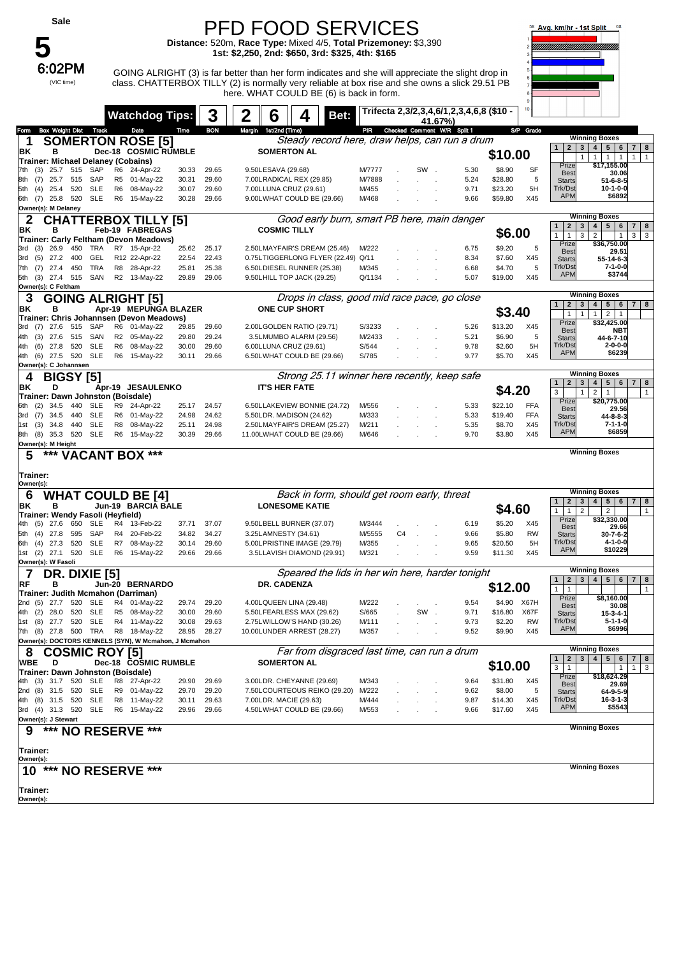| Sale                                                                       |                                  |                |                | <b>PFD FOOD SERVICES</b><br>Distance: 520m, Race Type: Mixed 4/5, Total Prizemoney: \$3,390                                                                                                           |                 |    |                                 |                                          |                    |                          | 58 Avg. km/hr - 1st Split                                                          | 68                                                                                                                           |
|----------------------------------------------------------------------------|----------------------------------|----------------|----------------|-------------------------------------------------------------------------------------------------------------------------------------------------------------------------------------------------------|-----------------|----|---------------------------------|------------------------------------------|--------------------|--------------------------|------------------------------------------------------------------------------------|------------------------------------------------------------------------------------------------------------------------------|
|                                                                            |                                  |                |                | 1st: \$2,250, 2nd: \$650, 3rd: \$325, 4th: \$165                                                                                                                                                      |                 |    |                                 |                                          |                    |                          |                                                                                    |                                                                                                                              |
| 6:02PM                                                                     |                                  |                |                |                                                                                                                                                                                                       |                 |    |                                 |                                          |                    |                          |                                                                                    |                                                                                                                              |
| (VIC time)                                                                 |                                  |                |                | GOING ALRIGHT (3) is far better than her form indicates and she will appreciate the slight drop in<br>class. CHATTERBOX TILLY (2) is normally very reliable at box rise and she owns a slick 29.51 PB |                 |    |                                 |                                          |                    |                          |                                                                                    |                                                                                                                              |
|                                                                            |                                  |                |                | here. WHAT COULD BE (6) is back in form.                                                                                                                                                              |                 |    |                                 |                                          |                    |                          |                                                                                    |                                                                                                                              |
|                                                                            |                                  |                |                |                                                                                                                                                                                                       |                 |    |                                 | Trifecta 2,3/2,3,4,6/1,2,3,4,6,8 (\$10 - |                    |                          |                                                                                    |                                                                                                                              |
|                                                                            | <b>Watchdog Tips:</b>            |                | 3              | 2<br>6<br>Bet:                                                                                                                                                                                        |                 |    | 41.67%)                         |                                          |                    |                          |                                                                                    |                                                                                                                              |
| <b>Box Weight Dist</b><br>Track<br>Form<br>1                               | Date<br><b>SOMERTON ROSE [5]</b> | Time           | <b>BON</b>     | Margin 1st/2nd (Time)<br>Steady record here, draw helps, can run a drum                                                                                                                               |                 |    | PIR Checked Comment W/R Split 1 |                                          |                    | S/P Grade                |                                                                                    | <b>Winning Boxes</b>                                                                                                         |
| ΒK<br>в                                                                    | Dec-18 COSMIC RUMBLE             |                |                | <b>SOMERTON AL</b>                                                                                                                                                                                    |                 |    |                                 |                                          | \$10.00            |                          | 1<br>2 <br>$\mathbf{3}$<br>$\mathbf{1}$                                            | $5 \mid 6$<br>7 <sup>1</sup><br>8<br>4                                                                                       |
| Trainer: Michael Delaney (Cobains)<br>7th<br>25.7<br>515<br>SAP            | R6<br>24-Apr-22                  | 30.33          | 29.65          | 9.50LESAVA (29.68)                                                                                                                                                                                    | M/7777          |    | SW.                             | 5.30                                     | \$8.90             | SF                       | Prize                                                                              | $\mathbf{1}$<br>$\mathbf{1}$<br>$\overline{1}$<br>$\mathbf{1}$<br>\$17,155.00                                                |
| (3)<br>(7)<br>25.7 515<br>SAP<br>8th                                       | R5 01-May-22                     | 30.31          | 29.60          | 7.00LRADICAL REX (29.85)                                                                                                                                                                              | M/7888          |    |                                 | 5.24                                     | \$28.80            | 5                        | <b>Best</b><br><b>Starts</b>                                                       | 30.06<br>$51 - 6 - 8 - 5$                                                                                                    |
| <b>SLE</b><br>5th (4)<br>25.4<br>520                                       | R <sub>6</sub><br>08-May-22      | 30.07          | 29.60          | 7.00LLUNA CRUZ (29.61)                                                                                                                                                                                | M/455           |    |                                 | 9.71                                     | \$23.20            | 5H                       | Trk/Dst<br><b>APM</b>                                                              | $10 - 1 - 0 - 0$<br>\$6892                                                                                                   |
| <b>SLE</b><br>6th (7) 25.8 520<br>Owner(s): M Delaney                      | R6 15-May-22                     | 30.28          | 29.66          | 9.00LWHAT COULD BE (29.66)                                                                                                                                                                            | M/468           |    |                                 | 9.66                                     | \$59.80            | X45                      |                                                                                    |                                                                                                                              |
| 2                                                                          | <b>CHATTERBOX TILLY [5]</b>      |                |                | Good early burn, smart PB here, main danger                                                                                                                                                           |                 |    |                                 |                                          |                    |                          |                                                                                    | <b>Winning Boxes</b>                                                                                                         |
| ΒK<br>в                                                                    | Feb-19 FABREGAS                  |                |                | <b>COSMIC TILLY</b>                                                                                                                                                                                   |                 |    |                                 |                                          | \$6.00             |                          | $\overline{2}$<br>3<br>$\mathbf{1}$<br>$\mathbf{1}$<br>$\mathbf{1}$<br>3           | $\overline{\mathbf{4}}$<br>5 <sub>5</sub><br>6<br>$\overline{7}$<br>8<br>$\overline{2}$<br>$\mathbf{3}$<br>3<br>$\mathbf{1}$ |
| Trainer: Carly Feltham (Devon Meadows)<br>26.9<br>450<br>3rd<br>(3)<br>TRA | R7 15-Apr-22                     | 25.62          | 25.17          | 2.50LMAYFAIR'S DREAM (25.46)                                                                                                                                                                          | M/222           |    |                                 | 6.75                                     | \$9.20             | 5                        | Prize<br><b>Best</b>                                                               | \$36,750.00<br>29.51                                                                                                         |
| 27.2<br>400<br>GEL<br>(5)<br>3rd                                           | R12 22-Apr-22                    | 22.54          | 22.43          | 0.75LTIGGERLONG FLYER (22.49) Q/11                                                                                                                                                                    |                 |    |                                 | 8.34                                     | \$7.60             | X45                      | <b>Starts</b>                                                                      | 55-14-6-3                                                                                                                    |
| TRA<br>$(7)$ 27.4<br>450<br>7th<br>5th (3) 27.4<br>515<br>SAN              | R8 28-Apr-22<br>R2 13-May-22     | 25.81<br>29.89 | 25.38<br>29.06 | 6.50LDIESEL RUNNER (25.38)<br>9.50LHILL TOP JACK (29.25)                                                                                                                                              | M/345<br>Q/1134 |    |                                 | 6.68<br>5.07                             | \$4.70<br>\$19.00  | 5<br>X45                 | Trk/Dst<br><b>APM</b>                                                              | 7-1-0-0<br>\$3744                                                                                                            |
| Owner(s): C Feltham                                                        |                                  |                |                |                                                                                                                                                                                                       |                 |    |                                 |                                          |                    |                          |                                                                                    |                                                                                                                              |
| 3<br><b>GOING ALRIGHT [5]</b>                                              |                                  |                |                | Drops in class, good mid race pace, go close                                                                                                                                                          |                 |    |                                 |                                          |                    |                          | $\mathbf{2}$<br>3                                                                  | <b>Winning Boxes</b><br>5 <sup>1</sup><br>$7 \mid 8$<br>$\overline{\mathbf{4}}$<br>6 <sup>1</sup>                            |
| ΒK<br>в<br>Trainer: Chris Johannsen (Devon Meadows)                        | Apr-19 MEPUNGA BLAZER            |                |                | <b>ONE CUP SHORT</b>                                                                                                                                                                                  |                 |    |                                 |                                          | \$3.40             |                          | $\mathbf{1}$<br>$\mathbf{1}$                                                       | 1<br>2<br>$\overline{1}$                                                                                                     |
| 27.6<br>SAP<br>3rd<br>515<br>(7)                                           | R6 01-May-22                     | 29.85          | 29.60          | 2.00LGOLDEN RATIO (29.71)                                                                                                                                                                             | S/3233          |    |                                 | 5.26                                     | \$13.20            | X45                      | Prize<br><b>Best</b>                                                               | \$32,425.00<br>NBT                                                                                                           |
| 27.6<br>SAN<br>4th<br>(3)<br>515<br><b>SLE</b><br>$(6)$ 27.8<br>520<br>4th | R2 05-May-22<br>R6 08-May-22     | 29.80<br>30.00 | 29.24<br>29.60 | 3.5LMUMBO ALARM (29.56)<br>6.00LLUNA CRUZ (29.61)                                                                                                                                                     | M/2433<br>S/544 |    |                                 | 5.21<br>9.78                             | \$6.90<br>\$2.60   | 5<br>5H                  | <b>Starts</b><br>Trk/Dst                                                           | 44-6-7-10<br>2-0-0-0                                                                                                         |
| <b>SLE</b><br>4th (6) 27.5 520                                             | R6 15-May-22                     | 30.11          | 29.66          | 6.50LWHAT COULD BE (29.66)                                                                                                                                                                            | S/785           |    |                                 | 9.77                                     | \$5.70             | X45                      | <b>APM</b>                                                                         | \$6239                                                                                                                       |
| Owner(s): C Johannsen                                                      |                                  |                |                |                                                                                                                                                                                                       |                 |    |                                 |                                          |                    |                          |                                                                                    | <b>Winning Boxes</b>                                                                                                         |
| <b>BIGSY [5]</b><br>4<br>D<br>ΒK                                           | Apr-19 JESAULENKO                |                |                | Strong 25.11 winner here recently, keep safe<br><b>IT'S HER FATE</b>                                                                                                                                  |                 |    |                                 |                                          |                    |                          | $\mathbf{2}$<br>3<br>$\mathbf{1}$                                                  | $\overline{\mathbf{4}}$<br>5 <sub>5</sub><br>$6\overline{6}$<br>7 <sup>1</sup><br>8                                          |
| Trainer: Dawn Johnston (Boisdale)                                          |                                  |                |                |                                                                                                                                                                                                       |                 |    |                                 |                                          | \$4.20             |                          | 3<br>$\mathbf{1}$<br>Prize                                                         | $\overline{2}$<br>$\mathbf{1}$<br>$\mathbf{1}$<br>\$20,775.00                                                                |
| <b>SLE</b><br>6th<br>(2)<br>34.5<br>440<br><b>SLE</b>                      | R9<br>24-Apr-22                  | 25.17          | 24.57          | 6.50LLAKEVIEW BONNIE (24.72)                                                                                                                                                                          | M/556<br>M/333  |    |                                 | 5.33                                     | \$22.10<br>\$19.40 | <b>FFA</b><br><b>FFA</b> | <b>Best</b>                                                                        | 29.56                                                                                                                        |
| 34.5<br>440<br>3rd (7)<br><b>SLE</b><br>(3)<br>34.8<br>440<br>1st          | R6 01-May-22<br>R8<br>08-May-22  | 24.98<br>25.11 | 24.62<br>24.98 | 5.50LDR. MADISON (24.62)<br>2.50LMAYFAIR'S DREAM (25.27)                                                                                                                                              | M/211           |    |                                 | 5.33<br>5.35                             | \$8.70             | X45                      | <b>Starts</b><br>Trk/Dst                                                           | 44-8-8-3<br>7-1-1-0                                                                                                          |
| <b>SLE</b><br>8th (8) 35.3 520                                             | R6 15-May-22                     | 30.39          | 29.66          | 11.00LWHAT COULD BE (29.66)                                                                                                                                                                           | M/646           |    |                                 | 9.70                                     | \$3.80             | X45                      | <b>APM</b>                                                                         | \$6859                                                                                                                       |
| Owner(s): M Height<br>***<br>5                                             | <b>VACANT BOX ***</b>            |                |                |                                                                                                                                                                                                       |                 |    |                                 |                                          |                    |                          |                                                                                    | <b>Winning Boxes</b>                                                                                                         |
|                                                                            |                                  |                |                |                                                                                                                                                                                                       |                 |    |                                 |                                          |                    |                          |                                                                                    |                                                                                                                              |
| Trainer:<br>Owner(s):                                                      |                                  |                |                |                                                                                                                                                                                                       |                 |    |                                 |                                          |                    |                          |                                                                                    |                                                                                                                              |
| <b>WHAT COULD BE [4]</b><br>6                                              |                                  |                |                | Back in form, should get room early, threat                                                                                                                                                           |                 |    |                                 |                                          |                    |                          |                                                                                    | <b>Winning Boxes</b>                                                                                                         |
| ΒK<br>в                                                                    | Jun-19 BARCIA BALE               |                |                | <b>LONESOME KATIE</b>                                                                                                                                                                                 |                 |    |                                 |                                          | \$4.60             |                          | $\mathbf{2}$<br>$\mathbf{3}$<br>$\mathbf 1$<br>$\mathbf{1}$<br>1<br>$\overline{2}$ | 5 <sup>5</sup><br>$\overline{4}$<br>6<br>$\overline{7}$<br>8<br>$\overline{2}$<br>$\mathbf{1}$                               |
| Trainer: Wendy Fasoli (Heyfield)<br>4th (5) 27.6 650<br>SLE                | R4 13-Feb-22                     | 37.71          | 37.07          | 9.50LBELL BURNER (37.07)                                                                                                                                                                              | M/3444          |    |                                 | 6.19                                     | \$5.20             | X45                      | Prize                                                                              | \$32,330.00                                                                                                                  |
| 27.8<br>595<br>SAP<br>5th (4)                                              | R4 20-Feb-22                     | 34.82          | 34.27          | 3.25LAMNESTY (34.61)                                                                                                                                                                                  | M/5555          | C4 |                                 | 9.66                                     | \$5.80             | RW                       | <b>Best</b><br><b>Starts</b>                                                       | 29.66<br>$30 - 7 - 6 - 2$                                                                                                    |
| 6th (4) 27.3<br>520<br>SLE<br>1st (2) 27.1 520 SLE                         | R7<br>08-May-22<br>R6 15-May-22  | 30.14<br>29.66 | 29.60<br>29.66 | 5.00LPRISTINE IMAGE (29.79)<br>3.5LLAVISH DIAMOND (29.91)                                                                                                                                             | M/355<br>M/321  |    |                                 | 9.65<br>9.59                             | \$20.50<br>\$11.30 | 5H<br>X45                | Trk/Dst<br><b>APM</b>                                                              | 4-1-0-0<br>\$10229                                                                                                           |
| Owner(s): W Fasoli                                                         |                                  |                |                |                                                                                                                                                                                                       |                 |    |                                 |                                          |                    |                          |                                                                                    |                                                                                                                              |
| <b>DR. DIXIE [5]</b>                                                       |                                  |                |                | Speared the lids in her win here, harder tonight                                                                                                                                                      |                 |    |                                 |                                          |                    |                          | 3 <sup>1</sup><br>2 <sub>1</sub><br>$\mathbf{1}$                                   | <b>Winning Boxes</b><br>5 6 <br>4 <br>$7 \mid 8$                                                                             |
| RF<br>в<br>Trainer: Judith Mcmahon (Darriman)                              | Jun-20 BERNARDO                  |                |                | DR. CADENZA                                                                                                                                                                                           |                 |    |                                 |                                          | \$12.00            |                          | 1<br>$\mathbf{1}$                                                                  | $\overline{1}$                                                                                                               |
| 2nd (5) 27.7 520 SLE                                                       | R4 01-May-22                     | 29.74          | 29.20          | 4.00LQUEEN LINA (29.48)                                                                                                                                                                               | M/222           |    |                                 | 9.54                                     | \$4.90 X67H        |                          | Prize<br><b>Best</b>                                                               | \$8,160.00<br>30.08                                                                                                          |
| 4th (2) 28.0 520<br>SLE<br>1st (8) 27.7 520<br>SLE                         | R5 08-May-22<br>R4 11-May-22     | 30.00<br>30.08 | 29.60<br>29.63 | 5.50LFEARLESS MAX (29.62)<br>2.75LWILLOW'S HAND (30.26)                                                                                                                                               | S/665<br>M/111  |    | SW.                             | 9.71<br>9.73                             | \$16.80<br>\$2.20  | X67F<br><b>RW</b>        | <b>Starts</b><br>Trk/Dst                                                           | 15-3-4-1<br>5-1-1-0                                                                                                          |
| 7th (8) 27.8 500 TRA                                                       | R8 18-May-22                     | 28.95          | 28.27          | 10.00LUNDER ARREST (28.27)                                                                                                                                                                            | M/357           |    |                                 | 9.52                                     | \$9.90             | X45                      | <b>APM</b>                                                                         | \$6996                                                                                                                       |
| Owner(s): DOCTORS KENNELS (SYN), W Mcmahon, J Mcmahon                      |                                  |                |                |                                                                                                                                                                                                       |                 |    |                                 |                                          |                    |                          |                                                                                    | <b>Winning Boxes</b>                                                                                                         |
| <b>COSMIC ROY [5]</b><br>8<br>WBE<br>D                                     | Dec-18 COSMIC RUMBLE             |                |                | Far from disgraced last time, can run a drum<br><b>SOMERTON AL</b>                                                                                                                                    |                 |    |                                 |                                          |                    |                          | 2 <sub>1</sub><br>3 <sup>1</sup><br>$\mathbf{1}$                                   | $5 \mid 6$<br>4 <br>$7 \mid 8$                                                                                               |
| Trainer: Dawn Johnston (Boisdale)                                          |                                  |                |                |                                                                                                                                                                                                       |                 |    |                                 |                                          | \$10.00            |                          | 3<br>$\mathbf{1}$<br>Prize                                                         | $1 \mid 3$<br>$\mathbf{1}$<br>\$18,624.29                                                                                    |
| 4th (3) 31.7 520 SLE<br>2nd (8) 31.5 520<br>SLE                            | R8 27-Apr-22<br>R9 01-May-22     | 29.90<br>29.70 | 29.69<br>29.20 | 3.00LDR. CHEYANNE (29.69)<br>7.50LCOURTEOUS REIKO (29.20)                                                                                                                                             | M/343<br>M/222  |    |                                 | 9.64<br>9.62                             | \$31.80<br>\$8.00  | X45<br>5                 | <b>Best</b>                                                                        | 29.69                                                                                                                        |
| 4th (8) 31.5 520<br>SLE                                                    | R8 11-May-22                     | 30.11          | 29.63          | 7.00LDR. MACIE (29.63)                                                                                                                                                                                | M/444           |    |                                 | 9.87                                     | \$14.30            | X45                      | <b>Starts</b><br>Trk/Dst                                                           | 64-9-5-9<br>$16 - 3 - 1 - 3$                                                                                                 |
| <b>SLE</b><br>3rd (4) 31.3 520                                             | R6 15-May-22                     | 29.96          | 29.66          | 4.50LWHAT COULD BE (29.66)                                                                                                                                                                            | M/553           |    |                                 | 9.66                                     | \$17.60            | X45                      | <b>APM</b>                                                                         | \$5543                                                                                                                       |
| Owner(s): J Stewart<br>*** NO RESERVE ***<br>9                             |                                  |                |                |                                                                                                                                                                                                       |                 |    |                                 |                                          |                    |                          |                                                                                    | <b>Winning Boxes</b>                                                                                                         |
|                                                                            |                                  |                |                |                                                                                                                                                                                                       |                 |    |                                 |                                          |                    |                          |                                                                                    |                                                                                                                              |
| Trainer:<br>Owner(s):                                                      |                                  |                |                |                                                                                                                                                                                                       |                 |    |                                 |                                          |                    |                          |                                                                                    |                                                                                                                              |
| 10 *** NO RESERVE ***                                                      |                                  |                |                |                                                                                                                                                                                                       |                 |    |                                 |                                          |                    |                          |                                                                                    | <b>Winning Boxes</b>                                                                                                         |
|                                                                            |                                  |                |                |                                                                                                                                                                                                       |                 |    |                                 |                                          |                    |                          |                                                                                    |                                                                                                                              |
| Trainer:<br>Owner(s):                                                      |                                  |                |                |                                                                                                                                                                                                       |                 |    |                                 |                                          |                    |                          |                                                                                    |                                                                                                                              |
|                                                                            |                                  |                |                |                                                                                                                                                                                                       |                 |    |                                 |                                          |                    |                          |                                                                                    |                                                                                                                              |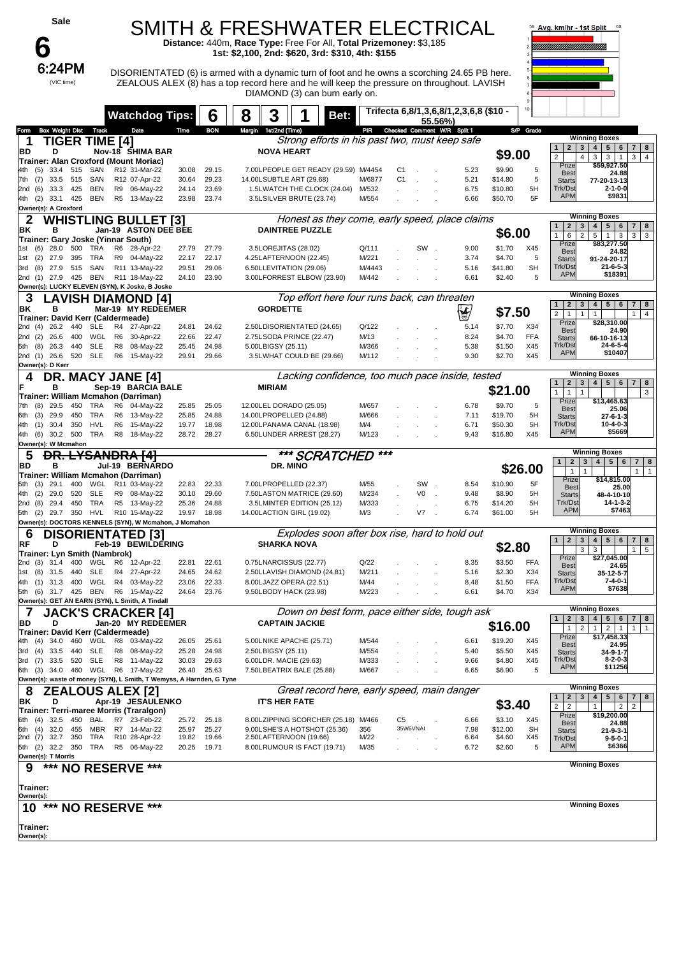

SMITH & FRESHWATER ELECTRICAL

**Distance:** 440m, **Race Type:** Free For All, **Total Prizemoney:** \$3,185 **1st: \$2,100, 2nd: \$620, 3rd: \$310, 4th: \$155**

 $6:24PM$  DISORIENTATED (6) is armed with a dynamic turn of foot and he owns a scorching 24.65 PB here. ZEALOUS ALEX (8) has a top record here and he will keep the pressure on throughout. LAVISH DIAMOND (3) can burn early on.



|                                                                          | <b>Watchdog Tips:</b>           |                | 6              | 3<br>8                                                           | Bet:                                             |                | Trifecta 6,8/1,3,6,8/1,2,3,6,8 (\$10 - | 55.56%) |              |                   | $10 -$     |                                                                   |                                                                                               |
|--------------------------------------------------------------------------|---------------------------------|----------------|----------------|------------------------------------------------------------------|--------------------------------------------------|----------------|----------------------------------------|---------|--------------|-------------------|------------|-------------------------------------------------------------------|-----------------------------------------------------------------------------------------------|
| Box Weight Dist Track<br>Form                                            | Date                            | Time           | <b>BON</b>     | Margin 1st/2nd (Time)                                            |                                                  | PR             | Checked Comment W/R Split 1            |         |              |                   | S/P Grade  |                                                                   |                                                                                               |
| <b>TIGER TIME [4]</b><br>1                                               |                                 |                |                |                                                                  | Strong efforts in his past two, must keep safe   |                |                                        |         |              |                   |            |                                                                   | <b>Winning Boxes</b>                                                                          |
| BD<br>D                                                                  | Nov-18 SHIMA BAR                |                |                | <b>NOVA HEART</b>                                                |                                                  |                |                                        |         |              | \$9.00            |            | 2 <sub>1</sub><br>$\mathbf{1}$<br>$\overline{2}$<br>4             | 3   4   5   6<br>$7 \mid 8$<br>3 <br>3 <sup>1</sup><br>$\overline{1}$<br>3 <br>$\overline{4}$ |
| Trainer: Alan Croxford (Mount Moriac)                                    |                                 |                |                |                                                                  |                                                  |                |                                        |         |              |                   |            | Prize                                                             | \$59,927.50                                                                                   |
| 33.4 515<br>SAN<br>(5)<br>4th<br>33.5<br>7th (7)<br>515<br>SAN           | R12 31-Mar-22<br>R12 07-Apr-22  | 30.08<br>30.64 | 29.15<br>29.23 | 7.00LPEOPLE GET READY (29.59) M/4454<br>14.00LSUBTLE ART (29.68) |                                                  | M/6877         | C1<br>C1                               |         | 5.23<br>5.21 | \$9.90<br>\$14.80 | 5<br>5     | Best                                                              | 24.88                                                                                         |
| 33.3 425<br>(6)<br>BEN<br>2nd                                            | R9 06-May-22                    | 24.14          | 23.69          | 1.5LWATCH THE CLOCK (24.04)                                      |                                                  | M/532          |                                        |         | 6.75         | \$10.80           | 5H         | <b>Starts</b><br>Trk/Dst                                          | 77-20-13-13<br>$2 - 1 - 0 - 0$                                                                |
| (2)<br>33.1 425<br>BEN<br>4th                                            | R5 13-May-22                    | 23.98          | 23.74          | 3.5LSILVER BRUTE (23.74)                                         |                                                  | M/554          |                                        |         | 6.66         | \$50.70           | 5F         | <b>APM</b>                                                        | \$9831                                                                                        |
| Owner(s): A Croxford                                                     |                                 |                |                |                                                                  |                                                  |                |                                        |         |              |                   |            |                                                                   |                                                                                               |
| 2                                                                        | <b>WHISTLING BULLET [3]</b>     |                |                |                                                                  | Honest as they come, early speed, place claims   |                |                                        |         |              |                   |            | $\overline{2}$<br>3<br>$\mathbf{1}$                               | <b>Winning Boxes</b><br>$5 \mid 6$<br>4 <br>$7 \mid 8$                                        |
| ΒK<br>в                                                                  | Jan-19 ASTON DEE BEE            |                |                | <b>DAINTREE PUZZLE</b>                                           |                                                  |                |                                        |         |              | \$6.00            |            | $\mathbf{1}$<br>6<br>$\overline{2}$                               | $5^{\circ}$<br>1<br>$\mathbf{3}$<br>3 <br>3                                                   |
| Trainer: Gary Joske (Yinnar South)<br>1st (6) 28.0<br>500<br>TRA         | R6<br>28-Apr-22                 | 27.79          | 27.79          | 3.5LOREJITAS (28.02)                                             |                                                  | Q/111          |                                        | SW.     | 9.00         | \$1.70            | X45        | Prize                                                             | \$83,277.50                                                                                   |
| 27.9<br>395<br>TRA<br>1st<br>(2)                                         | R9 04-May-22                    | 22.17          | 22.17          | 4.25LAFTERNOON (22.45)                                           |                                                  | M/221          |                                        |         | 3.74         | \$4.70            | 5          | <b>Best</b><br><b>Starts</b>                                      | 24.82<br>91-24-20-17                                                                          |
| SAN<br>(8)<br>27.9<br>515<br>3rd                                         | R11 13-May-22                   | 29.51          | 29.06          | 6.50LLEVITATION (29.06)                                          |                                                  | M/4443         |                                        |         | 5.16         | \$41.80           | <b>SH</b>  | Trk/Dst                                                           | $21 - 6 - 5 - 3$<br>\$18391                                                                   |
| <b>BEN</b><br>2nd (1) 27.9 425                                           | R11 18-May-22                   | 24.10          | 23.90          | 3.00LFORREST ELBOW (23.90)                                       |                                                  | M/442          |                                        |         | 6.61         | \$2.40            | 5          | <b>APM</b>                                                        |                                                                                               |
| Owner(s): LUCKY ELEVEN (SYN), K Joske, B Joske                           | <b>AVISH DIAMOND [4]</b>        |                |                |                                                                  | Top effort here four runs back, can threaten     |                |                                        |         |              |                   |            |                                                                   | <b>Winning Boxes</b>                                                                          |
| 3<br>ΒK<br>в                                                             | Mar-19 MY REDEEMER              |                |                | <b>GORDETTE</b>                                                  |                                                  |                |                                        |         |              |                   |            | 2 <sub>1</sub><br>1                                               | 5 <sub>5</sub><br>$3 \mid 4 \mid$<br>6<br>$7 \mid 8$                                          |
| Trainer: David Kerr (Caldermeade)                                        |                                 |                |                |                                                                  |                                                  |                |                                        |         | ∖∳           | \$7.50            |            | $\overline{2}$<br>$\mathbf{1}$<br>$\mathbf{1}$                    | $\mathbf{1}$<br>1 <sup>1</sup><br>$\overline{4}$                                              |
| 26.2<br>440<br><b>SLE</b><br>2nd (4)                                     | R4 27-Apr-22                    | 24.81          | 24.62          | 2.50LDISORIENTATED (24.65)                                       |                                                  | Q/122          |                                        |         | 5.14         | \$7.70            | X34        | Prize<br><b>Best</b>                                              | \$28,310.00<br>24.90                                                                          |
| WGL<br>2nd (2)<br>26.6<br>400                                            | R <sub>6</sub><br>30-Apr-22     | 22.66          | 22.47          | 2.75LSODA PRINCE (22.47)                                         |                                                  | M/13           |                                        |         | 8.24         | \$4.70            | <b>FFA</b> | <b>Starts</b>                                                     | 66-10-16-13                                                                                   |
| 440<br><b>SLE</b><br>(8)<br>26.3<br>5th<br>SLE<br>2nd (1)<br>26.6<br>520 | 08-May-22<br>R8<br>R6 15-May-22 | 25.45<br>29.91 | 24.98<br>29.66 | 5.00LBIGSY (25.11)<br>3.5LWHAT COULD BE (29.66)                  |                                                  | M/366<br>M/112 |                                        |         | 5.38<br>9.30 | \$1.50<br>\$2.70  | X45<br>X45 | Trk/Dst<br><b>APM</b>                                             | 24-6-5-4<br>\$10407                                                                           |
| Owner(s): D Kerr                                                         |                                 |                |                |                                                                  |                                                  |                |                                        |         |              |                   |            |                                                                   |                                                                                               |
| DR. MACY JANE [4]<br>4                                                   |                                 |                |                |                                                                  | Lacking confidence, too much pace inside, tested |                |                                        |         |              |                   |            |                                                                   | <b>Winning Boxes</b>                                                                          |
| в                                                                        | Sep-19 BARCIA BALE              |                |                | <b>MIRIAM</b>                                                    |                                                  |                |                                        |         |              | \$21.00           |            | $\mathbf{2}$<br>1<br>$\mathbf{1}$<br>$\mathbf{1}$<br>$\mathbf{1}$ | 3   4   5   6<br>8<br>7<br>3                                                                  |
| Trainer: William Mcmahon (Darriman)                                      |                                 |                |                |                                                                  |                                                  |                |                                        |         |              |                   |            | Prize                                                             | \$13,465.63                                                                                   |
| $(8)$ 29.5<br>450<br>TRA<br>7th<br>(3)<br>29.9<br>450<br>TRA<br>6th      | R6 04-May-22<br>R6<br>13-May-22 | 25.85<br>25.85 | 25.05<br>24.88 | 12.00LEL DORADO (25.05)<br>14.00LPROPELLED (24.88)               |                                                  | M/657<br>M/666 |                                        |         | 6.78<br>7.11 | \$9.70<br>\$19.70 | 5<br>5H    | <b>Best</b>                                                       | 25.06                                                                                         |
| <b>HVL</b><br>$(1)$ 30.4<br>350<br>4th                                   | R6 15-May-22                    | 19.77          | 18.98          | 12.00LPANAMA CANAL (18.98)                                       |                                                  | M/4            |                                        |         | 6.71         | \$50.30           | 5H         | <b>Starts</b><br>Trk/Dst                                          | 27-6-1-3<br>$10 - 4 - 0 - 3$                                                                  |
| 4th (6)<br>30.2 500<br>TRA                                               | R8 18-May-22                    | 28.72          | 28.27          | 6.50LUNDER ARREST (28.27)                                        |                                                  | M/123          |                                        |         | 9.43         | \$16.80           | X45        | <b>APM</b>                                                        | \$5669                                                                                        |
| Owner(s): W Mcmahon                                                      |                                 |                |                |                                                                  |                                                  |                |                                        |         |              |                   |            |                                                                   |                                                                                               |
| <b>DR. LYSANDRA [4]</b><br>5                                             |                                 |                |                |                                                                  | *** SCRATCHED                                    | $***$          |                                        |         |              |                   |            | $\mathbf{2}$<br>$\mathbf{3}$<br>1                                 | <b>Winning Boxes</b><br>$4 \mid 5 \mid$<br>6<br>$7 \mid 8$                                    |
| BD<br>в<br>Trainer: William Mcmahon (Darriman)                           | Jul-19 BERNARDO                 |                |                | DR. MINO                                                         |                                                  |                |                                        |         |              |                   | \$26.00    | $\mathbf{1}$<br>$\mathbf{1}$                                      | $\overline{1}$<br>$\mathbf{1}$                                                                |
|                                                                          |                                 |                |                |                                                                  |                                                  |                |                                        |         | 8.54         | \$10.90           | 5F         | Prize                                                             | \$14,815.00                                                                                   |
| 29.1<br>400<br>(3)<br>5th                                                | WGL R11 03-May-22               | 22.83          | 22.33          | 7.00LPROPELLED (22.37)                                           |                                                  | M/55           |                                        | SW.     |              |                   |            |                                                                   |                                                                                               |
| <b>SLE</b><br>(2)<br>29.0<br>520<br>4th                                  | R9 08-May-22                    | 30.10          | 29.60          | 7.50LASTON MATRICE (29.60)                                       |                                                  | M/234          | V <sub>0</sub>                         |         | 9.48         | \$8.90            | 5H         | <b>Best</b><br>Starts                                             | 25.00<br>48-4-10-10                                                                           |
| TRA<br>(8)<br>29.4<br>450<br>2nd                                         | R5 13-May-22                    | 25.36          | 24.88          | 3.5LMINTER EDITION (25.12)                                       |                                                  | M/333          |                                        |         | 6.75         | \$14.20           | 5H         | Trk/Dst                                                           | 14-1-3-2                                                                                      |
| HVL<br>(2)<br>29.7 350<br>5th                                            | R10 15-May-22                   | 19.97          | 18.98          | 14.00LACTION GIRL (19.02)                                        |                                                  | M/3            | V7                                     |         | 6.74         | \$61.00           | 5H         | <b>APM</b>                                                        | \$7463                                                                                        |
| Owner(s): DOCTORS KENNELS (SYN), W Mcmahon, J Mcmahon                    |                                 |                |                |                                                                  |                                                  |                |                                        |         |              |                   |            |                                                                   | <b>Winning Boxes</b>                                                                          |
| 6<br><b>DISORIENTATED [3]</b>                                            |                                 |                |                |                                                                  | Explodes soon after box rise, hard to hold out   |                |                                        |         |              |                   |            | $\mathbf{2}$<br>3<br>1 <sup>1</sup>                               | $4 \mid 5 \mid$<br>6<br>$7 \mid 8$                                                            |
| RF<br>D<br>Trainer: Lyn Smith (Nambrok)                                  | Feb-19 BEWILDERING              |                |                | <b>SHARKA NOVA</b>                                               |                                                  |                |                                        |         |              | \$2.80            |            | 3                                                                 | 1<br>5<br>3                                                                                   |
| 31.4<br>400<br>WGL<br>2nd (3)                                            | R6 12-Apr-22                    | 22.81          | 22.61          | 0.75LNARCISSUS (22.77)                                           |                                                  | Q/22           |                                        |         | 8.35         | \$3.50            | <b>FFA</b> | Prize<br><b>Best</b>                                              | \$27,045.00<br>24.65                                                                          |
| 31.5<br>440<br>SLE<br>(8)<br>1st                                         | R4<br>27-Apr-22                 | 24.65          | 24.62          | 2.50LLAVISH DIAMOND (24.81)                                      |                                                  | M/211          |                                        |         | 5.16         | \$2.30            | X34        | <b>Starts</b>                                                     | 35-12-5-7                                                                                     |
| 31.3<br>400<br>WGL<br>4th<br>(1)                                         | R4 03-May-22                    | 23.06          | 22.33          | 8.00LJAZZ OPERA (22.51)                                          |                                                  | M/44           |                                        |         | 8.48         | \$1.50            | <b>FFA</b> | Trk/Dst<br><b>APM</b>                                             | 7-4-0-1<br>\$7638                                                                             |
| 5th (6) 31.7 425 BEN<br>Owner(s): GET AN EARN (SYN), L Smith, A Tindall  | R6 15-May-22                    | 24.64          | 23.76          | 9.50LBODY HACK (23.98)                                           |                                                  | M/223          |                                        |         | 6.61         | \$4.70            | X34        |                                                                   |                                                                                               |
| 7                                                                        | <b>JACK'S CRACKER [4]</b>       |                |                |                                                                  | Down on best form, pace either side, tough ask   |                |                                        |         |              |                   |            |                                                                   | <b>Winning Boxes</b>                                                                          |
| BD<br>D                                                                  | Jan-20 MY REDEEMER              |                |                | <b>CAPTAIN JACKIE</b>                                            |                                                  |                |                                        |         |              |                   |            | $\mathbf{1}$<br>$\mathbf{2}$                                      | 78<br>3   4   5   6                                                                           |
| Trainer: David Kerr (Caldermeade)                                        |                                 |                |                |                                                                  |                                                  |                |                                        |         |              | \$16.00           |            | $\mathbf{1}$<br>$\overline{2}$<br>Prize                           | $1 \mid$<br>$2 \mid 1$<br>$1 \mid$<br>$\mathbf{1}$<br>\$17,458.33                             |
| 4th (4) 34.0 460<br>WGL<br>3rd (4) 33.5<br>440<br><b>SLE</b>             | R8 03-May-22<br>R8 08-May-22    | 26.05<br>25.28 | 25.61<br>24.98 | 5.00LNIKE APACHE (25.71)                                         |                                                  | M/544<br>M/554 |                                        |         | 6.61<br>5.40 | \$19.20<br>\$5.50 | X45<br>X45 | <b>Best</b>                                                       | 24.95                                                                                         |
| <b>SLE</b><br>3rd (7) 33.5 520                                           | R8 11-May-22                    | 30.03          | 29.63          | 2.50LBIGSY (25.11)<br>6.00LDR. MACIE (29.63)                     |                                                  | M/333          |                                        |         | 9.66         | \$4.80            | X45        | <b>Starts</b><br>Trk/Dst                                          | 34-9-1-7<br>$8 - 2 - 0 - 3$                                                                   |
| 6th (3) 34.0 460 WGL R6 17-May-22                                        |                                 | 26.40          | 25.63          | 7.50LBEATRIX BALE (25.88)                                        |                                                  | M/667          |                                        |         | 6.65         | \$6.90            | 5          | <b>APM</b>                                                        | \$11256                                                                                       |
| Owner(s): waste of money (SYN), L Smith, T Wemyss, A Harnden, G Tyne     |                                 |                |                |                                                                  |                                                  |                |                                        |         |              |                   |            |                                                                   |                                                                                               |
| 8<br><b>ZEALOUS ALEX [2]</b>                                             |                                 |                |                |                                                                  | Great record here, early speed, main danger      |                |                                        |         |              |                   |            | $\overline{2}$<br>$\mathbf{1}$                                    | <b>Winning Boxes</b><br>$3 \mid 4 \mid 5 \mid 6$<br>$7 \mid 8$                                |
| D<br>ΒK                                                                  | Apr-19 JESAULENKO               |                |                | <b>IT'S HER FATE</b>                                             |                                                  |                |                                        |         |              | \$3.40            |            | $\overline{2}$<br>$\overline{2}$                                  | $\overline{2}$<br>2<br>1                                                                      |
| Trainer: Terri-maree Morris (Traralgon)<br>6th (4) 32.5 450<br>BAL       | R7 23-Feb-22                    | 25.72          | 25.18          | 8.00LZIPPING SCORCHER (25.18) M/466                              |                                                  |                | C5                                     |         | 6.66         | \$3.10            | X45        | Prize<br>Best                                                     | \$19,200.00                                                                                   |
| 6th (4) 32.0 455                                                         | MBR R7 14-Mar-22                | 25.97          | 25.27          | 9.00LSHE'S A HOTSHOT (25.36)                                     |                                                  | 356            | 35W6VNAI                               |         | 7.98         | \$12.00           | <b>SH</b>  | <b>Starts</b>                                                     | 24.88<br>$21 - 9 - 3 - 1$                                                                     |
| 2nd (7) 32.7 350<br>TRA                                                  | R10 28-Apr-22                   | 19.82          | 19.66          | 2.50LAFTERNOON (19.66)                                           |                                                  | M/22           |                                        |         | 6.64         | \$4.60            | X45        | Trk/Dst<br><b>APM</b>                                             | $9 - 5 - 0 - 1$<br>\$6366                                                                     |
| 5th (2) 32.2 350<br>TRA<br>Owner(s): T Morris                            | R5 06-May-22                    | 20.25          | 19.71          | 8.00LRUMOUR IS FACT (19.71)                                      |                                                  | M/35           |                                        |         | 6.72         | \$2.60            | 5          |                                                                   |                                                                                               |
| *** NO RESERVE ***<br>9                                                  |                                 |                |                |                                                                  |                                                  |                |                                        |         |              |                   |            |                                                                   | <b>Winning Boxes</b>                                                                          |
|                                                                          |                                 |                |                |                                                                  |                                                  |                |                                        |         |              |                   |            |                                                                   |                                                                                               |
| Trainer:                                                                 |                                 |                |                |                                                                  |                                                  |                |                                        |         |              |                   |            |                                                                   |                                                                                               |
| Owner(s):                                                                |                                 |                |                |                                                                  |                                                  |                |                                        |         |              |                   |            |                                                                   | <b>Winning Boxes</b>                                                                          |
| 10 *** NO RESERVE ***                                                    |                                 |                |                |                                                                  |                                                  |                |                                        |         |              |                   |            |                                                                   |                                                                                               |
| Trainer:<br>Owner(s):                                                    |                                 |                |                |                                                                  |                                                  |                |                                        |         |              |                   |            |                                                                   |                                                                                               |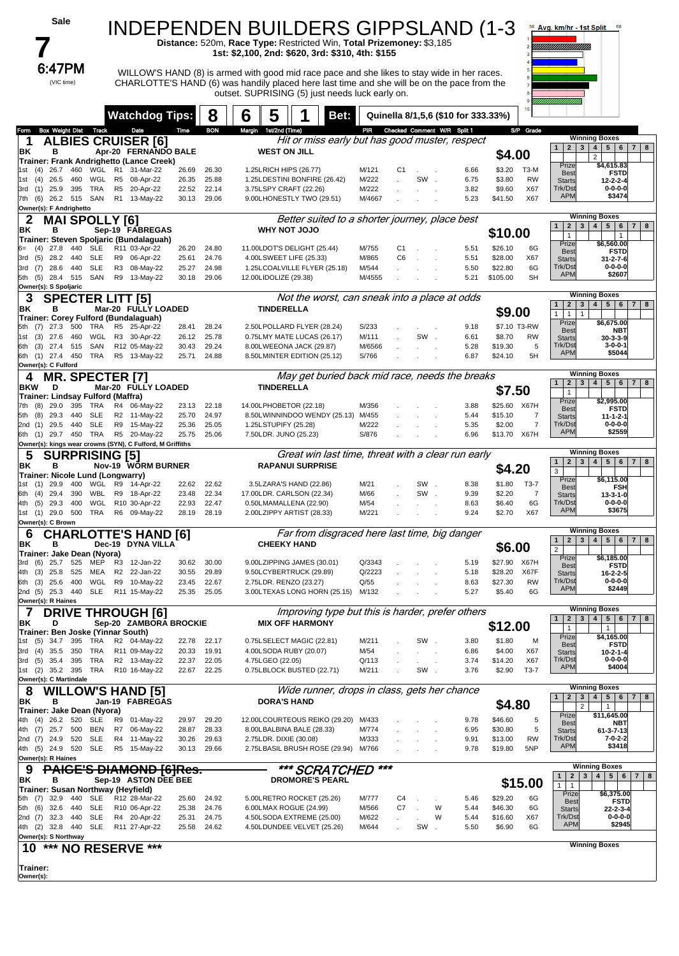| Sale                                                                                    |                                                  |                                  | INDEPENDEN BUILDERS GIPPSLAND (1-3                                                                                                                                                         |                 |                                 |                                     |                                          | Avg. km/hr - 1st Split                                                                                                                     |   |
|-----------------------------------------------------------------------------------------|--------------------------------------------------|----------------------------------|--------------------------------------------------------------------------------------------------------------------------------------------------------------------------------------------|-----------------|---------------------------------|-------------------------------------|------------------------------------------|--------------------------------------------------------------------------------------------------------------------------------------------|---|
|                                                                                         |                                                  |                                  | Distance: 520m, Race Type: Restricted Win, Total Prizemoney: \$3,185<br>1st: \$2,100, 2nd: \$620, 3rd: \$310, 4th: \$155                                                                   |                 |                                 |                                     |                                          |                                                                                                                                            |   |
| 6:47PM                                                                                  |                                                  |                                  |                                                                                                                                                                                            |                 |                                 |                                     |                                          |                                                                                                                                            |   |
| (VIC time)                                                                              |                                                  |                                  | WILLOW'S HAND (8) is armed with good mid race pace and she likes to stay wide in her races.<br>CHARLOTTE'S HAND (6) was handily placed here last time and she will be on the pace from the |                 |                                 |                                     |                                          |                                                                                                                                            |   |
|                                                                                         |                                                  |                                  | outset. SUPRISING (5) just needs luck early on.                                                                                                                                            |                 |                                 |                                     |                                          |                                                                                                                                            |   |
|                                                                                         | <b>Watchdog Tips:</b>                            | 8                                | 5<br>6<br>Bet:                                                                                                                                                                             |                 |                                 | Quinella 8/1,5,6 (\$10 for 333.33%) |                                          |                                                                                                                                            |   |
| <b>Box Weight Dist</b><br>Form<br><b>Track</b><br>1                                     | Date<br><b>ALBIES CRUISER [6]</b>                | <b>BON</b><br>Time               | Margin 1st/2nd (Time)<br>Hit or miss early but has good muster, respect                                                                                                                    |                 | PIR Checked Comment W/R Split 1 |                                     | S/P Grade                                | <b>Winning Boxes</b>                                                                                                                       |   |
| в<br>ΒK<br>Trainer: Frank Andrighetto (Lance Creek)                                     | Apr-20 FERNANDO BALE                             |                                  | <b>WEST ON JILL</b>                                                                                                                                                                        |                 |                                 |                                     | \$4.00                                   | 4   5   6   7   8<br>2 <br>3 <sup>1</sup><br>1<br>$\overline{2}$                                                                           |   |
| 460<br>WGL<br>26.7<br>1st<br>(4)<br>26.5<br>460<br>WGL                                  | R1<br>31-Mar-22<br>R <sub>5</sub>                | 26.69<br>26.30<br>26.35<br>25.88 | 1.25LRICH HIPS (26.77)<br>1.25LDESTINI BONFIRE (26.42)                                                                                                                                     | M/121<br>M/222  | C1<br>SW.                       | 6.66<br>6.75                        | \$3.20<br>ТЗ-М<br>\$3.80<br><b>RW</b>    | Prize<br>\$4,615.83<br><b>FSTD</b><br><b>Best</b>                                                                                          |   |
| (4)<br>1st<br>25.9<br>395<br>TRA<br>3rd (1)                                             | 08-Apr-22<br>R5<br>20-Apr-22                     | 22.52<br>22.14                   | 3.75LSPY CRAFT (22.26)                                                                                                                                                                     | M/222           |                                 | 3.82                                | \$9.60<br>X67                            | <b>Starts</b><br>$12 - 2 - 2 - 4$<br>Trk/Dst<br>$0 - 0 - 0 - 0$<br><b>APM</b><br>\$3474                                                    |   |
| 7th (6)<br>26.2 515 SAN<br>Owner(s): F Andrighetto                                      | R1 13-May-22                                     | 29.06<br>30.13                   | 9.00LHONESTLY TWO (29.51)                                                                                                                                                                  | M/4667          |                                 | 5.23                                | \$41.50<br>X67                           |                                                                                                                                            |   |
| MAI SPOLL<br>2<br>ΒK<br>в                                                               | [6] Y<br>Sep-19 FABREGAS                         |                                  | Better suited to a shorter journey, place best<br><b>OLOL TON YHW</b>                                                                                                                      |                 |                                 |                                     | \$10.00                                  | <b>Winning Boxes</b><br>4 <br>5 <sup>1</sup><br>2 <sub>1</sub><br>3 <sup>1</sup><br>6<br>$\overline{7}$<br>1                               | 8 |
| Trainer: Steven Spoljaric (Bundalaguah)<br><b>SLE</b><br>$(4)$ 27.8<br>440              | R11 03-Apr-22                                    | 26.20<br>24.80                   | 11.00LDOT'S DELIGHT (25.44)                                                                                                                                                                | M/755           | C <sub>1</sub>                  | 5.51                                | \$26.10<br>6G                            | $\mathbf{1}$<br>$\mathbf{1}$<br>Prize<br>\$6,560.00                                                                                        |   |
| <b>SLE</b><br>(5)<br>28.2<br>440<br>3rd<br>28.6<br><b>SLE</b>                           | R9 06-Apr-22<br>R3 08-May-22                     | 25.61<br>24.76                   | 4.00LSWEET LIFE (25.33)                                                                                                                                                                    | M/865           | C <sub>6</sub>                  | 5.51<br>5.50                        | \$28.00<br>X67<br>6G                     | <b>Best</b><br><b>FSTD</b><br><b>Starts</b><br>$31 - 2 - 7 - 6$<br>Trk/Dst<br>$0 - 0 - 0 - 0$                                              |   |
| 3rd (7)<br>440<br>5th (5)<br>28.4 515<br>SAN                                            | R9 13-May-22                                     | 24.98<br>25.27<br>30.18<br>29.06 | 1.25LCOALVILLE FLYER (25.18)<br>12.00LIDOLIZE (29.38)                                                                                                                                      | M/544<br>M/4555 |                                 | 5.21                                | \$22.80<br>\$105.00<br><b>SH</b>         | <b>APM</b><br>\$2607                                                                                                                       |   |
| Owner(s): S Spoljaric<br>3<br><b>SPECTER LITT [5]</b>                                   |                                                  |                                  | Not the worst, can sneak into a place at odds                                                                                                                                              |                 |                                 |                                     |                                          | <b>Winning Boxes</b>                                                                                                                       |   |
| ΒK<br>в<br>Trainer: Corey Fulford (Bundalaguah)                                         | Mar-20 FULLY LOADED                              |                                  | <b>TINDERELLA</b>                                                                                                                                                                          |                 |                                 |                                     | \$9.00                                   | $5 \mid 6$<br>2 <sub>1</sub><br>3 <sup>1</sup><br>4 <br>$\mathbf{1}$<br>7 <sup>1</sup><br>1 <sup>1</sup><br>$\overline{1}$<br>$\mathbf{1}$ | 8 |
| TRA<br>27.3<br>500<br>5th (7)<br>1st (3) 27.6<br>460<br>WGL                             | R5<br>25-Apr-22<br>R3 30-Apr-22                  | 28.24<br>28.41<br>25.78<br>26.12 | 2.50LPOLLARD FLYER (28.24)<br>0.75LMY MATE LUCAS (26.17)                                                                                                                                   | S/233<br>M/111  | SW.                             | 9.18<br>6.61                        | \$7.10 T3-RW<br>\$8.70<br><b>RW</b>      | Prize<br>\$6,675.00<br><b>Best</b><br>NBT<br>$30-3-3-9$<br><b>Starts</b>                                                                   |   |
| 6th (3) 27.4<br>515<br>SAN                                                              | R12 05-May-22                                    | 30.43<br>29.24                   | 8.00LWEEONA JACK (29.87)                                                                                                                                                                   | M/6566          |                                 | 5.28                                | 5<br>\$19.30                             | Trk/Dst<br>$3 - 0 - 0 - 1$<br><b>APM</b><br>\$5044                                                                                         |   |
| 6th (1) 27.4 450 TRA<br>Owner(s): C Fulford                                             | R5 13-May-22                                     | 25.71<br>24.88                   | 8.50LMINTER EDITION (25.12)                                                                                                                                                                | S/766           |                                 | 6.87                                | \$24.10<br>5H                            | <b>Winning Boxes</b>                                                                                                                       |   |
| <b>MR. SPECTER [7]</b><br>4<br><b>BKW</b><br>D                                          | Mar-20 FULLY LOADED                              |                                  | May get buried back mid race, needs the breaks<br><b>TINDERELLA</b>                                                                                                                        |                 |                                 |                                     | \$7.50                                   | 3 <sup>1</sup><br>5 <sup>1</sup><br>1<br>2 <sub>1</sub><br>4 <br>6<br>$\overline{7}$                                                       | 8 |
| Trainer: Lindsay Fulford (Maffra)<br>TRA<br>(8)<br>29.0<br>395<br>7th                   | R4 06-May-22                                     | 22.18<br>23.13                   | 14.00LPHOBETOR (22.18)                                                                                                                                                                     | M/356           |                                 | 3.88                                | \$25.60 X67H                             | $\mathbf{1}$<br>Prize<br>\$2,995.00                                                                                                        |   |
| 29.3<br><b>SLE</b><br>5th (8)<br>440<br><b>SLE</b><br>2nd (1) 29.5<br>440               | R2 11-May-22<br>R9 15-May-22                     | 25.70<br>24.97<br>25.36<br>25.05 | 8.50LWINNINDOO WENDY (25.13) M/455<br>1.25LSTUPIFY (25.28)                                                                                                                                 | M/222           |                                 | 5.44<br>5.35                        | \$15.10<br>7<br>$\overline{7}$<br>\$2.00 | <b>FSTD</b><br><b>Best</b><br><b>Starts</b><br>$11 - 1 - 2 - 1$<br>Trk/Dst<br>$0 - 0 - 0 - 0$                                              |   |
| 6th (1) 29.7 450 TRA                                                                    | R5 20-May-22                                     | 25.75<br>25.06                   | 7.50LDR. JUNO (25.23)                                                                                                                                                                      | S/876           |                                 | 6.96                                | \$13.70<br>X67H                          | <b>APM</b><br>\$2559                                                                                                                       |   |
| Owner(s): kings wear crowns (SYN), C Fulford, M Griffiths<br><b>SURPRISING [5]</b><br>5 |                                                  |                                  | Great win last time, threat with a clear run early                                                                                                                                         |                 |                                 |                                     |                                          | <b>Winning Boxes</b><br>3 <sup>1</sup><br>4   5   6  <br>$7 \mid 8$<br>1<br>2 <sub>1</sub>                                                 |   |
| в<br>ΒK<br>Trainer: Nicole Lund (Longwarry)                                             | <b>Nov-19 WORM BURNER</b>                        |                                  | <b>RAPANUI SURPRISE</b>                                                                                                                                                                    |                 |                                 |                                     | \$4.20                                   | 3<br>Prize<br>\$6.115.00                                                                                                                   |   |
| WGL<br>29.9<br>400<br>1st<br>(1)<br>WBL<br>29.4<br>390<br>6th (4)                       | R9<br>14-Apr-22<br>R9 18-Apr-22                  | 22.62<br>22.62<br>23.48<br>22.34 | 3.5LZARA'S HAND (22.86)<br>17.00LDR. CARLSON (22.34)                                                                                                                                       | M/21<br>M/66    | SW.<br>SW.                      | 8.38<br>9.39                        | \$1.80<br>T3-7<br>\$2.20<br>7            | <b>Best</b><br>FSH<br><b>Starts</b><br>$13 - 3 - 1 - 0$                                                                                    |   |
| WGL<br>29.3<br>400<br>4th (5)<br>1st (1) 29.0 500 TRA R6 09-May-22                      | R10 30-Apr-22                                    | 22.93<br>22.47<br>28.19<br>28.19 | 0.50LMAMALLENA (22.90)<br>2.00LZIPPY ARTIST (28.33)                                                                                                                                        | M/54<br>M/221   |                                 | 8.63<br>9.24                        | \$6.40<br>6G<br>\$2.70<br>X67            | Trk/Dst<br>$0 - 0 - 0 - 0$<br><b>APM</b><br>\$3675                                                                                         |   |
| Owner(s): C Brown                                                                       |                                                  |                                  |                                                                                                                                                                                            |                 |                                 |                                     |                                          | <b>Winning Boxes</b>                                                                                                                       |   |
| 6<br>ΒK<br>в                                                                            | <b>CHARLOTTE'S HAND [6]</b><br>Dec-19 DYNA VILLA |                                  | Far from disgraced here last time, big danger<br><b>CHEEKY HAND</b>                                                                                                                        |                 |                                 |                                     | \$6.00                                   | 3 <sup>1</sup><br>5 6 <br>1<br>2 <sub>1</sub><br>4 <br>$7 \mid 8$<br>$\overline{2}$                                                        |   |
| Trainer: Jake Dean (Nyora)<br>3rd (6) 25.7 525<br>MEP                                   | R3 12-Jan-22                                     | 30.00<br>30.62                   | 9.00LZIPPING JAMES (30.01)                                                                                                                                                                 | Q/3343          |                                 | 5.19                                | \$27.90 X67H                             | Prize<br>\$6,185.00<br><b>FSTD</b><br><b>Best</b>                                                                                          |   |
| 25.8 525<br>MEA<br>4th (3)<br>25.6 400<br>WGL<br>6th (3)                                | R2 22-Jan-22<br>R9 10-May-22                     | 30.55<br>29.89<br>22.67<br>23.45 | 9.50LCYBERTRUCK (29.89)<br>2.75LDR. RENZO (23.27)                                                                                                                                          | Q/2223<br>Q/55  |                                 | 5.18<br>8.63                        | X67F<br>\$28.20<br>\$27.30<br><b>RW</b>  | $16 - 2 - 2 - 5$<br><b>Starts</b><br>Trk/Dst<br>$0 - 0 - 0 - 0$                                                                            |   |
| <b>SLE</b><br>2nd (5) 25.3 440<br>Owner(s): R Haines                                    | R11 15-May-22                                    | 25.35<br>25.05                   | 3.00LTEXAS LONG HORN (25.15)                                                                                                                                                               | M/132           |                                 | 5.27                                | \$5.40<br>6G                             | \$2449<br><b>APM</b>                                                                                                                       |   |
| 7                                                                                       | <b>DRIVE THROUGH [6]</b>                         |                                  | Improving type but this is harder, prefer others                                                                                                                                           |                 |                                 |                                     |                                          | <b>Winning Boxes</b><br>$5 \mid 6$<br>$\mathbf{2}$<br>$\mathbf{3}$<br>4 <br>$7 \mid 8$<br>$\mathbf{1}$                                     |   |
| ΒK<br>D<br>Trainer: Ben Joske (Yinnar South)                                            | Sep-20 ZAMBORA BROCKIE                           |                                  | <b>MIX OFF HARMONY</b>                                                                                                                                                                     |                 |                                 |                                     | \$12.00                                  | $\mathbf{1}$<br>1<br>Prize<br>\$4,165.00                                                                                                   |   |
| 395 TRA<br>1st (5)<br>34.7<br>35.5 350 TRA<br>3rd (4)                                   | R2 04-May-22<br>R11 09-May-22                    | 22.17<br>22.78<br>19.91<br>20.33 | 0.75LSELECT MAGIC (22.81)<br>4.00LSODA RUBY (20.07)                                                                                                                                        | M/211<br>M/54   | SW.                             | 3.80<br>6.86                        | \$1.80<br>M<br>\$4.00<br>X67             | <b>Best</b><br><b>FSTD</b><br><b>Starts</b><br>$10 - 2 - 1 - 4$                                                                            |   |
| 3rd (5)<br>35.4<br>395<br>TRA<br>1st (2) 35.2 395 TRA                                   | R2 13-May-22<br>R10 16-May-22                    | 22.37<br>22.05<br>22.67<br>22.25 | 4.75LGEO (22.05)<br>0.75LBLOCK BUSTED (22.71)                                                                                                                                              | Q/113<br>M/211  | SW.                             | 3.74<br>3.76                        | X67<br>\$14.20<br>\$2.90<br>$T3-7$       | Trk/Dst<br>$0 - 0 - 0 - 0$<br><b>APM</b><br>\$4004                                                                                         |   |
| Owner(s): C Martindale                                                                  |                                                  |                                  | Wide runner, drops in class, gets her chance                                                                                                                                               |                 |                                 |                                     |                                          | <b>Winning Boxes</b>                                                                                                                       |   |
| 8<br>ΒK<br>в                                                                            | <b>OW'S HAND [5]</b> .<br>Jan-19 FABREGAS        |                                  | <b>DORA'S HAND</b>                                                                                                                                                                         |                 |                                 |                                     | \$4.80                                   | $2^{\circ}$<br>3 <sup>1</sup><br>4<br>5 <sup>1</sup><br>6<br>7 <sup>1</sup><br>1<br>$\overline{2}$<br>$\mathbf{1}$                         | 8 |
| Trainer: Jake Dean (Nyora)<br>4th (4) 26.2 520<br>SLE                                   | R9 01-May-22                                     | 29.20<br>29.97                   | 12.00LCOURTEOUS REIKO (29.20)                                                                                                                                                              | M/433           |                                 | 9.78                                | \$46.60<br>5                             | Prize<br>\$11,645.00<br><b>Best</b><br>NBT                                                                                                 |   |
| 25.7 500<br>BEN<br>4th (7)<br>2nd (7) 24.9 520<br>SLE                                   | R7 06-May-22<br>R4 11-May-22                     | 28.33<br>28.87<br>29.63<br>30.26 | 8.00LBALBINA BALE (28.33)<br>2.75LDR. DIXIE (30.08)                                                                                                                                        | M/774<br>M/333  |                                 | 6.95<br>9.91                        | \$30.80<br>5<br>\$13.00<br><b>RW</b>     | <b>Starts</b><br>61-3-7-13<br>Trk/Dst<br>7-0-2-2                                                                                           |   |
| 4th (5) 24.9 520<br><b>SLE</b><br>Owner(s): R Haines                                    | R5 15-May-22                                     | 30.13<br>29.66                   | 2.75LBASIL BRUSH ROSE (29.94) M/766                                                                                                                                                        |                 |                                 | 9.78                                | 5NP<br>\$19.80                           | <b>APM</b><br>\$3418                                                                                                                       |   |
| 9                                                                                       | PAIGE'S DIAMOND [6]Res.                          |                                  | *** SCRATCHED                                                                                                                                                                              | $***$           |                                 |                                     |                                          | <b>Winning Boxes</b><br>$\mathbf{1}$<br>$\overline{2}$<br>$\mathbf{3}$<br>4 <br>5   6   7   8                                              |   |
| BK<br>в<br>Trainer: Susan Northway (Heyfield)                                           | Sep-19 ASTON DEE BEE                             |                                  | <b>DROMORE'S PEARL</b>                                                                                                                                                                     |                 |                                 |                                     | \$15.00                                  | $\mathbf{1}$<br>$\overline{1}$<br>Prize<br>\$6,375.00                                                                                      |   |
| 32.9 440 SLE<br>5th (7)<br>5th (6) 32.6 440 SLE                                         | R12 28-Mar-22<br>R10 06-Apr-22                   | 24.92<br>25.60<br>25.38<br>24.76 | 5.00LRETRO ROCKET (25.26)<br>6.00LMAX ROGUE (24.99)                                                                                                                                        | M/777<br>M/566  | C4<br>C7<br>W                   | 5.46<br>5.44                        | \$29.20<br>6G<br>\$46.30<br>6G           | <b>Best</b><br><b>FSTD</b><br>$22 - 2 - 3 - 4$<br><b>Starts</b>                                                                            |   |
| 2nd (7) 32.3 440<br>SLE<br>4th (2) 32.8 440 SLE                                         | R4 20-Apr-22<br>R11 27-Apr-22                    | 25.31<br>24.75<br>25.58<br>24.62 | 4.50LSODA EXTREME (25.00)<br>4.50LDUNDEE VELVET (25.26)                                                                                                                                    | M/622<br>M/644  | W<br>SW<br>$\mathbf{r}$         | 5.44<br>5.50                        | \$16.60<br>X67<br>\$6.90<br>6G           | Trk/Dst<br>$0 - 0 - 0 - 0$<br><b>APM</b><br>\$2945                                                                                         |   |
| Owner(s): S Northway<br>*** NO RESERVE<br>10                                            | ***                                              |                                  |                                                                                                                                                                                            |                 |                                 |                                     |                                          | <b>Winning Boxes</b>                                                                                                                       |   |
| Trainer:                                                                                |                                                  |                                  |                                                                                                                                                                                            |                 |                                 |                                     |                                          |                                                                                                                                            |   |
| Owner(s):                                                                               |                                                  |                                  |                                                                                                                                                                                            |                 |                                 |                                     |                                          |                                                                                                                                            |   |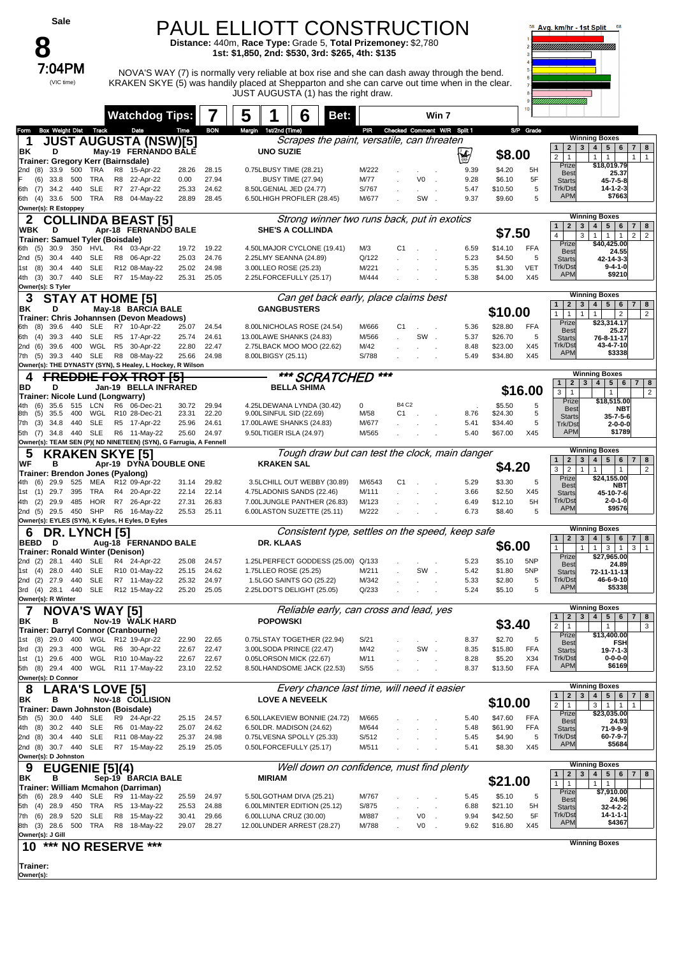## PAUL ELLIOTT CONSTRUCTION

**Distance:** 440m, **Race Type:** Grade 5, **Total Prizemoney:** \$2,780 **1st: \$1,850, 2nd: \$530, 3rd: \$265, 4th: \$135**



7:04PM NOVA'S WAY (7) is normally very reliable at box rise and she can dash away through the bend. KRAKEN SKYE (5) was handily placed at Shepparton and she can carve out time when in the clear. JUST AUGUSTA (1) has the right draw.



|                   |                                                 |              |            |                | <b>Watchdog Tips:</b>                                                     |                |                | 5      |                    | 6                                                      | Bet:                                             |                                 |              |     | Win 7  |              |                    |            |                                                     |                                                                                       |
|-------------------|-------------------------------------------------|--------------|------------|----------------|---------------------------------------------------------------------------|----------------|----------------|--------|--------------------|--------------------------------------------------------|--------------------------------------------------|---------------------------------|--------------|-----|--------|--------------|--------------------|------------|-----------------------------------------------------|---------------------------------------------------------------------------------------|
| . omn             | <b>Box Weight Dist Track</b>                    |              |            |                | Date                                                                      | Time           | <b>BON</b>     | Margin | 1st/2nd (Time)     |                                                        |                                                  | PIR Checked Comment W/R Split 1 |              |     |        |              |                    | S/P Grade  |                                                     |                                                                                       |
| 1                 |                                                 |              |            |                | <b>JUST AUGUSTA (NSW)[5]</b>                                              |                |                |        |                    |                                                        | Scrapes the paint, versatile, can threaten       |                                 |              |     |        |              |                    |            |                                                     | <b>Winning Boxes</b>                                                                  |
| ΒK                | D                                               |              |            |                | May-19 FERNANDO BALE                                                      |                |                |        | <b>UNO SUZIE</b>   |                                                        |                                                  |                                 |              |     |        | 浊            | \$8.00             |            | $1 \mid 2$<br>$\overline{2}$                        | $3 \mid 4$<br>$5 \mid 6$<br>7<br>8<br>1<br>$\mathbf{1}$                               |
|                   | Trainer: Gregory Kerr (Bairnsdale)              |              |            |                |                                                                           |                |                |        |                    |                                                        |                                                  |                                 |              |     |        |              |                    |            | $\mathbf{1}$<br>Prize                               | $\mathbf{1}$<br>$\mathbf{1}$<br>\$18,019.79                                           |
| (8)<br>2nd        | 33.9<br>(6)<br>33.8                             | 500<br>500   | TRA<br>TRA | R8<br>R8       | 15-Apr-22<br>22-Apr-22                                                    | 28.26<br>0.00  | 28.15<br>27.94 |        |                    | 0.75LBUSY TIME (28.21)<br><b>BUSY TIME (27.94)</b>     |                                                  | M/222<br>M/77                   |              | V0  | $\sim$ | 9.39<br>9.28 | \$4.20<br>\$6.10   | 5H<br>5F   | <b>Best</b>                                         | 25.37                                                                                 |
| (7)<br>6th        | 34.2                                            | 440          | <b>SLE</b> | R7             | 27-Apr-22                                                                 | 25.33          | 24.62          |        |                    | 8.50LGENIAL JED (24.77)                                |                                                  | S/767                           |              |     |        | 5.47         | \$10.50            | 5          | <b>Starts</b><br>Trk/Dst                            | $45 - 7 - 5 - 8$<br>14-1-2-3                                                          |
|                   | 6th (4) 33.6 500                                |              | TRA        |                | R8 04-May-22                                                              | 28.89          | 28.45          |        |                    | 6.50LHIGH PROFILER (28.45)                             |                                                  | M/677                           |              | SW. |        | 9.37         | \$9.60             | 5          | <b>APM</b>                                          | \$7663                                                                                |
|                   | Owner(s): R Estoppey                            |              |            |                |                                                                           |                |                |        |                    |                                                        |                                                  |                                 |              |     |        |              |                    |            |                                                     |                                                                                       |
| 2                 |                                                 |              |            |                | <b>COLLINDA BEAST [5]</b>                                                 |                |                |        |                    |                                                        | Strong winner two runs back, put in exotics      |                                 |              |     |        |              |                    |            | $2 \mid 3 \mid 4 \mid$                              | <b>Winning Boxes</b><br>$5 \mid 6$                                                    |
| WBK               | D                                               |              |            |                | Apr-18 FERNANDO BALE                                                      |                |                |        |                    | <b>SHE'S A COLLINDA</b>                                |                                                  |                                 |              |     |        |              | \$7.50             |            | 1 <sup>1</sup><br>$\overline{4}$<br>3               | $7 \mid 8$<br>1<br>$\mathbf{1}$<br>$\overline{1}$<br>2 <sup>1</sup><br>$\overline{2}$ |
| 6th (5)           | Trainer: Samuel Tyler (Boisdale)<br>30.9        | 350          | HVL        |                | R4 03-Apr-22                                                              | 19.72          | 19.22          |        |                    | 4.50LMAJOR CYCLONE (19.41)                             |                                                  | M/3                             | C1           |     |        | 6.59         | \$14.10            | FFA        | Prize                                               | \$40,425.00                                                                           |
| 2nd (5)           | 30.4                                            | 440          | SLE        |                | R8 06-Apr-22                                                              | 25.03          | 24.76          |        |                    | 2.25LMY SEANNA (24.89)                                 |                                                  | Q/122                           |              |     |        | 5.23         | \$4.50             | 5          | <b>Best</b><br><b>Starts</b>                        | 24.55<br>42-14-3-3                                                                    |
| 1st (8)           | 30.4 440                                        |              | <b>SLE</b> |                | R12 08-May-22                                                             | 25.02          | 24.98          |        |                    | 3.00LLEO ROSE (25.23)                                  |                                                  | M/221                           |              |     |        | 5.35         | \$1.30             | <b>VET</b> | Trk/Dst                                             | $9 - 4 - 1 - 0$                                                                       |
| 4th (3)           |                                                 | 30.7 440 SLE |            |                | R7 15-May-22                                                              | 25.31          | 25.05          |        |                    | 2.25LFORCEFULLY (25.17)                                |                                                  | M/444                           |              |     |        | 5.38         | \$4.00             | X45        | <b>APM</b>                                          | \$9210                                                                                |
|                   | Owner(s): S Tyler                               |              |            |                |                                                                           |                |                |        |                    |                                                        |                                                  |                                 |              |     |        |              |                    |            |                                                     | <b>Winning Boxes</b>                                                                  |
| З                 |                                                 |              |            |                | STAY AT HOME [5]                                                          |                |                |        |                    |                                                        | Can get back early, place claims best            |                                 |              |     |        |              |                    |            | $\overline{2}$<br>$1 \mid$                          | 3   4   5   6<br>$\overline{7}$<br>8                                                  |
| ΒK                | D                                               |              |            |                | May-18 BARCIA BALE<br>Trainer: Chris Johannsen (Devon Meadows)            |                |                |        |                    | <b>GANGBUSTERS</b>                                     |                                                  |                                 |              |     |        |              | \$10.00            |            | $\mathbf{1}$<br>$\mathbf{1}$<br>$\mathbf{1}$        | $\overline{c}$<br>$\overline{2}$<br>$\mathbf{1}$                                      |
| 6th               | 39.6<br>(8)                                     | 440          | SLE        |                | R7 10-Apr-22                                                              | 25.07          | 24.54          |        |                    | 8.00LNICHOLAS ROSE (24.54)                             |                                                  | M/666                           | C1           |     |        | 5.36         | \$28.80            | <b>FFA</b> | Prize<br><b>Best</b>                                | \$23,314.17<br>25.27                                                                  |
| (4)<br>6th        | 39.3                                            | 440          | SLE        |                | R5 17-Apr-22                                                              | 25.74          | 24.61          |        |                    | 13.00LAWE SHANKS (24.83)                               |                                                  | M/566                           |              | SW. |        | 5.37         | \$26.70            | 5          | <b>Starts</b>                                       | 76-8-11-17                                                                            |
| 2nd<br>(6)        | 39.6                                            | 400          | WGL        | R <sub>5</sub> | 30-Apr-22                                                                 | 22.80          | 22.47          |        |                    | 2.75LBACK MOO MOO (22.62)                              |                                                  | M/42                            |              |     |        | 8.48         | \$23.00            | X45        | Trk/Dst<br><b>APM</b>                               | 43-4-7-10<br>\$3338                                                                   |
| 7th (5)           |                                                 | 39.3 440 SLE |            |                | R8 08-May-22<br>Owner(s): THE DYNASTY (SYN), S Healey, L Hockey, R Wilson | 25.66          | 24.98          |        | 8.00LBIGSY (25.11) |                                                        |                                                  | S/788                           |              |     |        | 5.49         | \$34.80            | X45        |                                                     |                                                                                       |
| 4                 |                                                 |              |            |                | <b>FREDDIE FOX TROT [5]</b>                                               |                |                |        |                    |                                                        | *** SCRATCHED                                    | ***                             |              |     |        |              |                    |            |                                                     | <b>Winning Boxes</b>                                                                  |
| BD                | D                                               |              |            |                | Jan-19 BELLA INFRARED                                                     |                |                |        |                    | <b>BELLA SHIMA</b>                                     |                                                  |                                 |              |     |        |              |                    |            | $\mathbf{1}$<br>2 <sub>1</sub>                      | $3\overline{3}$<br>4 <sup>1</sup><br>5   6   7   8                                    |
|                   | Trainer: Nicole Lund (Longwarry)                |              |            |                |                                                                           |                |                |        |                    |                                                        |                                                  |                                 |              |     |        |              |                    | \$16.00    | 3<br>$\mathbf{1}$                                   | $\sqrt{2}$<br>$\mathbf{1}$<br>\$18,515.00                                             |
| 4th               | 35.6<br>(6)                                     | 515          | LCN        | R6             | 06-Dec-21                                                                 | 30.72          | 29.94          |        |                    | 4.25LDEWANA LYNDA (30.42)                              |                                                  | 0                               | <b>B4 C2</b> |     |        |              | \$5.50             | 5          | Prize<br><b>Best</b>                                | NBT                                                                                   |
| (5)<br>8th<br>7th | 35.5<br>(3)<br>34.8                             | 400<br>440   | WGL<br>SLE |                | R10 28-Dec-21<br>R5 17-Apr-22                                             | 23.31<br>25.96 | 22.20<br>24.61 |        |                    | 9.00LSINFUL SID (22.69)<br>17.00LAWE SHANKS (24.83)    |                                                  | M/58<br>M/677                   | C1           |     |        | 8.76<br>5.41 | \$24.30<br>\$34.40 | 5<br>5     | <b>Starts</b>                                       | $35 - 7 - 5 - 6$                                                                      |
|                   |                                                 |              |            |                | 5th (7) 34.8 440 SLE R6 11-May-22                                         | 25.60          | 24.97          |        |                    | 9.50LTIGER ISLA (24.97)                                |                                                  | M/565                           |              |     |        | 5.40         | \$67.00            | X45        | Trk/Dst<br><b>APM</b>                               | $2 - 0 - 0 - 0$<br>\$1789                                                             |
|                   |                                                 |              |            |                | Owner(s): TEAM SEN (P)( ND NINETEEN) (SYN), G Farrugia, A Fennell         |                |                |        |                    |                                                        |                                                  |                                 |              |     |        |              |                    |            |                                                     |                                                                                       |
| 5                 |                                                 |              |            |                | KRAKEN SKYE [5]                                                           |                |                |        |                    |                                                        | Tough draw but can test the clock, main danger   |                                 |              |     |        |              |                    |            | 2 <sub>1</sub><br>1                                 | <b>Winning Boxes</b><br> 4 <br>$5 \mid 6$                                             |
| WF                | в                                               |              |            |                | Apr-19 DYNA DOUBLE ONE                                                    |                |                |        | <b>KRAKEN SAL</b>  |                                                        |                                                  |                                 |              |     |        |              | \$4.20             |            | $\mathbf{3}$<br>3<br>$\overline{2}$<br>$\mathbf{1}$ | 7 8<br>$\mathbf{1}$<br>$\overline{2}$<br>$\mathbf{1}$                                 |
| 4th               | Trainer: Brendon Jones (Pyalong)<br>(6)<br>29.9 | 525          |            |                | MEA R12 09-Apr-22                                                         | 31.14          | 29.82          |        |                    |                                                        | 3.5LCHILL OUT WEBBY (30.89)                      | M/6543                          | C1           |     |        | 5.29         | \$3.30             | 5          | Prize                                               | \$24,155.00                                                                           |
| 1st (1)           | 29.7                                            | 395          | TRA        |                | R4 20-Apr-22                                                              | 22.14          | 22.14          |        |                    | 4.75LADONIS SANDS (22.46)                              |                                                  | M/111                           |              |     |        | 3.66         | \$2.50             | X45        | <b>Best</b><br><b>Starts</b>                        | NBT<br>45-10-7-6                                                                      |
| (2)<br>4th        | 29.9                                            | 485          |            |                | HOR R7 26-Apr-22                                                          | 27.31          | 26.83          |        |                    |                                                        | 7.00LJUNGLE PANTHER (26.83)                      | M/123                           |              |     |        | 6.49         | \$12.10            | 5H         | Trk/Dst                                             | $2 - 0 - 1 - 0$                                                                       |
| 2nd(5)            |                                                 | 29.5 450 SHP |            |                | R6 16-May-22                                                              | 25.53          | 25.11          |        |                    | 6.00LASTON SUZETTE (25.11)                             |                                                  | M/222                           |              |     |        | 6.73         | \$8.40             | 5          | APN                                                 | \$9576                                                                                |
|                   |                                                 |              |            |                | Owner(s): EYLES (SYN), K Eyles, H Eyles, D Eyles                          |                |                |        |                    |                                                        |                                                  |                                 |              |     |        |              |                    |            |                                                     | <b>Winning Boxes</b>                                                                  |
| 6<br>BEBD         | DR.                                             |              | LYNCH [5]  |                |                                                                           |                |                |        | DR. KLAAS          |                                                        | Consistent type, settles on the speed, keep safe |                                 |              |     |        |              |                    |            | $\overline{2}$<br>3<br>1                            | $\overline{\mathbf{4}}$<br>$5 \mid 6$<br>$7 \mid 8$                                   |
|                   | D<br>Trainer: Ronald Winter (Denison)           |              |            |                | Aug-18 FERNANDO BALE                                                      |                |                |        |                    |                                                        |                                                  |                                 |              |     |        |              | \$6.00             |            | 1<br>1                                              | 3 <sup>1</sup><br>3 I<br>$\mathbf{1}$<br>$\overline{1}$<br>$\overline{1}$             |
| 2nd (2)           | 28.1                                            | 440          | SLE        |                | R4 24-Apr-22                                                              | 25.08          | 24.57          |        |                    |                                                        | 1.25LPERFECT GODDESS (25.00) Q/133               |                                 |              |     |        | 5.23         | \$5.10             | 5NP        | Prize<br><b>Best</b>                                | \$27,965.00<br>24.89                                                                  |
| 1st (4)           | 28.0                                            | 440          | <b>SLE</b> |                | R10 01-May-22                                                             | 25.15          | 24.62          |        |                    | 1.75LLEO ROSE (25.25)                                  |                                                  | M/211                           |              | SW. |        | 5.42         | \$1.80             | 5NP        | <b>Starts</b>                                       | 72-11-11-13                                                                           |
| (2)<br>2nd        | 27.9<br>3rd (4) 28.1 440 SLE                    | 440          | <b>SLE</b> |                | R7 11-May-22<br>R12 15-May-22                                             | 25.32<br>25.20 | 24.97<br>25.05 |        |                    | 1.5LGO SAINTS GO (25.22)<br>2.25LDOT'S DELIGHT (25.05) |                                                  | M/342<br>Q/233                  |              |     |        | 5.33<br>5.24 | \$2.80<br>\$5.10   | 5<br>5     | Trk/Dst<br><b>APM</b>                               | 46-6-9-10<br>\$5338                                                                   |
|                   | Owner(s): R Winter                              |              |            |                |                                                                           |                |                |        |                    |                                                        |                                                  |                                 |              |     |        |              |                    |            |                                                     |                                                                                       |
|                   | <b>NOVA'S WAY [5]</b>                           |              |            |                |                                                                           |                |                |        |                    |                                                        | Reliable early, can cross and lead, yes          |                                 |              |     |        |              |                    |            |                                                     | <b>Winning Boxes</b>                                                                  |
| ΒK                | в                                               |              |            |                | Nov-19 WALK HARD                                                          |                |                |        | <b>POPOWSKI</b>    |                                                        |                                                  |                                 |              |     |        |              | \$3.40             |            | 1<br>2 <sub>1</sub><br>$\mathbf{3}$                 | 4 5 6<br>$\overline{7}$<br> 8                                                         |
|                   |                                                 |              |            |                | Trainer: Darryl Connor (Cranbourne)                                       |                |                |        |                    |                                                        |                                                  |                                 |              |     |        |              |                    |            | $\overline{a}$<br>$\vert$ 1<br>Prize                | $\mathbf{1}$<br>3<br>\$13,400.00                                                      |
| 1st               | $(8)$ 29.0 400<br>3rd (3) 29.3                  | 400          |            |                | WGL R12 19-Apr-22<br>WGL R6 30-Apr-22                                     | 22.90<br>22.67 | 22.65<br>22.47 |        |                    | 0.75LSTAY TOGETHER (22.94)<br>3.00LSODA PRINCE (22.47) |                                                  | S/21<br>M/42                    |              | SW  |        | 8.37<br>8.35 | \$2.70<br>\$15.80  | 5<br>FFA   | <b>Best</b>                                         | FSH                                                                                   |
|                   | 1st (1) 29.6 400                                |              |            |                | WGL R10 10-May-22                                                         | 22.67          | 22.67          |        |                    | 0.05LORSON MICK (22.67)                                |                                                  | M/11                            |              |     |        | 8.28         | \$5.20             | X34        | <b>Starts</b><br>Trk/Dst                            | $19 - 7 - 1 - 3$<br>$0 - 0 - 0 - 0$                                                   |
|                   | 5th (8) 29.4 400                                |              |            |                | WGL R11 17-May-22                                                         | 23.10          | 22.52          |        |                    | 8.50LHANDSOME JACK (22.53)                             |                                                  | S/55                            |              |     |        | 8.37         | \$13.50            | <b>FFA</b> | <b>APM</b>                                          | \$6169                                                                                |
|                   | Owner(s): D Connor                              |              |            |                |                                                                           |                |                |        |                    |                                                        |                                                  |                                 |              |     |        |              |                    |            |                                                     |                                                                                       |
| 8                 | <b>LARA'S LOVE [5]</b>                          |              |            |                |                                                                           |                |                |        |                    |                                                        | Every chance last time, will need it easier      |                                 |              |     |        |              |                    |            | $\mathbf{2}$<br>3<br>$\mathbf{1}$                   | <b>Winning Boxes</b><br>4   5   6<br>$7 \mid 8$                                       |
| ΒK                | в                                               |              |            |                | Nov-18 COLLISION                                                          |                |                |        |                    | <b>LOVE A NEVEELK</b>                                  |                                                  |                                 |              |     |        |              | \$10.00            |            | $\overline{a}$<br>$\overline{1}$                    | $1$   1<br>3  <br>$\mathbf{1}$                                                        |
|                   | 5th (5) 30.0 440                                |              | SLE        |                | Trainer: Dawn Johnston (Boisdale)<br>R9 24-Apr-22                         | 25.15          | 24.57          |        |                    |                                                        | 6.50LLAKEVIEW BONNIE (24.72)                     | M/665                           |              |     |        | 5.40         | \$47.60            | FFA        | Prize                                               | \$23,035.00                                                                           |
| 4th (8)           | 30.2 440                                        |              | <b>SLE</b> |                | R6 01-May-22                                                              | 25.07          | 24.62          |        |                    | 6.50LDR. MADISON (24.62)                               |                                                  | M/644                           |              |     |        | 5.48         | \$61.90            | FFA        | <b>Best</b><br><b>Starts</b>                        | 24.93<br>71-9-9-9                                                                     |
|                   | 2nd (8) 30.4 440                                |              | <b>SLE</b> |                | R11 08-May-22                                                             | 25.37          | 24.98          |        |                    | 0.75LVESNA SPOLLY (25.33)                              |                                                  | S/512                           |              |     |        | 5.45         | \$4.90             | 5          | Trk/Dst                                             | 60-7-9-7                                                                              |
| 2nd (8) 30.7 440  |                                                 |              | <b>SLE</b> |                | R7 15-May-22                                                              | 25.19          | 25.05          |        |                    | 0.50LFORCEFULLY (25.17)                                |                                                  | M/511                           |              |     |        | 5.41         | \$8.30             | X45        | <b>APM</b>                                          | \$5684                                                                                |
|                   |                                                 |              |            |                |                                                                           |                |                |        |                    |                                                        |                                                  |                                 |              |     |        |              |                    |            |                                                     | <b>Winning Boxes</b>                                                                  |
|                   | Owner(s): D Johnston                            |              |            |                |                                                                           |                |                |        | <b>MIRIAM</b>      |                                                        | Well down on confidence, must find plenty        |                                 |              |     |        |              |                    |            | $\overline{2}$<br>1                                 | 5   6   7   8<br>$3 \mid 4 \mid$                                                      |
|                   | <b>EUGENIE</b> [5](4)                           |              |            |                |                                                                           |                |                |        |                    |                                                        |                                                  |                                 |              |     |        |              | \$21.00            |            | $\mathbf{1}$<br>$\overline{1}$                      | $1 \mid 1$                                                                            |
| ΒK                | в                                               |              |            |                | Sep-19 BARCIA BALE                                                        |                |                |        |                    |                                                        |                                                  |                                 |              |     |        |              |                    |            |                                                     |                                                                                       |
|                   | 5th (6) 28.9                                    | 440          | SLE        |                | Trainer: William Mcmahon (Darriman)<br>R9 11-May-22                       | 25.59          | 24.97          |        |                    | 5.50LGOTHAM DIVA (25.21)                               |                                                  | M/767                           |              |     |        | 5.45         | \$5.10             | 5          | Prize<br><b>Best</b>                                | \$7,910.00<br>24.96                                                                   |
|                   | 5th (4) 28.9                                    | 450          | TRA        | R <sub>5</sub> | 13-May-22                                                                 | 25.53          | 24.88          |        |                    | 6.00LMINTER EDITION (25.12)                            |                                                  | S/875                           |              |     |        | 6.88         | \$21.10            | 5H         | <b>Starts</b>                                       | $32 - 4 - 2 - 2$                                                                      |
|                   | 7th (6) 28.9                                    | 520          | SLE        | R8             | 15-May-22                                                                 | 30.41          | 29.66          |        |                    | 6.00LLUNA CRUZ (30.00)                                 |                                                  | M/887                           |              | V0  |        | 9.94         | \$42.50            | 5F         | Trk/Dst<br><b>APM</b>                               | $14 - 1 - 1 - 1$<br>\$4367                                                            |
|                   | 8th (3) 28.6 500 TRA<br>Owner(s): J Gill        |              |            |                | R8 18-May-22                                                              | 29.07          | 28.27          |        |                    | 12.00LUNDER ARREST (28.27)                             |                                                  | M/788                           |              | V0  | $\sim$ | 9.62         | \$16.80            | X45        |                                                     |                                                                                       |
| 10                |                                                 |              |            |                |                                                                           |                |                |        |                    |                                                        |                                                  |                                 |              |     |        |              |                    |            |                                                     | <b>Winning Boxes</b>                                                                  |
|                   |                                                 |              |            |                | *** NO RESERVE ***                                                        |                |                |        |                    |                                                        |                                                  |                                 |              |     |        |              |                    |            |                                                     |                                                                                       |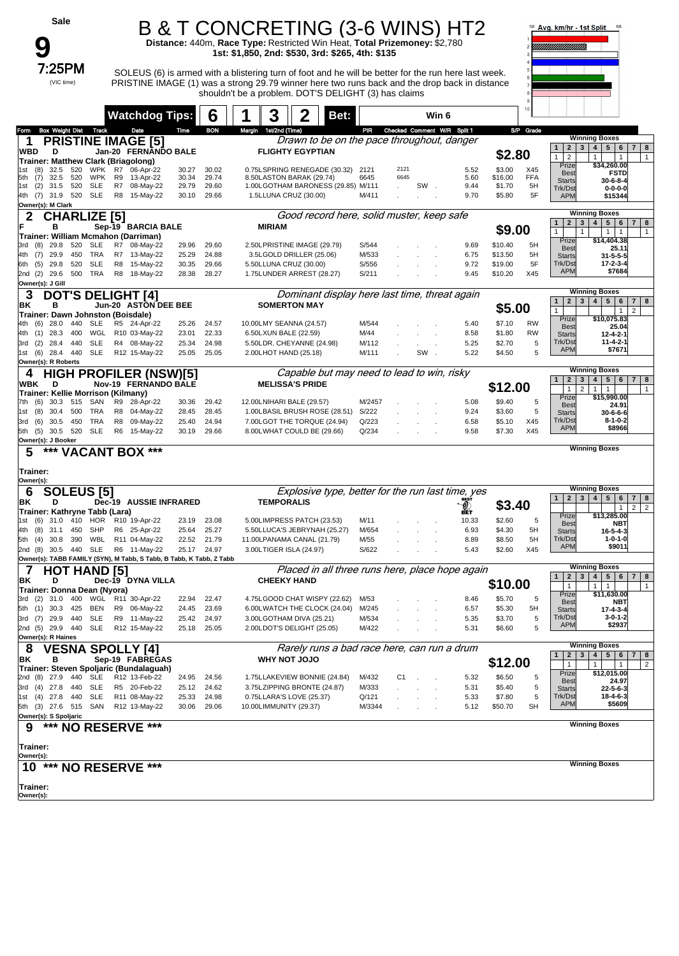| Sale                                                                               |          |                               |                |                | B & T CONCRETING (3-6 WINS) HT2                                                                                               |      |                |                |                             |              |                    |                  | Avg. km/hr - 1st Split                                         | 68                                                                                                   |
|------------------------------------------------------------------------------------|----------|-------------------------------|----------------|----------------|-------------------------------------------------------------------------------------------------------------------------------|------|----------------|----------------|-----------------------------|--------------|--------------------|------------------|----------------------------------------------------------------|------------------------------------------------------------------------------------------------------|
|                                                                                    |          |                               |                |                | Distance: 440m, Race Type: Restricted Win Heat, Total Prizemoney: \$2,780<br>1st: \$1,850, 2nd: \$530, 3rd: \$265, 4th: \$135 |      |                |                |                             |              |                    |                  |                                                                |                                                                                                      |
| 7:25PM                                                                             |          |                               |                |                | SOLEUS (6) is armed with a blistering turn of foot and he will be better for the run here last week.                          |      |                |                |                             |              |                    |                  |                                                                |                                                                                                      |
| (VIC time)                                                                         |          |                               |                |                | PRISTINE IMAGE (1) was a strong 29.79 winner here two runs back and the drop back in distance                                 |      |                |                |                             |              |                    |                  |                                                                |                                                                                                      |
|                                                                                    |          |                               |                |                | shouldn't be a problem. DOT'S DELIGHT (3) has claims                                                                          |      |                |                |                             |              |                    |                  |                                                                |                                                                                                      |
|                                                                                    |          | <b>Watchdog Tips:</b>         |                | 6              | 3                                                                                                                             | Bet: |                |                | Win 6                       |              |                    |                  |                                                                |                                                                                                      |
| <b>Box Weight Dist</b><br>Track<br>Form<br><b>PRISTINE IMAGE [5]</b><br>1          |          | Date                          | Time           | <b>BON</b>     | Margin 1st/2nd (Time)<br>Drawn to be on the pace throughout, danger                                                           |      | PIR            |                | Checked Comment W/R Split 1 |              |                    | S/P Grade        |                                                                | <b>Winning Boxes</b>                                                                                 |
| WBD<br>D                                                                           |          | Jan-20 FERNANDO BALE          |                |                | <b>FLIGHTY EGYPTIAN</b>                                                                                                       |      |                |                |                             |              | \$2.80             |                  | $\mathbf{2}$<br>$\mathbf{1}$<br>$\mathbf{1}$<br>$\overline{2}$ | $3 \mid 4 \mid$<br>$5 \mid 6$<br>7 <sup>1</sup><br>8<br>$\mathbf{1}$<br>$\mathbf{1}$<br>$\mathbf{1}$ |
| Trainer: Matthew Clark (Briagolong)<br>520<br>WPK<br>(8)<br>32.5<br>1st            | R7       | 06-Apr-22                     | 30.27          | 30.02          | 0.75LSPRING RENEGADE (30.32)                                                                                                  |      | 2121           | 2121           |                             | 5.52         | \$3.00             | X45              | Prize<br><b>Best</b>                                           | \$34,260.00<br><b>FSTD</b>                                                                           |
| <b>WPK</b><br>5th<br>(7)<br>32.5<br>520<br>520<br><b>SLE</b><br>(2)<br>31.5<br>1st | R9<br>R7 | 13-Apr-22<br>08-May-22        | 30.34<br>29.79 | 29.74<br>29.60 | 8.50LASTON BARAK (29.74)<br>1.00LGOTHAM BARONESS (29.85) M/111                                                                |      | 6645           | 6645           | SW.                         | 5.60<br>9.44 | \$16.00<br>\$1.70  | <b>FFA</b><br>5H | <b>Starts</b><br>Trk/Dst                                       | $30 - 6 - 8 - 4$<br>$0 - 0 - 0 - 0$                                                                  |
| 4th (7) 31.9 520 SLE<br>Owner(s): M Clark                                          | R8       | 15-May-22                     | 30.10          | 29.66          | 1.5LLUNA CRUZ (30.00)                                                                                                         |      | M/411          |                |                             | 9.70         | \$5.80             | 5F               | <b>APM</b>                                                     | \$15344                                                                                              |
| 2<br><b>CHARLIZE [5]</b>                                                           |          |                               |                |                | Good record here, solid muster, keep safe                                                                                     |      |                |                |                             |              |                    |                  | $\mathbf{2}$<br>3<br>$\mathbf{1}$                              | <b>Winning Boxes</b><br>$\vert$ 4<br>$5 \mid 6$<br>7 <sup>1</sup><br>8                               |
| F<br>в<br>Trainer: William Mcmahon (Darriman)                                      |          | Sep-19 BARCIA BALE            |                |                | <b>MIRIAM</b>                                                                                                                 |      |                |                |                             |              | \$9.00             |                  | $\mathbf{1}$<br>$\mathbf{1}$<br>Prize                          | $1 \mid 1$<br>$\mathbf{1}$<br>\$14,404.38                                                            |
| <b>SLE</b><br>(8)<br>29.8<br>520<br>3rd<br>TRA<br>4th (7)<br>29.9<br>450           | R7       | R7 08-May-22<br>13-May-22     | 29.96<br>25.29 | 29.60<br>24.88 | 2.50LPRISTINE IMAGE (29.79)<br>3.5LGOLD DRILLER (25.06)                                                                       |      | S/544<br>M/533 |                |                             | 9.69<br>6.75 | \$10.40<br>\$13.50 | 5H<br>5H         | <b>Best</b>                                                    | 25.11                                                                                                |
| <b>SLE</b><br>29.8<br>520<br>6th<br>(5)                                            | R8       | 15-May-22                     | 30.35          | 29.66          | 5.50LLUNA CRUZ (30.00)                                                                                                        |      | S/556          |                |                             | 9.72         | \$19.00            | 5F               | <b>Starts</b><br>Trk/Dst                                       | $31 - 5 - 5 - 5$<br>17-2-3-4                                                                         |
| 2nd (2) 29.6<br>500<br>TRA<br>Owner(s): J Gill                                     | R8       | 18-May-22                     | 28.38          | 28.27          | 1.75LUNDER ARREST (28.27)                                                                                                     |      | S/211          |                |                             | 9.45         | \$10.20            | X45              | <b>APM</b>                                                     | \$7684                                                                                               |
| <b>DOT'S DELIGHT [4]</b><br>3                                                      |          |                               |                |                | Dominant display here last time, threat again                                                                                 |      |                |                |                             |              |                    |                  | $\mathbf{2}$<br>$\mathbf{1}$                                   | <b>Winning Boxes</b><br>$3 \mid 4 \mid 5 \mid$<br>6<br>7 <sup>1</sup><br>8                           |
| в<br>ΒK<br>Trainer: Dawn Johnston (Boisdale)                                       |          | <b>Jun-20 ASTON DEE BEE</b>   |                |                | <b>SOMERTON MAY</b>                                                                                                           |      |                |                |                             |              | \$5.00             |                  | $\mathbf{1}$                                                   | $\overline{2}$<br>$\overline{1}$                                                                     |
| 28.0<br>440<br><b>SLE</b><br>4th (6)                                               |          | R5 24-Apr-22                  | 25.26          | 24.57          | 10.00LMY SEANNA (24.57)                                                                                                       |      | M/544          |                |                             | 5.40         | \$7.10             | <b>RW</b>        | Prize<br><b>Best</b>                                           | \$10.075.83<br>25.04                                                                                 |
| 28.3<br>400<br>WGL<br>4th<br>(1)<br><b>SLE</b><br>(2)<br>28.4<br>440<br>3rd        |          | R10 03-May-22<br>R4 08-May-22 | 23.01<br>25.34 | 22.33<br>24.98 | 6.50LXUN BALE (22.59)<br>5.50LDR. CHEYANNE (24.98)                                                                            |      | M/44<br>M/112  |                |                             | 8.58<br>5.25 | \$1.80<br>\$2.70   | <b>RW</b><br>5   | <b>Starts</b><br>Trk/Dst                                       | $12 - 4 - 2 - 1$<br>11-4-2-1                                                                         |
| SLE<br>1st (6)<br>28.4 440<br>Owner(s): R Roberts                                  |          | R12 15-May-22                 | 25.05          | 25.05          | 2.00LHOT HAND (25.18)                                                                                                         |      | M/111          |                | SW<br>$\sim$                | 5.22         | \$4.50             | 5                | <b>APM</b>                                                     | \$7671                                                                                               |
| <b>HIGH PROFILER (NSW)[5]</b><br>4                                                 |          |                               |                |                | Capable but may need to lead to win, risky                                                                                    |      |                |                |                             |              |                    |                  |                                                                | <b>Winning Boxes</b>                                                                                 |
| WBK<br>D<br>Trainer: Kellie Morrison (Kilmany)                                     |          | Nov-19 FERNANDO BALE          |                |                | <b>MELISSA'S PRIDE</b>                                                                                                        |      |                |                |                             |              | \$12.00            |                  | $\mathbf{2}$<br>3 <br>$\overline{2}$<br>$\mathbf{1}$           | $5 \mid 6$<br>4 <br>7 <sup>1</sup><br>8<br>$\overline{1}$<br>$\overline{1}$<br>$\mathbf{1}$          |
| SAN<br>7th (6)<br>30.3<br>515                                                      | R9       | 28-Apr-22                     | 30.36          | 29.42          | 12.00LNIHARI BALE (29.57)                                                                                                     |      | M/2457         |                |                             | 5.08         | \$9.40             | 5                | Prize<br><b>Best</b>                                           | \$15,990.00<br>24.91                                                                                 |
| 30.4<br>TRA<br>(8)<br>500<br>1st<br>TRA<br>30.5<br>450<br>3rd<br>(6)               | R8<br>R8 | 04-May-22<br>09-May-22        | 28.45<br>25.40 | 28.45<br>24.94 | 1.00LBASIL BRUSH ROSE (28.51)<br>7.00LGOT THE TORQUE (24.94)                                                                  |      | S/222<br>Q/223 |                |                             | 9.24<br>6.58 | \$3.60<br>\$5.10   | 5<br>X45         | <b>Starts</b><br>Trk/Dst                                       | $30-6-6-6$<br>$8 - 1 - 0 - 2$                                                                        |
| 5th (5) 30.5 520<br>SLE                                                            | R6       | 15-May-22                     | 30.19          | 29.66          | 8.00LWHAT COULD BE (29.66)                                                                                                    |      | Q/234          |                |                             | 9.58         | \$7.30             | X45              | <b>APM</b>                                                     | \$8966                                                                                               |
| Owner(s): J Booker<br>5<br><b>VACANT BOX ***</b>                                   |          |                               |                |                |                                                                                                                               |      |                |                |                             |              |                    |                  |                                                                | <b>Winning Boxes</b>                                                                                 |
| Trainer:                                                                           |          |                               |                |                |                                                                                                                               |      |                |                |                             |              |                    |                  |                                                                |                                                                                                      |
| Owner(s):                                                                          |          |                               |                |                |                                                                                                                               |      |                |                |                             |              |                    |                  |                                                                | <b>Winning Boxes</b>                                                                                 |
| 6<br>SOLEUS [5]<br>ΒK<br>D                                                         |          | Dec-19 AUSSIE INFRARED        |                |                | Explosive type, better for the run last time, yes<br><b>TEMPORALIS</b>                                                        |      |                |                |                             | Ð.           | \$3.40             |                  | 2 <sup>1</sup><br>$\mathbf{1}$                                 | 3   4   5   6<br>$\overline{7}$<br>8                                                                 |
| Trainer: Kathryne Tabb (Lara)                                                      |          | R10 19-Apr-22                 |                |                |                                                                                                                               |      | M/11           |                |                             | BET<br>10.33 | \$2.60             | 5                | Prize                                                          | $\overline{2}$<br>$\overline{2}$<br>$\mathbf{1}$<br>\$13,285.00                                      |
| (6)<br>HOR<br>1st<br>31.0<br>410<br>(8)<br>31.1<br>450<br>SHP<br>4th               |          | R6 25-Apr-22                  | 23.19<br>25.64 | 23.08<br>25.27 | 5.00LIMPRESS PATCH (23.53)<br>5.50LLUCA'S JEBRYNAH (25.27)                                                                    |      | M/654          |                |                             | 6.93         | \$4.30             | 5H               | <b>Best</b><br><b>Starts</b>                                   | NBT<br>16-5-4-3                                                                                      |
| WBL<br>(4)<br>30.8<br>390<br>5th<br>2nd (8) 30.5 440 SLE                           |          | R11 04-May-22<br>R6 11-May-22 | 22.52<br>25.17 | 21.79<br>24.97 | 11.00LPANAMA CANAL (21.79)<br>3.00LTIGER ISLA (24.97)                                                                         |      | M/55<br>S/622  |                |                             | 8.89<br>5.43 | \$8.50<br>\$2.60   | 5H<br>X45        | Trk/Dst<br><b>APM</b>                                          | $1 - 0 - 1 - 0$<br>\$9011                                                                            |
| Owner(s): TABB FAMILY (SYN), M Tabb, S Tabb, B Tabb, K Tabb, Z Tabb                |          |                               |                |                |                                                                                                                               |      |                |                |                             |              |                    |                  |                                                                |                                                                                                      |
| <b>HOT HAND [5]</b><br>7                                                           |          |                               |                |                | Placed in all three runs here, place hope again                                                                               |      |                |                |                             |              |                    |                  | $\mathbf{1}$                                                   | <b>Winning Boxes</b><br>2   3   4   5   6   7   8                                                    |
| ΒK<br>D<br>Trainer: Donna Dean (Nyora)                                             |          | Dec-19 DYNA VILLA             |                |                | <b>CHEEKY HAND</b>                                                                                                            |      |                |                |                             |              | \$10.00            |                  | $\mathbf{1}$<br>Prize                                          | $\overline{1}$<br>$\mathbf{1}$<br>$\mathbf{1}$<br>\$11,630.00                                        |
| 3rd (2) 31.0<br>400<br>WGL<br>5th (1) 30.3 425<br>BEN                              | R9       | R11 30-Apr-22<br>06-May-22    | 22.94<br>24.45 | 22.47<br>23.69 | 4.75LGOOD CHAT WISPY (22.62)<br>6.00LWATCH THE CLOCK (24.04)                                                                  |      | M/53<br>M/245  |                |                             | 8.46<br>6.57 | \$5.70<br>\$5.30   | 5<br>5H          | <b>Best</b>                                                    | NBT                                                                                                  |
| 3rd (7) 29.9 440<br>SLE                                                            |          | R9 11-May-22                  | 25.42          | 24.97          | 3.00LGOTHAM DIVA (25.21)                                                                                                      |      | M/534          |                |                             | 5.35         | \$3.70             | 5                | <b>Starts</b><br>Trk/Dst                                       | $17 - 4 - 3 - 4$<br>$3 - 0 - 1 - 2$                                                                  |
| 2nd (5) 29.9 440 SLE<br>Owner(s): R Haines                                         |          | R12 15-May-22                 | 25.18          | 25.05          | 2.00LDOT'S DELIGHT (25.05)                                                                                                    |      | M/422          |                |                             | 5.31         | \$6.60             | 5                | <b>APM</b>                                                     | \$2937                                                                                               |
| 8<br><b>VESNA SPOLLY [4]</b>                                                       |          |                               |                |                | Rarely runs a bad race here, can run a drum                                                                                   |      |                |                |                             |              |                    |                  | $\mathbf{1}$<br>$\mathbf{2}$                                   | <b>Winning Boxes</b><br>3   4   5   6   7  <br>8                                                     |
| ΒK<br>в<br>Trainer: Steven Spoljaric (Bundalaguah)                                 |          | Sep-19 FABREGAS               |                |                | <b>OLOL TON YHW</b>                                                                                                           |      |                |                |                             |              | \$12.00            |                  | 1                                                              | $\overline{c}$<br>1<br>$\mathbf{1}$                                                                  |
| 2nd (8) 27.9<br>440<br>SLE                                                         |          | R12 13-Feb-22                 | 24.95          | 24.56          | 1.75LLAKEVIEW BONNIE (24.84)                                                                                                  |      | M/432          | C <sub>1</sub> |                             | 5.32         | \$6.50             | 5                | Prize<br><b>Best</b>                                           | \$12,015.00<br>24.97                                                                                 |
| 3rd (4) 27.8<br>440<br><b>SLE</b><br>SLE<br>1st (4) 27.8<br>440                    |          | R5 20-Feb-22<br>R11 08-May-22 | 25.12<br>25.33 | 24.62<br>24.98 | 3.75LZIPPING BRONTE (24.87)<br>0.75LLARA'S LOVE (25.37)                                                                       |      | M/333<br>Q/121 |                |                             | 5.31<br>5.33 | \$5.40<br>\$7.80   | 5<br>5           | <b>Starts</b><br>Trk/Dst                                       | $22 - 5 - 6 - 3$<br>18-4-6-3                                                                         |
| 5th (3) 27.6 515 SAN                                                               |          | R12 13-May-22                 | 30.06          | 29.06          | 10.00LIMMUNITY (29.37)                                                                                                        |      | M/3344         |                |                             | 5.12         | \$50.70            | SН               | <b>APM</b>                                                     | \$5609                                                                                               |
| Owner(s): S Spoljaric<br>*** NO RESERVE ***<br>9                                   |          |                               |                |                |                                                                                                                               |      |                |                |                             |              |                    |                  |                                                                | <b>Winning Boxes</b>                                                                                 |
|                                                                                    |          |                               |                |                |                                                                                                                               |      |                |                |                             |              |                    |                  |                                                                |                                                                                                      |
| Trainer:<br>Owner(s):                                                              |          |                               |                |                |                                                                                                                               |      |                |                |                             |              |                    |                  |                                                                |                                                                                                      |
| ***<br><b>NO RESERVE ***</b><br>10                                                 |          |                               |                |                |                                                                                                                               |      |                |                |                             |              |                    |                  |                                                                | <b>Winning Boxes</b>                                                                                 |
| Trainer:                                                                           |          |                               |                |                |                                                                                                                               |      |                |                |                             |              |                    |                  |                                                                |                                                                                                      |
| Owner(s):                                                                          |          |                               |                |                |                                                                                                                               |      |                |                |                             |              |                    |                  |                                                                |                                                                                                      |
|                                                                                    |          |                               |                |                |                                                                                                                               |      |                |                |                             |              |                    |                  |                                                                |                                                                                                      |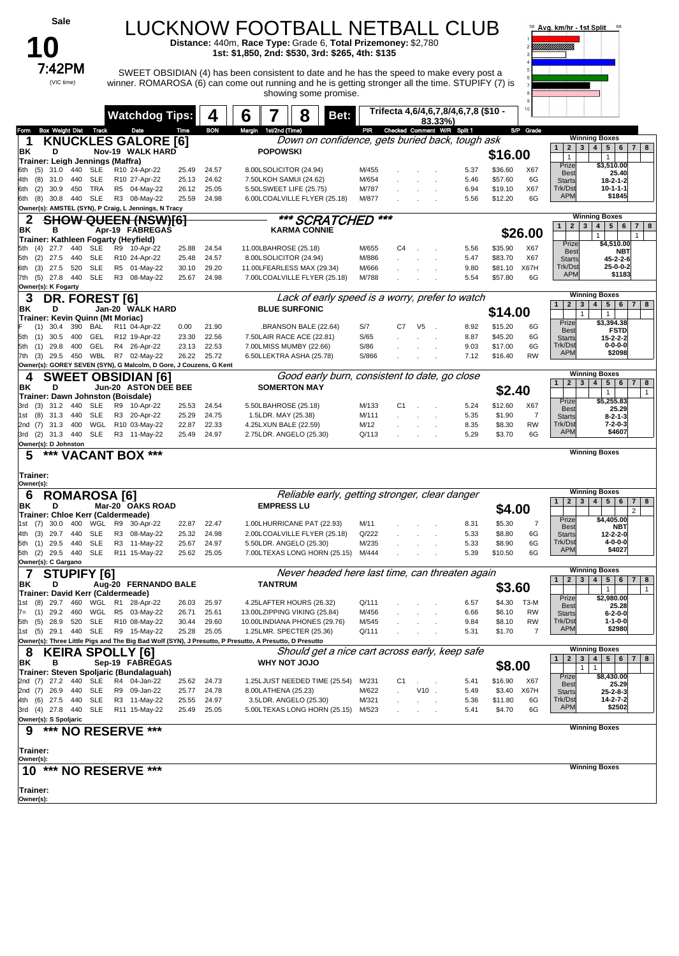| Sale                                                                            |                                                   |                                  | LUCKNOW FOOTBALL NETBALL CLUB<br>Distance: 440m, Race Type: Grade 6, Total Prizemoney: \$2,780<br>1st: \$1,850, 2nd: \$530, 3rd: \$265, 4th: \$135 |                                                        |                                                 |                                    | 58 Avg. km/hr - 1st Split                            | 68                                                                                                                      |
|---------------------------------------------------------------------------------|---------------------------------------------------|----------------------------------|----------------------------------------------------------------------------------------------------------------------------------------------------|--------------------------------------------------------|-------------------------------------------------|------------------------------------|------------------------------------------------------|-------------------------------------------------------------------------------------------------------------------------|
| 7:42PM                                                                          |                                                   |                                  | SWEET OBSIDIAN (4) has been consistent to date and he has the speed to make every post a                                                           |                                                        |                                                 |                                    |                                                      |                                                                                                                         |
| (VIC time)                                                                      |                                                   |                                  | winner. ROMAROSA (6) can come out running and he is getting stronger all the time. STUPIFY (7) is<br>showing some promise.                         |                                                        |                                                 |                                    |                                                      |                                                                                                                         |
|                                                                                 | <b>Watchdog Tips:</b>                             | 4                                | 6<br>8                                                                                                                                             | Bet:                                                   | Trifecta 4,6/4,6,7,8/4,6,7,8 (\$10 -<br>83.33%) |                                    |                                                      |                                                                                                                         |
| <b>Box Weight Dist</b><br>Track<br>Form<br>1                                    | Date<br><b>KNUCKLES GALORE [6]</b>                | <b>BON</b><br>Time               | Margin<br>1st/2nd (Time)                                                                                                                           | PIR<br>Down on confidence, gets buried back, tough ask | Checked Comment W/R Split 1                     |                                    | S/P Grade<br>1<br>$\mathbf{2}$                       | <b>Winning Boxes</b><br>$\mathbf{3}$<br>4<br>5 6 <br>7 8                                                                |
| ΒK<br>D<br>Trainer: Leigh Jennings (Maffra)<br>440<br>SLE<br>6th<br>(5)<br>31.0 | Nov-19 WALK HARD<br>R10 24-Apr-22                 | 24.57<br>25.49                   | <b>POPOWSKI</b><br>8.00LSOLICITOR (24.94)                                                                                                          | M/455                                                  |                                                 | \$16.00<br>5.37<br>\$36.60         | $\mathbf{1}$<br>Prize<br>X67                         | $\mathbf{1}$<br>\$3,510.00                                                                                              |
| 31.0<br>440<br>SLE<br>4th<br>(8)<br>30.9<br>TRA<br>6th<br>(2)<br>450            | R10 27-Apr-22<br>R5 04-May-22                     | 25.13<br>24.62<br>26.12<br>25.05 | 7.50LKOH SAMUI (24.62)<br>5.50LSWEET LIFE (25.75)                                                                                                  | M/654<br>M/787                                         |                                                 | 5.46<br>\$57.60<br>\$19.10<br>6.94 | <b>Best</b><br>6G<br><b>Starts</b><br>Trk/Dst<br>X67 | 25.40<br>$18 - 2 - 1 - 2$<br>$10 - 1 - 1 - 1$                                                                           |
| 6th (8)<br>30.8 440<br>SLE                                                      | R3 08-May-22                                      | 25.59<br>24.98                   | 6.00LCOALVILLE FLYER (25.18)                                                                                                                       | M/877                                                  |                                                 | 5.56<br>\$12.20                    | <b>APM</b><br>6G                                     | \$1845                                                                                                                  |
| Owner(s): AMSTEL (SYN), P Craig, L Jennings, N Tracy<br>2                       | <b>SHOW QUEEN (NSW)[6]</b>                        |                                  |                                                                                                                                                    | *** SCRATCHED                                          | ***                                             |                                    | $\mathbf{1}$                                         | <b>Winning Boxes</b><br>$5\phantom{.0}$<br>$6\phantom{1}$<br>$\overline{7}$<br>8<br>2 <sup>1</sup><br>$\mathbf{3}$<br>4 |
| ΒK<br>в<br>Trainer: Kathleen Fogarty (Heyfield)                                 | Apr-19 FABREGAS                                   |                                  | <b>KARMA CONNIE</b>                                                                                                                                |                                                        |                                                 |                                    | \$26.00<br>Prize                                     | $\mathbf{1}$<br>\$4,510.00                                                                                              |
| 440<br>SLE<br>5th<br>(4)<br>27.7<br>27.5<br>440<br>SLE<br>5th<br>(2)            | R9 10-Apr-22<br>R10 24-Apr-22                     | 24.54<br>25.88<br>25.48<br>24.57 | 11.00LBAHROSE (25.18)<br>8.00LSOLICITOR (24.94)                                                                                                    | M/655<br>M/886                                         | C <sub>4</sub>                                  | 5.56<br>\$35.90<br>5.47<br>\$83.70 | X67<br><b>Best</b><br>X67<br><b>Starts</b>           | NBT<br>45-2-2-6                                                                                                         |
| <b>SLE</b><br>27.5<br>520<br>6th (3)<br>7th (5) 27.8 440<br>SLE                 | R5 01-May-22<br>R3 08-May-22                      | 30.10<br>29.20<br>25.67<br>24.98 | 11.00LFEARLESS MAX (29.34)<br>7.00LCOALVILLE FLYER (25.18)                                                                                         | M/666<br>M/788                                         |                                                 | \$81.10<br>9.80<br>\$57.80<br>5.54 | Trk/Dst<br>X67H<br><b>APM</b><br>6G                  | 25-0-0-2<br>\$1183                                                                                                      |
| Owner(s): K Fogarty<br>3<br>DR. FOREST [6]                                      |                                                   |                                  |                                                                                                                                                    | Lack of early speed is a worry, prefer to watch        |                                                 |                                    |                                                      | <b>Winning Boxes</b>                                                                                                    |
| ΒK<br>D<br>Trainer: Kevin Quinn (Mt Moriac)                                     | Jan-20 WALK HARD                                  |                                  | <b>BLUE SURFONIC</b>                                                                                                                               |                                                        |                                                 | \$14.00                            | $\overline{2}$<br>1 <sup>1</sup>                     | 3 <br>4<br>5   6   7   8<br>$\mathbf{1}$                                                                                |
| 30.4<br>390<br>BAL<br>(1)<br>30.5<br>400<br>GEL<br>5th (1)                      | R11 04-Apr-22<br>R12 19-Apr-22                    | 0.00<br>21.90<br>23.30<br>22.56  | BRANSON BALE (22.64)<br>7.50LAIR RACE ACE (22.81)                                                                                                  | S/7<br>S/65                                            | V <sub>5</sub><br>C7                            | 8.92<br>\$15.20<br>8.87<br>\$45.20 | Prize<br>6G<br><b>Best</b><br>6G<br><b>Starts</b>    | \$3,394.38<br><b>FSTD</b><br>15-2-2-2                                                                                   |
| GEL<br>29.8<br>400<br>5th<br>(1)<br>29.5 450<br>7th (3)                         | R4 26-Apr-22<br>WBL R7 02-May-22                  | 22.53<br>23.13<br>26.22<br>25.72 | 7.00LMISS MUMBY (22.66)<br>6.50LLEKTRA ASHA (25.78)                                                                                                | S/86<br>S/866                                          |                                                 | \$17.00<br>9.03<br>7.12<br>\$16.40 | Trk/Dst<br>6G<br><b>APM</b><br><b>RW</b>             | $0 - 0 - 0 - 0$<br>\$2098                                                                                               |
| Owner(s): GOREY SEVEN (SYN), G Malcolm, D Gore, J Couzens, G Kent               |                                                   |                                  |                                                                                                                                                    |                                                        |                                                 |                                    |                                                      | <b>Winning Boxes</b>                                                                                                    |
| 4<br>ΒK<br>D                                                                    | <b>SWEET OBSIDIAN [6]</b><br>Jun-20 ASTON DEE BEE |                                  | <b>SOMERTON MAY</b>                                                                                                                                | Good early burn, consistent to date, go close          |                                                 | \$2.40                             | 1 <sup>1</sup>                                       | 2   3   4   5   6<br>$7 \mid 8$<br>$\mathbf{1}$<br>$\mathbf{1}$                                                         |
| Trainer: Dawn Johnston (Boisdale)<br>31.2 440<br>SLE<br>3rd<br>(3)              | R9 10-Apr-22                                      | 25.53<br>24.54                   | 5.50LBAHROSE (25.18)                                                                                                                               | M/133                                                  | C1                                              | 5.24<br>\$12.60                    | Prize<br>X67<br><b>Best</b>                          | \$5,255.83<br>25.29                                                                                                     |
| 31.3<br>440<br>SLE<br>1st<br>(8)<br>WGL<br>31.3<br>400<br>2nd (7)               | R3 20-Apr-22<br>R10 03-May-22                     | 25.29<br>24.75<br>22.87<br>22.33 | 1.5LDR. MAY (25.38)<br>4.25LXUN BALE (22.59)                                                                                                       | M/111<br>M/12                                          |                                                 | 5.35<br>\$1.90<br>8.35<br>\$8.30   | 7<br><b>Starts</b><br>Trk/Dst<br><b>RW</b>           | $8 - 2 - 1 - 3$<br>$7 - 2 - 0 - 3$                                                                                      |
| <b>SLE</b><br>3rd (2) 31.3 440<br>Owner(s): D Johnston                          | R3 11-May-22                                      | 25.49<br>24.97                   | 2.75LDR. ANGELO (25.30)                                                                                                                            | Q/113                                                  |                                                 | \$3.70<br>5.29                     | <b>APM</b><br>6G                                     | \$4607                                                                                                                  |
| 5<br>***                                                                        | <b>VACANT BOX ***</b>                             |                                  |                                                                                                                                                    |                                                        |                                                 |                                    |                                                      | <b>Winning Boxes</b>                                                                                                    |
| Trainer:<br>Owner(s):                                                           |                                                   |                                  |                                                                                                                                                    |                                                        |                                                 |                                    |                                                      |                                                                                                                         |
| <b>ROMAROSA [6]</b><br>6<br>ΒK<br>D                                             | Mar-20 OAKS ROAD                                  |                                  | <b>EMPRESS LU</b>                                                                                                                                  | Reliable early, getting stronger, clear danger         |                                                 |                                    | $\mathbf{2}$                                         | <b>Winning Boxes</b><br>3<br>5 <sub>1</sub><br>4<br>6<br>$\overline{7}$<br>8                                            |
| Trainer: Chloe Kerr (Caldermeade)<br>1st (7) 30.0 400 WGL R9 30-Apr-22          |                                                   | 22.47<br>22.87                   | 1.00LHURRICANE PAT (22.93)                                                                                                                         | M/11                                                   |                                                 | \$4.00<br>\$5.30<br>8.31           | Prize<br>7                                           | $\overline{2}$<br>\$4,405.00                                                                                            |
| 4th (3)<br>29.7<br>440<br>SLE                                                   | R3 08-May-22                                      | 25.32<br>24.98                   | 2.00LCOALVILLE FLYER (25.18)                                                                                                                       | Q/222                                                  |                                                 | 5.33<br>\$8.80                     | <b>Best</b><br>6G<br><b>Starts</b>                   | NBT<br>12-2-2-0                                                                                                         |
| 5th (1) 29.5 440<br>SLE<br>5th (2) 29.5 440<br>SLE                              | R3 11-May-22<br>R11 15-May-22                     | 24.97<br>25.67<br>25.62<br>25.05 | 5.50LDR. ANGELO (25.30)<br>7.00LTEXAS LONG HORN (25.15)                                                                                            | M/235<br>M/444                                         |                                                 | \$8.90<br>5.33<br>\$10.50<br>5.39  | Trk/Dst<br>6G<br><b>APN</b><br>6G                    | $4 - 0 - 0 - 0$<br>\$4027                                                                                               |
| Owner(s): C Gargano<br>7<br><b>STUPIFY [6]</b>                                  |                                                   |                                  |                                                                                                                                                    | Never headed here last time, can threaten again        |                                                 |                                    |                                                      | <b>Winning Boxes</b>                                                                                                    |
| ΒK<br>D<br>Trainer: David Kerr (Caldermeade)                                    | Aug-20 FERNANDO BALE                              |                                  | <b>TANTRUM</b>                                                                                                                                     |                                                        |                                                 | \$3.60                             | $\overline{2}$<br>1                                  | 5 <sup>1</sup><br>3<br>4<br>6<br>8<br>7 <sup>1</sup><br>$\mathbf{1}$<br>$\mathbf{1}$                                    |
| 1st (8) 29.7<br>29.2 460 WGL<br>(1)<br>$7 =$                                    | 460 WGL R1 28-Apr-22<br>R5 03-May-22              | 25.97<br>26.03<br>25.61<br>26.71 | 4.25LAFTER HOURS (26.32)<br>13.00LZIPPING VIKING (25.84)                                                                                           | Q/111<br>M/456                                         |                                                 | \$4.30<br>6.57<br>6.66<br>\$6.10   | Prize<br>T3-M<br>Best<br><b>RW</b>                   | \$2,980.00<br>25.28                                                                                                     |
| 28.9 520<br>SLE<br>5th (5)                                                      | R10 08-May-22                                     | 29.60<br>30.44                   | 10.00LINDIANA PHONES (29.76)                                                                                                                       | M/545                                                  |                                                 | \$8.10<br>9.84                     | <b>Starts</b><br>Trk/Dst<br><b>RW</b><br><b>APM</b>  | $6 - 2 - 0 - 0$<br>$1 - 1 - 0 - 0$<br>\$2980                                                                            |
| 1st (5) 29.1 440 SLE                                                            | R9 15-May-22                                      | 25.28<br>25.05                   | 1.25LMR. SPECTER (25.36)<br>Owner(s): Three Little Pigs and The Big Bad Wolf (SYN), J Presutto, P Presutto, A Presutto, D Presutto                 | Q/111                                                  |                                                 | \$1.70<br>5.31                     | $\overline{7}$                                       |                                                                                                                         |
| 8<br>KEIRA SPOLLY [6]<br>ΒK<br>в                                                | Sep-19 FABREGAS                                   |                                  | <b>OLOU TON YHW</b>                                                                                                                                | Should get a nice cart across early, keep safe         |                                                 |                                    | $\mathbf{2}$                                         | <b>Winning Boxes</b><br>3<br>4 <br>5 <br>6<br>7   8                                                                     |
| Trainer: Steven Spoljaric (Bundalaguah)<br>2nd (7) 27.2 440 SLE                 | R4 04-Jan-22                                      | 24.73<br>25.62                   | 1.25LJUST NEEDED TIME (25.54)                                                                                                                      | M/231                                                  | C1                                              | \$8.00<br>\$16.90<br>5.41          | Prize<br>X67                                         | $\mathbf{1}$<br>$\mathbf{1}$<br>\$8,430.00                                                                              |
| 2nd (7) 26.9 440<br>SLE<br>4th (6) 27.5 440<br>SLE                              | R9 09-Jan-22<br>R3 11-May-22                      | 24.78<br>25.77<br>25.55<br>24.97 | 8.00LATHENA (25.23)<br>3.5LDR. ANGELO (25.30)                                                                                                      | M/622<br>M/321                                         | V10                                             | \$3.40<br>5.49<br>\$11.80<br>5.36  | Best<br>X67H<br><b>Starts</b><br>Trk/Dst<br>6G       | 25.29<br>$25 - 2 - 8 - 3$<br>14-2-7-2                                                                                   |
| 3rd (4) 27.8 440<br>SLE                                                         | R11 15-May-22                                     | 25.49<br>25.05                   | 5.00LTEXAS LONG HORN (25.15)                                                                                                                       | M/523                                                  |                                                 | \$4.70<br>5.41                     | <b>APM</b><br>6G                                     | \$2502                                                                                                                  |
| Owner(s): S Spoljaric<br>*** NO RESERVE ***<br>9                                |                                                   |                                  |                                                                                                                                                    |                                                        |                                                 |                                    |                                                      | <b>Winning Boxes</b>                                                                                                    |
| Trainer:                                                                        |                                                   |                                  |                                                                                                                                                    |                                                        |                                                 |                                    |                                                      |                                                                                                                         |
| Owner(s):<br>$10***$                                                            | <b>NO RESERVE ***</b>                             |                                  |                                                                                                                                                    |                                                        |                                                 |                                    |                                                      | <b>Winning Boxes</b>                                                                                                    |
| Trainer:<br>Owner(s):                                                           |                                                   |                                  |                                                                                                                                                    |                                                        |                                                 |                                    |                                                      |                                                                                                                         |
|                                                                                 |                                                   |                                  |                                                                                                                                                    |                                                        |                                                 |                                    |                                                      |                                                                                                                         |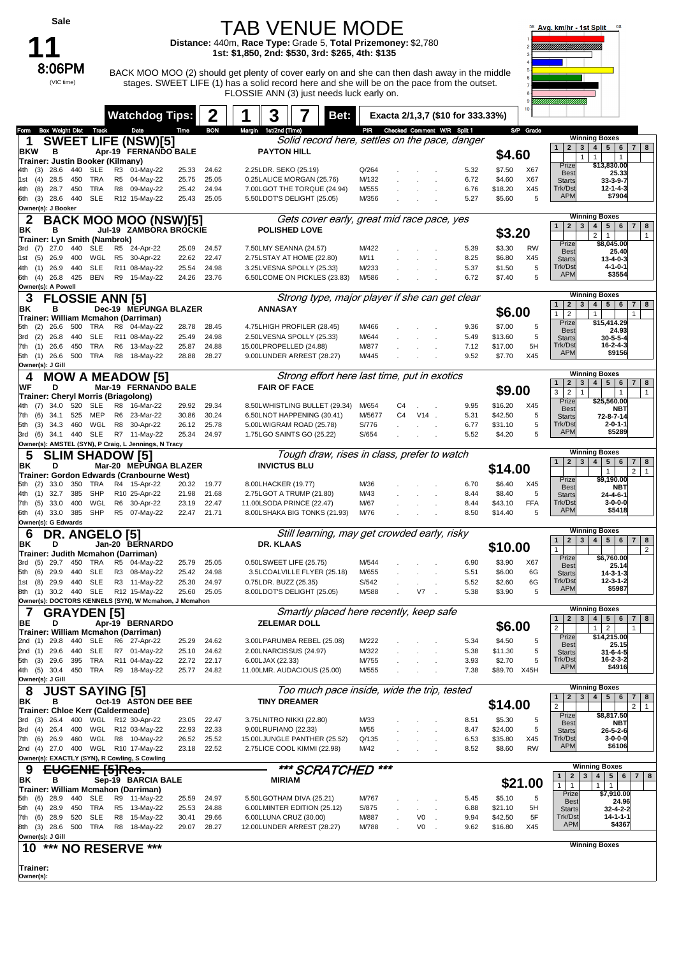|                          | Sale                                       |            |                        |                |                                                                                     |                |                | <b>TAB VENUE MODE</b>                                                                                                                                                                                                                     |                |                |                             |                                   |                    |                 | Avg. km/hr - 1st Split                  |                                                                                                    |
|--------------------------|--------------------------------------------|------------|------------------------|----------------|-------------------------------------------------------------------------------------|----------------|----------------|-------------------------------------------------------------------------------------------------------------------------------------------------------------------------------------------------------------------------------------------|----------------|----------------|-----------------------------|-----------------------------------|--------------------|-----------------|-----------------------------------------|----------------------------------------------------------------------------------------------------|
|                          |                                            |            |                        |                |                                                                                     |                |                | Distance: 440m, Race Type: Grade 5, Total Prizemoney: \$2,780<br>1st: \$1,850, 2nd: \$530, 3rd: \$265, 4th: \$135                                                                                                                         |                |                |                             |                                   |                    |                 |                                         |                                                                                                    |
|                          | 8:06PM<br>(VIC time)                       |            |                        |                |                                                                                     |                |                | BACK MOO MOO (2) should get plenty of cover early on and she can then dash away in the middle<br>stages. SWEET LIFE (1) has a solid record here and she will be on the pace from the outset.<br>FLOSSIE ANN (3) just needs luck early on. |                |                |                             |                                   |                    |                 |                                         |                                                                                                    |
|                          |                                            |            |                        |                | <b>Watchdog Tips:</b>                                                               |                | 2              | 3<br>Bet:                                                                                                                                                                                                                                 |                |                |                             | Exacta 2/1,3,7 (\$10 for 333.33%) |                    |                 |                                         |                                                                                                    |
| Form<br>1<br><b>BKW</b>  | <b>Box Weight Dist</b><br>в                |            | Track                  |                | Date<br><b>SWEET LIFE (NSW)[5]</b><br>Apr-19 FERNANDO BALE                          | Time           | <b>BON</b>     | Margin 1st/2nd (Time)<br>Solid record here, settles on the pace, danger<br><b>PAYTON HILL</b>                                                                                                                                             | PIR            |                | Checked Comment W/R Split 1 |                                   | \$4.60             | S/P Grade       | 1<br>$\mathbf{1}$                       | <b>Winning Boxes</b><br>2   3   4   5   6   7   8<br>$\mathbf{1}$<br>$\mathbf{1}$                  |
| (3)<br>4th               | Trainer: Justin Booker (Kilmany)<br>28.6   | 440        | SLE                    | R3             | 01-May-22                                                                           | 25.33          | 24.62          | 2.25LDR. SEKO (25.19)                                                                                                                                                                                                                     | Q/264          |                |                             | 5.32                              | \$7.50             | X67             | Prize<br><b>Best</b>                    | \$13,830.00<br>25.33                                                                               |
| (4)<br>1st<br>4th<br>(8) | 28.5<br>28.7                               | 450<br>450 | TRA<br>TRA             |                | R5 04-May-22<br>R8 09-May-22                                                        | 25.75<br>25.42 | 25.05<br>24.94 | 0.25LALICE MORGAN (25.76)<br>7.00LGOT THE TORQUE (24.94)                                                                                                                                                                                  | M/132<br>M/555 |                |                             | 6.72<br>6.76                      | \$4.60<br>\$18.20  | X67<br>X45      | <b>Starts</b><br>Trk/Dst                | 33-3-9-7<br>12-1-4-3<br>\$7904                                                                     |
|                          | 6th (3) 28.6 440<br>Owner(s): J Booker     |            | <b>SLE</b>             |                | R12 15-May-22                                                                       | 25.43          | 25.05          | 5.50LDOT'S DELIGHT (25.05)                                                                                                                                                                                                                | M/356          |                |                             | 5.27                              | \$5.60             | 5               | <b>APM</b>                              |                                                                                                    |
| 2<br>ΒK                  | в                                          |            |                        |                | BACK MOO MOO (NSW)[5]<br>Jul-19 ZAMBORA BROCKIE                                     |                |                | Gets cover early, great mid race pace, yes<br><b>POLISHED LOVE</b>                                                                                                                                                                        |                |                |                             |                                   | \$3.20             |                 | $1 \mid 2 \mid$                         | <b>Winning Boxes</b><br>3 <sup>1</sup><br>4 <br>5   6   7   8<br>2<br>$\mathbf{1}$<br>$\mathbf{1}$ |
| 3rd                      | Trainer: Lyn Smith (Nambrok)<br>$(7)$ 27.0 | 440        | SLE                    | R5             | 24-Apr-22                                                                           | 25.09          | 24.57          | 7.50LMY SEANNA (24.57)                                                                                                                                                                                                                    | M/422          |                |                             | 5.39                              | \$3.30             | <b>RW</b>       | Prize<br><b>Best</b>                    | \$8,045.00<br>25.40                                                                                |
| (5)<br>1st<br>4th<br>(1) | 26.9<br>26.9                               | 400<br>440 | WGL<br><b>SLE</b>      | R <sub>5</sub> | 30-Apr-22<br>R11 08-May-22                                                          | 22.62<br>25.54 | 22.47<br>24.98 | 2.75LSTAY AT HOME (22.80)<br>3.25LVESNA SPOLLY (25.33)                                                                                                                                                                                    | M/11<br>M/233  |                |                             | 8.25<br>5.37                      | \$6.80<br>\$1.50   | X45<br>5        | <b>Starts</b><br>Trk/Dst                | $13 - 4 - 0 - 3$<br>$4 - 1 - 0 - 1$                                                                |
|                          | 6th (4) 26.8<br>Owner(s): A Powell         | 425        | BEN                    |                | R9 15-May-22                                                                        | 24.26          | 23.76          | 6.50LCOME ON PICKLES (23.83)                                                                                                                                                                                                              | M/586          |                |                             | 6.72                              | \$7.40             | 5               | <b>APM</b>                              | \$3554                                                                                             |
| 3                        |                                            |            | <b>FLOSSIE ANN [5]</b> |                |                                                                                     |                |                | Strong type, major player if she can get clear                                                                                                                                                                                            |                |                |                             |                                   |                    |                 | 2 <sub>1</sub><br>1                     | <b>Winning Boxes</b><br>3 <sup>1</sup><br>4 <br>5 6 7 8                                            |
| BK                       | в                                          |            |                        |                | Dec-19 MEPUNGA BLAZER<br>Trainer: William Mcmahon (Darriman)                        |                |                | <b>ANNASAY</b>                                                                                                                                                                                                                            |                |                |                             |                                   | \$6.00             |                 | $\mathbf{1}$<br>$\overline{2}$<br>Prize | $\mathbf{1}$<br>1<br>\$15,414.29                                                                   |
| (2)<br>5th<br>(2)<br>3rd | 26.6<br>26.8                               | 500<br>440 | TRA<br><b>SLE</b>      |                | R8 04-May-22<br>R11 08-May-22                                                       | 28.78<br>25.49 | 28.45<br>24.98 | 4.75LHIGH PROFILER (28.45)<br>2.50LVESNA SPOLLY (25.33)                                                                                                                                                                                   | M/466<br>M/644 |                |                             | 9.36<br>5.49                      | \$7.00<br>\$13.60  | 5<br>5          | <b>Best</b><br><b>Starts</b>            | 24.93<br>$30 - 5 - 5 - 4$                                                                          |
| 7th (1)                  | 26.6<br>5th (1) 26.6                       | 450        | TRA<br>500 TRA         |                | R6 13-May-22<br>R8 18-May-22                                                        | 25.87<br>28.88 | 24.88<br>28.27 | 15.00LPROPELLED (24.88)<br>9.00LUNDER ARREST (28.27)                                                                                                                                                                                      | M/877<br>M/445 |                |                             | 7.12<br>9.52                      | \$17.00<br>\$7.70  | 5H<br>X45       | Trk/Dst<br><b>APM</b>                   | 16-2-4-3<br>\$9156                                                                                 |
|                          | Owner(s): J Gill                           |            |                        |                |                                                                                     |                |                |                                                                                                                                                                                                                                           |                |                |                             |                                   |                    |                 |                                         | <b>Winning Boxes</b>                                                                               |
| WF                       | D                                          |            |                        |                | <b>MOW A MEADOW [5]</b><br>Mar-19 FERNANDO BALE                                     |                |                | Strong effort here last time, put in exotics<br><b>FAIR OF FACE</b>                                                                                                                                                                       |                |                |                             |                                   | \$9.00             |                 | 1<br>$\mathbf{2}$                       | 3 <br>4 <br>5 6 <br>7 <sup>1</sup><br>8                                                            |
| 4th<br>(7)               | 34.0                                       | 520        | <b>SLE</b>             | R8             | Trainer: Cheryl Morris (Briagolong)<br>16-Mar-22                                    | 29.92          | 29.34          | 8.50LWHISTLING BULLET (29.34)                                                                                                                                                                                                             | M/654          | C4             |                             | 9.95                              | \$16.20            | X45             | 3<br>$\overline{2}$<br>1<br>Prize       | $\mathbf{1}$<br>$\mathbf{1}$<br>\$25,560.00                                                        |
| (6)<br>7th               | 34.1                                       | 525        | MEP                    | R6             | 23-Mar-22                                                                           | 30.86          | 30.24          | 6.50LNOT HAPPENING (30.41)                                                                                                                                                                                                                | M/5677         | C <sub>4</sub> | $V14$ .                     | 5.31                              | \$42.50            | 5               | <b>Best</b><br><b>Starts</b>            | NBT<br>72-8-7-14                                                                                   |
| (3)<br>5th<br>(6)<br>3rd | 34.3                                       | 460        | WGL                    | R8             | 30-Apr-22<br>34.1 440 SLE R7 11-May-22                                              | 26.12<br>25.34 | 25.78<br>24.97 | 5.00LWIGRAM ROAD (25.78)<br>1.75LGO SAINTS GO (25.22)                                                                                                                                                                                     | S/776<br>S/654 |                |                             | 6.77<br>5.52                      | \$31.10<br>\$4.20  | 5<br>5          | Trk/Dst<br><b>APM</b>                   | $2 - 0 - 1 - 1$<br>\$5289                                                                          |
| 5                        |                                            |            |                        |                | Owner(s): AMSTEL (SYN), P Craig, L Jennings, N Tracy                                |                |                |                                                                                                                                                                                                                                           |                |                |                             |                                   |                    |                 |                                         | <b>Winning Boxes</b>                                                                               |
|                          |                                            |            |                        |                |                                                                                     |                |                |                                                                                                                                                                                                                                           |                |                |                             |                                   |                    |                 |                                         |                                                                                                    |
| ΒK                       | D                                          |            |                        |                | <b>SLIM SHADOW [5]</b><br>Mar-20 MEPUNGA BLAZER                                     |                |                | Tough draw, rises in class, prefer to watch<br><b>INVICTUS BLU</b>                                                                                                                                                                        |                |                |                             |                                   | \$14.00            |                 | 1 <sup>1</sup>                          | 2   3   4   5   6<br>7 8<br>$\overline{2}$<br>$\mathbf{1}$<br>$\overline{1}$                       |
| (2)<br>5th               | 33.0                                       | 350        | TRA                    |                | Trainer: Gordon Edwards (Cranbourne West)<br>R4 15-Apr-22                           | 20.32          | 19.77          | 8.00LHACKER (19.77)                                                                                                                                                                                                                       | M/36           |                |                             | 6.70                              | \$6.40             | X45             | Prize<br><b>Best</b>                    | \$9,190.00<br>NBT                                                                                  |
| 4th<br>(1)<br>7th (5)    | 32.7<br>33.0                               | 385<br>400 | SHP<br>WGL             |                | R10 25-Apr-22<br>R6 30-Apr-22                                                       | 21.98<br>23.19 | 21.68<br>22.47 | 2.75LGOT A TRUMP (21.80)<br>11.00LSODA PRINCE (22.47)                                                                                                                                                                                     | M/43<br>M/67   |                |                             | 8.44<br>8.44                      | \$8.40<br>\$43.10  | 5<br><b>FFA</b> | <b>Starts</b><br>Trk/Dst                | 24-4-6-1<br>$3 - 0 - 0 - 0$                                                                        |
| 6th                      | $(4)$ 33.0 385<br>Owner(s): G Edwards      |            | SHP                    | R <sub>5</sub> | 07-May-22                                                                           | 22.47          | 21.71          | 8.00LSHAKA BIG TONKS (21.93)                                                                                                                                                                                                              | M/76           |                |                             | 8.50                              | \$14.40            | 5               | <b>APM</b>                              | \$5418                                                                                             |
| 6<br>ΒK                  | DR.<br>D                                   |            | <b>ANGELO</b> [5]      |                | Jan-20 BERNARDO                                                                     |                |                | Still learning, may get crowded early, risky<br>DR. KLAAS                                                                                                                                                                                 |                |                |                             |                                   |                    |                 | $\mathbf{1}$<br>$\mathbf{2}$            | <b>Winning Boxes</b><br>3   4   5   6   7   8                                                      |
|                          |                                            |            |                        |                | Trainer: Judith Mcmahon (Darriman)                                                  |                |                |                                                                                                                                                                                                                                           |                |                |                             |                                   | \$10.00            |                 | $\mathbf{1}$<br>Prize                   | $\overline{2}$<br>\$6,760.00                                                                       |
| 3rd<br>(6)<br>5th        | $(5)$ 29.7<br>29.9                         | 450<br>440 | TRA<br><b>SLE</b>      |                | R5 04-May-22<br>R3 08-May-22                                                        | 25.79<br>25.42 | 25.05<br>24.98 | 0.50LSWEET LIFE (25.75)<br>3.5LCOALVILLE FLYER (25.18)                                                                                                                                                                                    | M/544<br>M/655 |                |                             | 6.90<br>5.51                      | \$3.90<br>\$6.00   | X67<br>6G       | <b>Best</b><br><b>Starts</b>            | 25.14<br>$14 - 3 - 1 - 3$                                                                          |
| (8)<br>1st               | 29.9<br>8th (1) 30.2 440 SLE               | 440        | <b>SLE</b>             |                | R3 11-May-22<br>R12 15-May-22                                                       | 25.30<br>25.60 | 24.97<br>25.05 | 0.75LDR. BUZZ (25.35)<br>8.00LDOT'S DELIGHT (25.05)                                                                                                                                                                                       | S/542<br>M/588 |                | V7                          | 5.52<br>5.38                      | \$2.60<br>\$3.90   | 6G<br>5         | Trk/Dst<br><b>APM</b>                   | $12 - 3 - 1 - 2$<br>\$5987                                                                         |
|                          |                                            |            |                        |                | Owner(s): DOCTORS KENNELS (SYN), W Mcmahon, J Mcmahon                               |                |                |                                                                                                                                                                                                                                           |                |                |                             |                                   |                    |                 |                                         | <b>Winning Boxes</b>                                                                               |
| 7<br>BE                  | D                                          |            | <b>GRAYDEN</b> [5]     |                | Apr-19 BERNARDO                                                                     |                |                | Smartly placed here recently, keep safe<br><b>ZELEMAR DOLL</b>                                                                                                                                                                            |                |                |                             |                                   | \$6.00             |                 | 1<br>$\overline{2}$                     | 2 3 4 <br>5 6 7 8<br>$\overline{2}$<br>$\mathbf{1}$<br>$\mathbf{1}$                                |
|                          | 2nd (1) 29.8                               | 440        | SLE                    |                | Trainer: William Mcmahon (Darriman)<br>R6 27-Apr-22                                 | 25.29          | 24.62          | 3.00LPARUMBA REBEL (25.08)                                                                                                                                                                                                                | M/222          |                |                             | 5.34                              | \$4.50             | 5               | Prize<br><b>Best</b>                    | \$14,215.00<br>25.15                                                                               |
|                          | 2nd (1) 29.6<br>5th (3) 29.6               | 440<br>395 | <b>SLE</b><br>TRA      |                | R7 01-May-22<br>R11 04-May-22                                                       | 25.10<br>22.72 | 24.62<br>22.17 | 2.00LNARCISSUS (24.97)<br>6.00LJAX (22.33)                                                                                                                                                                                                | M/322<br>M/755 |                |                             | 5.38<br>3.93                      | \$11.30<br>\$2.70  | 5<br>5          | <b>Starts</b><br>Trk/Dst                | $31 - 6 - 4 - 5$<br>16-2-3-2                                                                       |
|                          | 4th (5) 30.4                               |            | 450 TRA                |                | R9 18-May-22                                                                        | 25.77          | 24.82          | 11.00LMR. AUDACIOUS (25.00)                                                                                                                                                                                                               | M/555          |                |                             | 7.38                              | \$89.70 X45H       |                 | <b>APM</b>                              | \$4916                                                                                             |
| 8                        | Owner(s): J Gill                           |            | <b>JUST SAYING [5]</b> |                |                                                                                     |                |                | Too much pace inside, wide the trip, tested                                                                                                                                                                                               |                |                |                             |                                   |                    |                 |                                         | <b>Winning Boxes</b>                                                                               |
| ΒK                       | в                                          |            |                        |                | Oct-19 ASTON DEE BEE<br>Trainer: Chloe Kerr (Caldermeade)                           |                |                | <b>TINY DREAMER</b>                                                                                                                                                                                                                       |                |                |                             |                                   | \$14.00            |                 | $\mathbf{2}$<br>1<br>$\overline{2}$     | 3 <br>4 <br>$5 \mid 6$<br>7 8<br>$2 \mid 1$                                                        |
| 3rd<br>(3)<br>3rd (4)    | 26.4<br>26.4                               | 400<br>400 |                        |                | WGL R12 30-Apr-22<br>WGL R12 03-May-22                                              | 23.05<br>22.93 | 22.47<br>22.33 | 3.75LNITRO NIKKI (22.80)                                                                                                                                                                                                                  | M/33<br>M/55   |                |                             | 8.51<br>8.47                      | \$5.30<br>\$24.00  | 5<br>5          | Prize<br><b>Best</b>                    | \$8,817.50<br>NBT                                                                                  |
| (6)<br>7th               | 26.9                                       | 460        |                        |                | WGL R8 10-May-22                                                                    | 26.52          | 25.52          | 9.00LRUFIANO (22.33)<br>15.00LJUNGLE PANTHER (25.52)                                                                                                                                                                                      | Q/135          |                |                             | 6.53                              | \$35.80            | X45             | <b>Starts</b><br>Trk/Dst<br><b>APM</b>  | $26 - 5 - 2 - 6$<br>$3 - 0 - 0 - 0$<br>\$6106                                                      |
|                          |                                            |            |                        |                | 2nd (4) 27.0 400 WGL R10 17-May-22<br>Owner(s): EXACTLY (SYN), R Cowling, S Cowling | 23.18          | 22.52          | 2.75LICE COOL KIMMI (22.98)                                                                                                                                                                                                               | M/42           |                |                             | 8.52                              | \$8.60             | <b>RW</b>       |                                         |                                                                                                    |
| 9<br>ΒK                  | в                                          |            | EUGENIE [5]Res.        |                | Sep-19 BARCIA BALE                                                                  |                |                | *** SCRATCHED<br><b>MIRIAM</b>                                                                                                                                                                                                            | $***$          |                |                             |                                   |                    |                 | $\overline{2}$<br>$\mathbf{1}$          | <b>Winning Boxes</b><br>$\overline{\mathbf{4}}$<br>5<br>$6 \mid 7 \mid 8$<br>3                     |
| (6)<br>5th               | 28.9                                       | 440        | SLE                    |                | Trainer: William Mcmahon (Darriman)<br>R9 11-May-22                                 | 25.59          | 24.97          | 5.50LGOTHAM DIVA (25.21)                                                                                                                                                                                                                  | M/767          |                |                             | 5.45                              | \$5.10             | \$21.00<br>5    | $\mathbf{1}$<br>$\mathbf{1}$<br>Prize   | $\mathbf{1}$<br>$\mathbf{1}$<br>\$7,910.00                                                         |
| (4)<br>5th               | 28.9                                       | 450        | TRA                    | R <sub>5</sub> | 13-May-22                                                                           | 25.53          | 24.88          | 6.00LMINTER EDITION (25.12)                                                                                                                                                                                                               | S/875          |                |                             | 6.88                              | \$21.10            | 5H              | Best<br><b>Starts</b>                   | 24.96<br>$32 - 4 - 2 - 2$                                                                          |
| 7th (6)                  | 28.9<br>8th (3) 28.6                       | 520        | SLE<br>500 TRA         | R <sub>8</sub> | 15-May-22<br>R8 18-May-22                                                           | 30.41<br>29.07 | 29.66<br>28.27 | 6.00LLUNA CRUZ (30.00)<br>12.00LUNDER ARREST (28.27)                                                                                                                                                                                      | M/887<br>M/788 |                | V0<br>V0                    | 9.94<br>9.62                      | \$42.50<br>\$16.80 | 5F<br>X45       | Trk/Dst<br><b>APM</b>                   | 14-1-1-1<br>\$4367                                                                                 |
| 10                       | Owner(s): J Gill<br>***                    |            | <b>NO RESERVE</b>      |                | ***                                                                                 |                |                |                                                                                                                                                                                                                                           |                |                |                             |                                   |                    |                 |                                         | <b>Winning Boxes</b>                                                                               |
| Trainer:<br>Owner(s):    |                                            |            |                        |                |                                                                                     |                |                |                                                                                                                                                                                                                                           |                |                |                             |                                   |                    |                 |                                         |                                                                                                    |